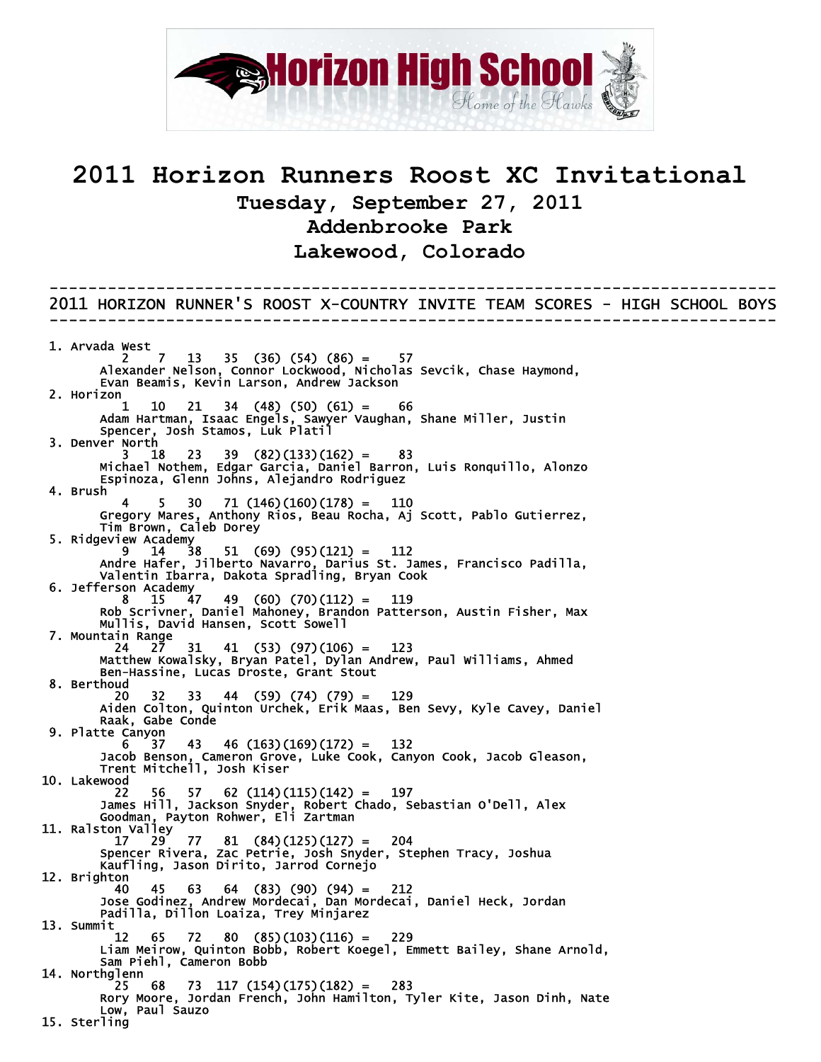

## **2011 Horizon Runners Roost XC Invitational Tuesday, September 27, 2011 Addenbrooke Park Lakewood, Colorado**

---------------------------------------------------------------------------

2011 HORIZON RUNNER'S ROOST X-COUNTRY INVITE TEAM SCORES - HIGH SCHOOL BOYS --------------------------------------------------------------------------- 1. Arvada West 2 7 13 35 (36) (54) (86) = 57 Alexander Nelson, Connor Lockwood, Nicholas Sevcik, Chase Haymond, Evan Beamis, Kevin Larson, Andrew Jackson 2. Horizon 1 10 21 34 (48) (50) (61) = 66 Adam Hartman, Isaac Engels, Sawyer Vaughan, Shane Miller, Justin Spencer, Josh Stamos, Luk Platil 3. Denver North  $3 \quad 18 \quad 23 \quad 39 \quad (82)(133)(162) = 83$  Michael Nothem, Edgar Garcia, Daniel Barron, Luis Ronquillo, Alonzo Espinoza, Glenn Johns, Alejandro Rodriguez 4. Brush  $4 \quad 5 \quad 30 \quad 71 \quad (146) \quad (160) \quad (178) = \quad 110$  Gregory Mares, Anthony Rios, Beau Rocha, Aj Scott, Pablo Gutierrez, Tim Brown, Caleb Dorey 5. Ridgeview Academy  $9 \quad 14 \quad 38 \quad 51 \quad (69) \quad (95) (121) = 112$  Andre Hafer, Jilberto Navarro, Darius St. James, Francisco Padilla, Valentin Ibarra, Dakota Spradling, Bryan Cook 6. Jefferson Academy 8 15 47 49 (60) (70)(112) = 119 Rob Scrivner, Daniel Mahoney, Brandon Patterson, Austin Fisher, Max Mullis, David Hansen, Scott Sowell 7. Mountain Range<br>24 27 24 27 31 41 (53) (97)(106) = 123 Matthew Kowalsky, Bryan Patel, Dylan Andrew, Paul Williams, Ahmed Ben-Hassine, Lucas Droste, Grant Stout 8. Berthoud 20 32 33 44 (59) (74) (79) = 129 Aiden Colton, Quinton Urchek, Erik Maas, Ben Sevy, Kyle Cavey, Daniel Raak, Gabe Conde 9. Platte Canyon ., 45 46 (163)(169)(172) = 132<br>Jacob Benson, Cameron Grove, Luke Cook, Canyon Cook, Jacob Gleason,<br>Wood Jacob Benson, Cameron Grove, Luke Cook, Canyon Cook, Jacob Gleason, Trent Mitchell, Josh Kiser 10. Lakewood 22 56 57 62 (114)(115)(142) = 197 James Hill, Jackson Snyder, Robert Chado, Sebastian O'Dell, Alex Goodman, Payton Rohwer, Eli Zartman 11. Ralston Valley 17 29 77 81 (84)(125)(127) = 204 Spencer Rivera, Zac Petrie, Josh Snyder, Stephen Tracy, Joshua (\* 1718)<br>1718 - John B. Mariel, Josh Snyder, Stephen Tracy, Joshua<br>Kaufling, Jason Dirito, Jarrod Cornejo 12. Brighton  $40 \quad 45 \quad 63 \quad 64 \quad (83) \quad (90) \quad (94) = 212$  Jose Godinez, Andrew Mordecai, Dan Mordecai, Daniel Heck, Jordan Padilla, Dillon Loaiza, Trey Minjarez 13. Summit 12 65 72 80 (85)(103)(116) = 229 Liam Meirow, Quinton Bobb, Robert Koegel, Emmett Bailey, Shane Arnold, Sam Piehl, Cameron Bobb 14. Northglenn  $25 \t68 \t73 \t117 \t(154)(175)(182) = 283$  Rory Moore, Jordan French, John Hamilton, Tyler Kite, Jason Dinh, Nate Low, Paul Sauzo 15. Sterling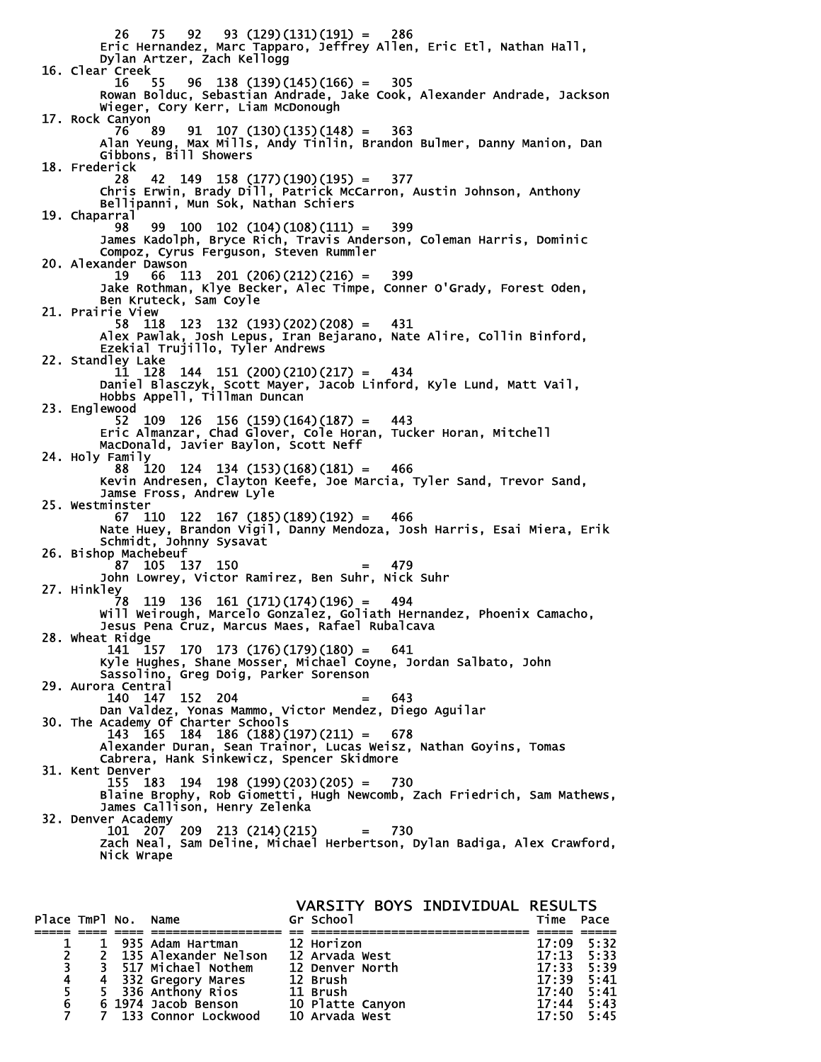26 75 92 93 (129)(131)(191) = 286 Eric Hernandez, Marc Tapparo, Jeffrey Allen, Eric Etl, Nathan Hall, Dylan Artzer, Zach Kellogg 16. Clear Creek<br>16 55 16 55 96 138 (139)(145)(166) = 305 Rowan Bolduc, Sebastian Andrade, Jake Cook, Alexander Andrade, Jackson Wieger, Cory Kerr, Liam McDonough 17. Rock Canyon 76 89 91 107 (130)(135)(148) = 363 Alan Yeung, Max Mills, Andy Tinlin, Brandon Bulmer, Danny Manion, Dan Gibbons, Bill Showers 18. Frederick 28 42 149 158 (177)(190)(195) = 377 Chris Erwin, Brady Dill, Patrick McCarron, Austin Johnson, Anthony Bellipanni, Mun Sok, Nathan Schiers 19. Chaparral  $98$   $99$   $100$   $102$   $(104)$  $(108)$  $(111)$  = 399 James Kadolph, Bryce Rich, Travis Anderson, Coleman Harris, Dominic Compoz, Cyrus Ferguson, Steven Rummler 20. Alexander Dawson 19 66 113 201 (206)(212)(216) = 399 Jake Rothman, Klye Becker, Alec Timpe, Conner O'Grady, Forest Oden, Ben Kruteck, Sam Coyle 21. Prairie View 58 118 123 132 (193)(202)(208) = 431 Alex Pawlak, Josh Lepus, Iran Bejarano, Nate Alire, Collin Binford, Ezekial Trujillo, Tyler Andrews 22. Standley Lake 11 128 144 151 (200)(210)(217) = 434 Daniel Blasczyk, Scott Mayer, Jacob Linford, Kyle Lund, Matt Vail, Hobbs Appell, Tillman Duncan 23. Englewood  $52 \quad 109 \quad 126 \quad 156 \quad (159) (164) (187) = 443$  Eric Almanzar, Chad Glover, Cole Horan, Tucker Horan, Mitchell MacDonald, Javier Baylon, Scott Neff 24. Holy Family 88 120 124 134 (153)(168)(181) = 466 Kevin Andresen, Clayton Keefe, Joe Marcia, Tyler Sand, Trevor Sand, Jamse Fross, Andrew Lyle 25. Westminster 67 110 122 167 (185)(189)(192) = 466 Nate Huey, Brandon Vigil, Danny Mendoza, Josh Harris, Esai Miera, Erik Schmidt, Johnny Sysavat 26. Bishop Machebeuf 105 137 150 John Lowrey, Victor Ramirez, Ben Suhr, Nick Suhr 27. Hinkley<br>28 78 119 136 161 (171)(174)(196) = 494 Will Weirough, Marcelo Gonzalez, Goliath Hernandez, Phoenix Camacho, Jesus Pena Cruz, Marcus Maes, Rafael Rubalcava 28. Wheat Ridge  $157$  170 173 (176)(179)(180) = 641 Kyle Hughes, Shane Mosser, Michael Coyne, Jordan Salbato, John Sassolino, Greg Doig, Parker Sorenson 29. Aurora Central<br>140 147 152 204 140 147 152 204 = 643 Dan Valdez, Yonas Mammo, Victor Mendez, Diego Aguilar 30. The Academy Of Charter Schools 143 165 184 186 (188)(197)(211) = 678 Alexander Duran, Sean Trainor, Lucas Weisz, Nathan Goyins, Tomas Cabrera, Hank Sinkewicz, Spencer Skidmore 31. Kent Denver 155 183 194 198 (199)(203)(205) = 730 Blaine Brophy, Rob Giometti, Hugh Newcomb, Zach Friedrich, Sam Mathews, James Callison, Henry Zelenka 32. Denver Academy 101 207 209 213 (214)(215) = 730 Zach Neal, Sam Deline, Michael Herbertson, Dylan Badiga, Alex Crawford, Nick Wrape

VARSITY BOYS INDIVIDUAL RESULTS<br>Gr School Time Pace Place TmPl No. Name ===== ==== ==== ================== == ============================== ===== ===== 1 1 935 Adam Hartman 12 Horizon 17:09 5:32<br>
2 2 135 Alexander Nelson 12 Arvada West 17:13 5:33<br>
3 3 517 Michael Nothem 12 Denver North 17:33 5:39 2 2 135 Alexander Nelson 12 Arvada West 17:13 5:33 3 3 517 Michael Nothem 12 Denver North 17:33 5:39 4 4 332 Gregory Mares 12 Brush 17:39 5:41 5 5 336 Anthony Rios 11 Brush 17:40 5:41 1988 States of the Canada Control of the 1988 States of the 17:40 17:40<br>
6 6 1974 Jacob Benson 10 Platte Canyon 17:44 5:43<br>
7 133 Connor Lockwood 10 Arvada West 17:50 5:45 133 Connor Lockwood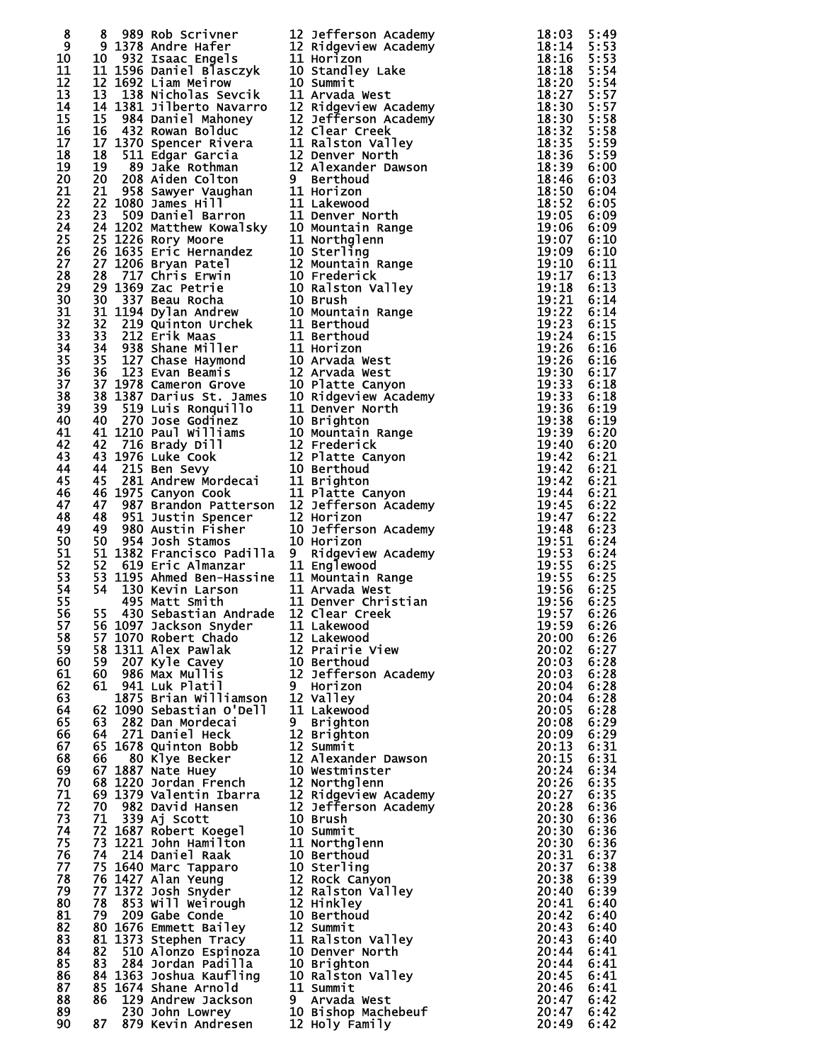| 8               |  |                                                                                                                                                                                                                                                       |                |      |
|-----------------|--|-------------------------------------------------------------------------------------------------------------------------------------------------------------------------------------------------------------------------------------------------------|----------------|------|
| 9               |  |                                                                                                                                                                                                                                                       |                |      |
| 10              |  |                                                                                                                                                                                                                                                       |                |      |
|                 |  |                                                                                                                                                                                                                                                       |                |      |
| 11              |  |                                                                                                                                                                                                                                                       |                |      |
| 12 <sup>2</sup> |  |                                                                                                                                                                                                                                                       |                |      |
| 13              |  |                                                                                                                                                                                                                                                       |                |      |
| 14              |  |                                                                                                                                                                                                                                                       |                |      |
| 15              |  |                                                                                                                                                                                                                                                       |                |      |
| 16              |  |                                                                                                                                                                                                                                                       |                |      |
| 17              |  |                                                                                                                                                                                                                                                       |                |      |
| 18              |  |                                                                                                                                                                                                                                                       |                |      |
| 19              |  |                                                                                                                                                                                                                                                       |                |      |
|                 |  |                                                                                                                                                                                                                                                       |                |      |
| 20              |  |                                                                                                                                                                                                                                                       |                |      |
| 21              |  |                                                                                                                                                                                                                                                       |                |      |
| 22              |  |                                                                                                                                                                                                                                                       |                |      |
| 23              |  |                                                                                                                                                                                                                                                       |                |      |
| 24              |  |                                                                                                                                                                                                                                                       |                |      |
| 25              |  |                                                                                                                                                                                                                                                       |                |      |
| 26              |  |                                                                                                                                                                                                                                                       |                |      |
| 27              |  |                                                                                                                                                                                                                                                       |                |      |
|                 |  |                                                                                                                                                                                                                                                       |                |      |
| 28              |  |                                                                                                                                                                                                                                                       |                |      |
| 29              |  |                                                                                                                                                                                                                                                       |                |      |
| 30              |  |                                                                                                                                                                                                                                                       |                |      |
| 31              |  |                                                                                                                                                                                                                                                       |                |      |
| 32              |  |                                                                                                                                                                                                                                                       |                |      |
| 33              |  |                                                                                                                                                                                                                                                       |                |      |
| 34              |  |                                                                                                                                                                                                                                                       |                |      |
| 35              |  |                                                                                                                                                                                                                                                       |                |      |
|                 |  |                                                                                                                                                                                                                                                       |                |      |
| 36              |  | 8 989 Rob Scriver 12 Jefferson Academy<br>18:03 Rob Scriver 12 Jefferson Academy<br>18:134 Strate Graph 12:13 Jeffers 12 Jefferson Academy<br>18:14 Strate Graph 12:13 Jeffers 11 Hertzon Academy<br>18:14 Strate Graph 12:14 Newslet                 |                |      |
| 37              |  |                                                                                                                                                                                                                                                       |                |      |
| 38              |  |                                                                                                                                                                                                                                                       |                |      |
| 39              |  |                                                                                                                                                                                                                                                       |                |      |
| 40              |  |                                                                                                                                                                                                                                                       |                |      |
| 41              |  |                                                                                                                                                                                                                                                       |                |      |
| 42              |  |                                                                                                                                                                                                                                                       |                |      |
|                 |  |                                                                                                                                                                                                                                                       |                |      |
| 43              |  |                                                                                                                                                                                                                                                       |                |      |
| 44              |  |                                                                                                                                                                                                                                                       |                |      |
| 45              |  |                                                                                                                                                                                                                                                       |                |      |
| 46              |  |                                                                                                                                                                                                                                                       |                |      |
| 47              |  |                                                                                                                                                                                                                                                       |                |      |
| 48              |  |                                                                                                                                                                                                                                                       |                |      |
| 49              |  |                                                                                                                                                                                                                                                       |                |      |
|                 |  |                                                                                                                                                                                                                                                       |                |      |
| 50              |  |                                                                                                                                                                                                                                                       |                |      |
| 51              |  |                                                                                                                                                                                                                                                       |                |      |
| 52              |  |                                                                                                                                                                                                                                                       |                |      |
| 53              |  |                                                                                                                                                                                                                                                       |                |      |
| 54              |  |                                                                                                                                                                                                                                                       |                |      |
| 55              |  |                                                                                                                                                                                                                                                       |                |      |
| 56              |  |                                                                                                                                                                                                                                                       |                |      |
| 57              |  | $\overline{19:59}$ 6:26<br>20:00 6:26<br>20:02 6:27                                                                                                                                                                                                   |                |      |
| 58              |  |                                                                                                                                                                                                                                                       |                |      |
|                 |  |                                                                                                                                                                                                                                                       |                |      |
| 59              |  |                                                                                                                                                                                                                                                       |                |      |
| 60              |  |                                                                                                                                                                                                                                                       | 20:03          | 6:28 |
| 61              |  |                                                                                                                                                                                                                                                       | 20:03 6:28     |      |
| 62              |  |                                                                                                                                                                                                                                                       | 20:04          | 6:28 |
| 63              |  |                                                                                                                                                                                                                                                       | 20:04 6:28     |      |
| 64              |  |                                                                                                                                                                                                                                                       | 20:05          | 6:28 |
| 65              |  |                                                                                                                                                                                                                                                       | 20:08 6:29     |      |
| 66              |  |                                                                                                                                                                                                                                                       | 20:09          | 6:29 |
| 67              |  |                                                                                                                                                                                                                                                       | $20:13$ $6:31$ |      |
|                 |  |                                                                                                                                                                                                                                                       |                |      |
| 68              |  |                                                                                                                                                                                                                                                       | 20:15          | 6:31 |
| 69              |  |                                                                                                                                                                                                                                                       | 20:24 6:34     |      |
| 70              |  |                                                                                                                                                                                                                                                       | 20:26 6:35     |      |
| 71              |  |                                                                                                                                                                                                                                                       | 20:27 6:35     |      |
| 72              |  |                                                                                                                                                                                                                                                       | 20:28          | 6:36 |
| 73              |  |                                                                                                                                                                                                                                                       | 20:30 6:36     |      |
| 74              |  |                                                                                                                                                                                                                                                       | 20:30          | 6:36 |
| 75              |  |                                                                                                                                                                                                                                                       | 20:30          | 6:36 |
| 76              |  |                                                                                                                                                                                                                                                       | 20:31          | 6:37 |
|                 |  |                                                                                                                                                                                                                                                       |                |      |
| 77              |  |                                                                                                                                                                                                                                                       | 20:37 6:38     |      |
| 78              |  |                                                                                                                                                                                                                                                       | 20:38          | 6:39 |
| 79              |  |                                                                                                                                                                                                                                                       | 20:40 6:39     |      |
| 80              |  |                                                                                                                                                                                                                                                       | 20:41          | 6:40 |
| 81              |  |                                                                                                                                                                                                                                                       | 20:42          | 6:40 |
| 82              |  |                                                                                                                                                                                                                                                       | 20:43          | 6:40 |
| 83              |  |                                                                                                                                                                                                                                                       | 20:43 6:40     |      |
| 84              |  |                                                                                                                                                                                                                                                       | 20:44          | 6:41 |
|                 |  |                                                                                                                                                                                                                                                       |                |      |
| 85              |  |                                                                                                                                                                                                                                                       | 20:44 6:41     |      |
| 86              |  |                                                                                                                                                                                                                                                       | 20:45 6:41     |      |
| 87              |  | 36 Matt: Smith" 11 Denver Christian<br>12 Clear Creek<br>55 430 Sebastian Andrade 12 Clear Creek<br>56 1097 Jackson Snyder<br>11 Alex Pawlak<br>58 1311 Alex Pawlak<br>58 1207 Robert Chado<br>58 Max Mullis 12 Deferson Academy<br>60 986 Max Mullis | 20:46 6:41     |      |
| 88              |  |                                                                                                                                                                                                                                                       | 20:47 6:42     |      |
| 89              |  |                                                                                                                                                                                                                                                       | 20:47 6:42     |      |
| 90              |  |                                                                                                                                                                                                                                                       | 20:49          | 6:42 |
|                 |  |                                                                                                                                                                                                                                                       |                |      |

|                              | 2 Jefferson Aca<br>2 Ridgeview Aca<br>1 Horizon<br>0 Stangley Lake<br><b>Jefferson Academy</b>                                                                                                                                                                       |
|------------------------------|----------------------------------------------------------------------------------------------------------------------------------------------------------------------------------------------------------------------------------------------------------------------|
|                              | Ridgeview Academy                                                                                                                                                                                                                                                    |
|                              |                                                                                                                                                                                                                                                                      |
|                              | Summit<br>Arvada West                                                                                                                                                                                                                                                |
|                              | Ridgeview Academy<br>Jefferson Academy                                                                                                                                                                                                                               |
|                              | Clear Creek                                                                                                                                                                                                                                                          |
|                              | Ralston Valley<br>Denver North                                                                                                                                                                                                                                       |
|                              | Alexander Dawson                                                                                                                                                                                                                                                     |
| Г                            | Berthoud<br>Horizon                                                                                                                                                                                                                                                  |
| $\frac{1}{1}$                | Lakewood<br>Denver North                                                                                                                                                                                                                                             |
| $\frac{0}{1}$                | Mountain Range                                                                                                                                                                                                                                                       |
| 0.                           | Northglenn<br>Sterling                                                                                                                                                                                                                                               |
| $\overline{2}$               | Mountain Range                                                                                                                                                                                                                                                       |
| $\mathbf{0}$<br>$\mathbf{0}$ | Frederick<br>Ralston Valley                                                                                                                                                                                                                                          |
| $\mathbf{0}$                 | Brush                                                                                                                                                                                                                                                                |
|                              | Mountain<br>Range<br>Berthoud                                                                                                                                                                                                                                        |
|                              | Berthoud<br>Horizon                                                                                                                                                                                                                                                  |
| 0<br>11<br>10<br>2           | Arvada West                                                                                                                                                                                                                                                          |
| 0.                           | Arvada West<br>Platte Canyon                                                                                                                                                                                                                                         |
| $\frac{0}{1}$                | Ridgeview Academy                                                                                                                                                                                                                                                    |
| $\dot{0}$                    | Denver North<br><b>Brighton</b>                                                                                                                                                                                                                                      |
|                              | Mountain<br>Range                                                                                                                                                                                                                                                    |
| $\frac{0}{2}$                | Frederick<br>Platte Canyon                                                                                                                                                                                                                                           |
|                              |                                                                                                                                                                                                                                                                      |
|                              | <b>2 Piatte Continues</b><br><b>1 Brighton<br/>1 Platte Continues</b><br>2 Horizon<br>2 Horizon<br>Platte Canyon                                                                                                                                                     |
|                              | Jefferson Academy                                                                                                                                                                                                                                                    |
| 0.                           | Jefferson Academy                                                                                                                                                                                                                                                    |
| 0.<br>I.                     | Horizon<br>Ridgeview Academy                                                                                                                                                                                                                                         |
|                              | <i>A Ridgeview Acad</i><br>1 Englewood<br>1 Mountain Range<br>1 Arvada West<br>2 Clear Creek<br>2 Clear Creek<br>1 Elemnood                                                                                                                                          |
|                              |                                                                                                                                                                                                                                                                      |
|                              | Denver Christian                                                                                                                                                                                                                                                     |
|                              |                                                                                                                                                                                                                                                                      |
|                              |                                                                                                                                                                                                                                                                      |
|                              |                                                                                                                                                                                                                                                                      |
|                              | Jefferson Academy                                                                                                                                                                                                                                                    |
|                              |                                                                                                                                                                                                                                                                      |
|                              |                                                                                                                                                                                                                                                                      |
|                              |                                                                                                                                                                                                                                                                      |
|                              | Alexander Dawson                                                                                                                                                                                                                                                     |
|                              |                                                                                                                                                                                                                                                                      |
|                              | Ridgeview Academy<br>Jefferson Academy                                                                                                                                                                                                                               |
|                              |                                                                                                                                                                                                                                                                      |
|                              |                                                                                                                                                                                                                                                                      |
|                              |                                                                                                                                                                                                                                                                      |
|                              |                                                                                                                                                                                                                                                                      |
|                              | Ralston Valley                                                                                                                                                                                                                                                       |
|                              | <b>1 Lakewood 2 Lakewood</b><br>1 Lakewood<br>2 Prairie View<br>0 Berthoud<br>1 Lakewood Brighton<br>1 Lakewood Brighton<br>1 Lakewood Brighton<br>2 Summit 2 Alexander Day<br>2 Northglenn AC 2 Jefferson AC<br>2 Ridgeview AC<br>2 Jefferson AC<br>10 Brush 0 Summ |
|                              | Ralston Valley                                                                                                                                                                                                                                                       |
|                              |                                                                                                                                                                                                                                                                      |
|                              | ر gnton<br>0 Ralston Valley<br>1 Summit                                                                                                                                                                                                                              |
|                              |                                                                                                                                                                                                                                                                      |
|                              | , Arvada West<br>O Bishop Machebeuf<br>2 Holy Family                                                                                                                                                                                                                 |
|                              |                                                                                                                                                                                                                                                                      |

| 2<br>2<br>0 |                               |
|-------------|-------------------------------|
|             |                               |
|             |                               |
|             |                               |
|             |                               |
|             |                               |
|             | 66666666666666666666666666666 |
|             |                               |
|             |                               |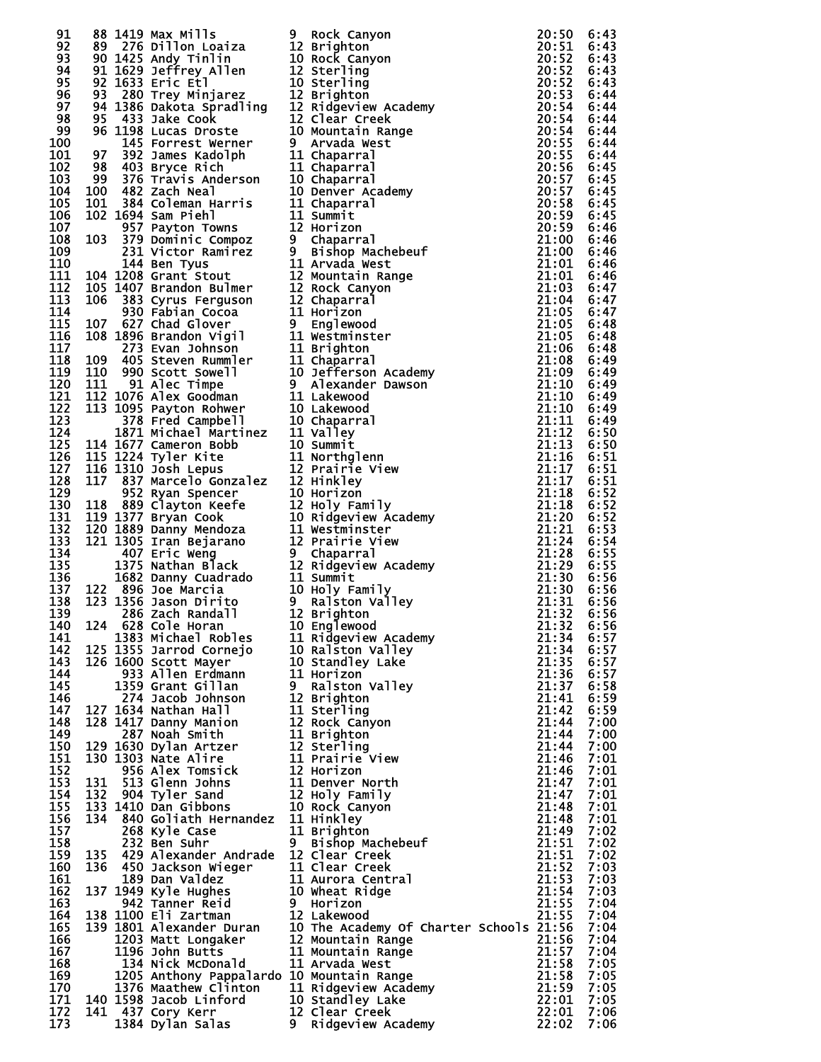| 91                                                                           | 88         | 1419                    | Max Mills                                    | 9<br>1                                  |
|------------------------------------------------------------------------------|------------|-------------------------|----------------------------------------------|-----------------------------------------|
| 92                                                                           | 89<br>90   | 276                     | Dillon Loaiza                                |                                         |
| 93<br>94                                                                     | 91         | 1425<br>1629            | Andy Tinlin<br>Jeffrey Allen                 | 1<br>1<br>1<br>1<br>1                   |
| 95                                                                           | 92         | 1633                    | Eric Etl                                     |                                         |
| 96<br>97                                                                     | 93<br>94   | 280<br>1386             | Trey Minjarez                                |                                         |
| 98                                                                           | 95         | 433                     | Dakota Spradling<br>Jake Cook                |                                         |
| 99                                                                           | 96         | 1198                    | Lucas Droste                                 | 1<br>1<br>1<br>9<br>1                   |
| 100<br>101                                                                   | 97         | 145<br>392              | <b>Forrest Werner</b><br>James Kadolph       |                                         |
| 102                                                                          | 98         | 403                     | Bryce Rich                                   | $\mathbf{1}$                            |
| 103                                                                          | 99         | 376                     | Travis Anderson                              | 1                                       |
| 104<br>105                                                                   | 100<br>101 | 482<br>384              | Zach Neal<br>Coleman Harris                  | 1                                       |
| 106                                                                          | 102        | 1694                    | Sam Piehl                                    |                                         |
| 107                                                                          |            | 957                     | Payton Towns                                 | <b>111991</b>                           |
| 108<br>109                                                                   | 103        | $\overline{379}$<br>231 | Dominic Compoz<br>Victor Ramirez             |                                         |
| 110                                                                          |            | 144                     | Ben Tyus                                     |                                         |
| 111                                                                          | 104        | 1208                    | Grant Stout                                  | 1                                       |
| 112<br>113                                                                   | 105<br>106 | 383                     | 1407 Brandon Bulmer<br><b>Cyrus Ferguson</b> | 1                                       |
| 114                                                                          |            |                         | 930 Fabian Cocoa                             |                                         |
| 115                                                                          | 107        | 627                     | Chad Glover                                  |                                         |
| 116<br>117                                                                   | 108        | 1896<br>273             | Brandon Vigil<br>Evan Johnson                |                                         |
| 118                                                                          | 109        |                         | 405 Steven Rummler                           |                                         |
| 119                                                                          | 110        |                         | 990 Scott Sowell                             |                                         |
| 120<br>121                                                                   | 111<br>112 | 91<br>1076              | Alec Timpe<br>Alex Goodman                   |                                         |
| 122                                                                          | 113        | 1095                    | Payton Rohwer                                |                                         |
| 123<br>124                                                                   |            | 378                     | Fred Campbell                                |                                         |
| 125                                                                          | 114        | 1677                    | 1871 Michael Martinez<br>Cameron Bobb        |                                         |
| 126                                                                          | 115        | 1224                    | Tyler Kite                                   |                                         |
| $\begin{array}{c}\n\overline{1}\overline{2}\overline{7} \\ 128\n\end{array}$ | 116        | 1310                    | Josh Lepus                                   |                                         |
| 129                                                                          | 117        | 837<br>952              | Marcelo Gonzalez<br>Ryan Spencer             |                                         |
| 130                                                                          | 118        | 889                     | Clayton Keefe                                |                                         |
| 131                                                                          | 119        | 1377                    | Bryan Cook                                   |                                         |
| $\overline{1}\overline{3}\overline{2}$<br>133                                | 120<br>121 | 1889<br>1305            | Danny Mendoza<br>Iran Bejarano               | 119111110111111111111111111011          |
| 134                                                                          |            | 407                     | Eric Weng                                    |                                         |
| 135                                                                          |            | 1375                    | Nathan Black                                 |                                         |
| 136<br>137                                                                   | 122        |                         | 1682 Danny Cuadrado                          |                                         |
| 138                                                                          | 123        |                         | .<br>1356 Joe Marcia<br>1356 Jason Dirito    |                                         |
| 139                                                                          |            | 286                     | Zach Randall                                 |                                         |
| 140<br>141                                                                   | 124        | 1383                    | 628 Cole Horan<br>Michael Robles             | $\overline{\mathbf{1}}$<br>1            |
| 142                                                                          | 125        | 1355                    | Jarrod Cornejo                               | 1                                       |
| 143                                                                          | 126        | 1600                    | Scott Mayer                                  | $\mathbf{1}$                            |
| 144<br>145                                                                   |            | 933<br>1359             | Allen Erdmann<br>Grant Gillan                | 1                                       |
| 146                                                                          |            | 274                     | Jacob<br><b>Johnson</b>                      | $\frac{9}{1}$                           |
| 147                                                                          | 127        | 1634                    | Nathan Hall                                  | 1<br>1                                  |
| 148<br>149                                                                   | 128        | 1417<br>287             | Danny Manion<br>Noah Smith                   | 1                                       |
| 150                                                                          | 129        | 1630                    | Dylan Artzer                                 |                                         |
| 151<br>152                                                                   | 130        | 1303<br>956             | Nate Alire                                   | 1<br>1<br>1<br>1                        |
| 153                                                                          | 131        | 513                     | Alex Tomsick<br>Glenn<br><b>Johns</b>        |                                         |
| 154                                                                          | 132        | 904                     | Tyler Sand                                   |                                         |
| 155<br>156                                                                   | 133<br>134 | 1410<br>840             | Dan Gibbons<br>Goliath Hernandez             | 1<br>1<br>1<br>1<br>1                   |
| 157                                                                          |            | 268                     | Kyle Case                                    |                                         |
| 158                                                                          |            | 232                     | Ben Suhr                                     | $\frac{9}{1}$                           |
| 159<br>160                                                                   | 135<br>136 | 429<br>450              | Alexander Andrade<br>Jackson Wieger          |                                         |
| 161                                                                          |            | 189                     | Dan Valdez                                   | 1                                       |
| 162                                                                          | 137        | 1949                    | Kyle Hughes                                  | 1                                       |
| 163<br>164                                                                   | 138        | 942<br>1100             | Tanner Reid<br>Eli Zartman                   | $\frac{9}{1}$                           |
| 165                                                                          | 139        | 1801                    | Alexander Duran                              |                                         |
| 166                                                                          |            | 1203                    | Matt Longaker                                | 1<br>1<br>1                             |
| 167<br>168                                                                   |            | 1196<br>134             | John Butts<br>Nick McDonald                  | $\overline{\mathbf{1}}$                 |
| 169                                                                          |            | 1205                    | Anthony Pappalardo                           | 1                                       |
| 170                                                                          |            | 1376                    | Maathew Clinton                              | $\overline{\mathbf{1}}$<br>$\mathbf{1}$ |
| 171<br>172                                                                   | 140<br>141 | 1598<br>437             | Jacob Linford<br>Cory Kerr                   | 1                                       |
| 173                                                                          |            | 1384                    | Dylan Salas                                  | g                                       |

| 91  |     |                                           |   |                                                                                                                                                                                                                                       |       | 6:43 |
|-----|-----|-------------------------------------------|---|---------------------------------------------------------------------------------------------------------------------------------------------------------------------------------------------------------------------------------------|-------|------|
| 92  |     |                                           |   |                                                                                                                                                                                                                                       |       | 6:43 |
| 93  |     |                                           |   | 88 1479 Max Mills (1911 m Rock Canyon (1911)<br>189 276 of the Way Mills (1911)<br>171 1625 and Friedrich III and Rock Canyon (1911)<br>171 1623 and Friedrich III and Rock Canyon (1911)<br>1893 and Friedrich III and Rock Canyon ( |       | 6:43 |
|     |     |                                           |   |                                                                                                                                                                                                                                       |       |      |
| 94  |     |                                           |   |                                                                                                                                                                                                                                       |       | 6:43 |
| 95  |     |                                           |   |                                                                                                                                                                                                                                       |       | 6:43 |
| 96  |     |                                           |   |                                                                                                                                                                                                                                       |       | 6:44 |
|     |     |                                           |   |                                                                                                                                                                                                                                       |       |      |
| 97  |     |                                           |   |                                                                                                                                                                                                                                       |       | 6:44 |
| 98  |     |                                           |   |                                                                                                                                                                                                                                       |       | 6:44 |
| 99  |     |                                           |   |                                                                                                                                                                                                                                       |       | 6:44 |
|     |     |                                           |   |                                                                                                                                                                                                                                       |       |      |
| 100 |     |                                           |   |                                                                                                                                                                                                                                       |       | 6:44 |
| 101 |     |                                           |   |                                                                                                                                                                                                                                       |       | 6:44 |
| 102 |     |                                           |   |                                                                                                                                                                                                                                       |       | 6:45 |
|     |     |                                           |   |                                                                                                                                                                                                                                       |       |      |
| 103 |     |                                           |   |                                                                                                                                                                                                                                       |       | 6:45 |
| 104 |     |                                           |   |                                                                                                                                                                                                                                       |       | 6:45 |
| 105 |     |                                           |   |                                                                                                                                                                                                                                       |       | 6:45 |
| 106 |     |                                           |   |                                                                                                                                                                                                                                       |       | 6:45 |
|     |     |                                           |   |                                                                                                                                                                                                                                       |       |      |
| 107 |     |                                           |   |                                                                                                                                                                                                                                       |       | 6:46 |
| 108 |     |                                           |   |                                                                                                                                                                                                                                       |       | 6:46 |
| 109 |     |                                           |   |                                                                                                                                                                                                                                       |       | 6:46 |
|     |     |                                           |   |                                                                                                                                                                                                                                       |       |      |
| 110 |     |                                           |   |                                                                                                                                                                                                                                       |       | 6:46 |
| 111 |     |                                           |   |                                                                                                                                                                                                                                       |       | 6:46 |
| 112 |     |                                           |   |                                                                                                                                                                                                                                       |       | 6:47 |
|     |     |                                           |   |                                                                                                                                                                                                                                       |       |      |
| 113 |     |                                           |   |                                                                                                                                                                                                                                       |       | 6:47 |
| 114 |     |                                           |   |                                                                                                                                                                                                                                       |       | 6:47 |
| 115 |     |                                           |   |                                                                                                                                                                                                                                       |       | 6:48 |
| 116 |     |                                           |   |                                                                                                                                                                                                                                       |       | 6:48 |
|     |     |                                           |   |                                                                                                                                                                                                                                       |       |      |
| 117 |     |                                           |   |                                                                                                                                                                                                                                       |       | 6:48 |
| 118 |     |                                           |   |                                                                                                                                                                                                                                       |       | 6:49 |
|     |     |                                           |   |                                                                                                                                                                                                                                       |       |      |
| 119 |     |                                           |   |                                                                                                                                                                                                                                       |       | 6:49 |
| 120 |     |                                           |   |                                                                                                                                                                                                                                       |       | 6:49 |
| 121 |     |                                           |   |                                                                                                                                                                                                                                       |       | 6:49 |
| 122 |     |                                           |   |                                                                                                                                                                                                                                       |       | 6:49 |
|     |     |                                           |   |                                                                                                                                                                                                                                       |       |      |
| 123 |     |                                           |   |                                                                                                                                                                                                                                       |       | 6:49 |
| 124 |     |                                           |   |                                                                                                                                                                                                                                       |       | 6:50 |
| 125 |     |                                           |   |                                                                                                                                                                                                                                       |       |      |
|     |     |                                           |   |                                                                                                                                                                                                                                       |       | 6:50 |
| 126 |     |                                           |   |                                                                                                                                                                                                                                       |       | 6:51 |
| 127 |     |                                           |   |                                                                                                                                                                                                                                       |       | 6:51 |
| 128 |     |                                           |   |                                                                                                                                                                                                                                       |       | 6:51 |
|     |     |                                           |   |                                                                                                                                                                                                                                       |       |      |
| 129 |     |                                           |   |                                                                                                                                                                                                                                       |       | 6:52 |
| 130 |     |                                           |   |                                                                                                                                                                                                                                       |       | 6:52 |
| 131 |     |                                           |   |                                                                                                                                                                                                                                       |       | 6:52 |
|     |     |                                           |   |                                                                                                                                                                                                                                       |       |      |
| 132 |     |                                           |   |                                                                                                                                                                                                                                       |       | 6:53 |
| 133 |     |                                           |   |                                                                                                                                                                                                                                       |       | 6:54 |
| 134 |     |                                           |   |                                                                                                                                                                                                                                       |       | 6:55 |
|     |     |                                           |   |                                                                                                                                                                                                                                       |       |      |
| 135 |     |                                           |   |                                                                                                                                                                                                                                       |       | 6:55 |
| 136 |     |                                           |   |                                                                                                                                                                                                                                       |       | 6:56 |
| 137 |     |                                           |   |                                                                                                                                                                                                                                       |       | 6:56 |
|     |     |                                           |   |                                                                                                                                                                                                                                       |       |      |
| 138 |     |                                           |   |                                                                                                                                                                                                                                       |       | 6:56 |
| 139 |     |                                           |   |                                                                                                                                                                                                                                       |       | 6:56 |
| 140 |     | $124$ $\overline{628}$ Cole Horan         |   | <b>10 Englewood</b>                                                                                                                                                                                                                   | 21:32 | 6:56 |
|     |     |                                           |   |                                                                                                                                                                                                                                       |       |      |
| 141 |     | 1383 Michael Robles                       |   | 11 Ridgeview Academy                                                                                                                                                                                                                  | 21:34 | 6:57 |
| 142 |     | 125 1355 Jarrod Cornejo                   |   | 10 Ralston Valley                                                                                                                                                                                                                     | 21:34 | 6:57 |
| 143 |     | 126 1600 Scott Mayer                      |   | 10 Standley Lake                                                                                                                                                                                                                      | 21:35 | 6:57 |
| 144 |     | 933 Allen Erdmann                         |   | 11 Horizon                                                                                                                                                                                                                            | 21:36 | 6:57 |
|     |     |                                           |   |                                                                                                                                                                                                                                       |       |      |
| 145 |     | 1359 Grant Gillan                         |   | 9 Ralston Valley                                                                                                                                                                                                                      | 21:37 | 6:58 |
| 146 |     | 274 Jacob Johnson                         |   | 12 Brighton                                                                                                                                                                                                                           | 21:41 | 6:59 |
| 147 |     | 127 1634 Nathan Hall                      |   | 11 Sterling                                                                                                                                                                                                                           | 21:42 | 6:59 |
|     |     |                                           |   |                                                                                                                                                                                                                                       |       |      |
| 148 |     | 128 1417 Danny Manion                     |   | 12 Rock Canyon                                                                                                                                                                                                                        | 21:44 | 7:00 |
| 149 |     | 287 Noah Smith                            |   | 11 Brighton                                                                                                                                                                                                                           | 21:44 | 7:00 |
| 150 |     | 129 1630 Dylan Artzer                     |   | 12 Sterling                                                                                                                                                                                                                           | 21:44 | 7:00 |
| 151 |     | 130 1303 Nate Alire                       |   | 11 Prairie View                                                                                                                                                                                                                       | 21:46 | 7:01 |
|     |     |                                           |   |                                                                                                                                                                                                                                       |       |      |
| 152 |     | 956 Alex Tomsick                          |   | 12 Horizon                                                                                                                                                                                                                            | 21:46 | 7:01 |
| 153 | 131 | 513 Glenn Johns                           |   | 11 Denver North                                                                                                                                                                                                                       | 21:47 | 7:01 |
| 154 | 132 | 904 Tyler Sand                            |   | 12 Holy Family                                                                                                                                                                                                                        | 21:47 | 7:01 |
|     |     |                                           |   |                                                                                                                                                                                                                                       |       |      |
| 155 |     | 133 1410 Dan Gibbons                      |   | 10 Rock Canyon                                                                                                                                                                                                                        | 21:48 | 7:01 |
| 156 | 134 | 840 Goliath Hernandez                     |   | 11 Hinkley                                                                                                                                                                                                                            | 21:48 | 7:01 |
| 157 |     | 268 Kyle Case                             |   | 11 Brighton                                                                                                                                                                                                                           | 21:49 | 7:02 |
| 158 |     | 232 Ben Suhr                              | 9 |                                                                                                                                                                                                                                       | 21:51 | 7:02 |
|     |     |                                           |   | Bishop Machebeuf                                                                                                                                                                                                                      |       |      |
| 159 | 135 | 429 Alexander Andrade                     |   | 12 Clear Creek                                                                                                                                                                                                                        | 21:51 | 7:02 |
| 160 | 136 | 450 Jackson Wieger                        |   | 11 Clear Creek                                                                                                                                                                                                                        | 21:52 | 7:03 |
| 161 |     | 189 Dan Valdez                            |   | 11 Aurora Central                                                                                                                                                                                                                     | 21:53 | 7:03 |
|     |     |                                           |   |                                                                                                                                                                                                                                       |       |      |
| 162 |     | 137 1949 Kyle Hughes                      |   | 10 Wheat Ridge                                                                                                                                                                                                                        | 21:54 | 7:03 |
| 163 |     | 942 Tanner Reid                           |   | 9 Horizon                                                                                                                                                                                                                             | 21:55 | 7:04 |
| 164 |     | 138 1100 Eli Zartman                      |   | 12 Lakewood                                                                                                                                                                                                                           | 21:55 | 7:04 |
|     |     |                                           |   |                                                                                                                                                                                                                                       |       |      |
| 165 |     | 139 1801 Alexander Duran                  |   | 10 The Academy Of Charter Schools 21:56                                                                                                                                                                                               |       | 7:04 |
| 166 |     | 1203 Matt Longaker                        |   | 12 Mountain Range                                                                                                                                                                                                                     | 21:56 | 7:04 |
| 167 |     | 1196 John Butts                           |   | 11 Mountain Range                                                                                                                                                                                                                     | 21:57 | 7:04 |
|     |     |                                           |   |                                                                                                                                                                                                                                       |       |      |
| 168 |     | 134 Nick McDonald                         |   | 11 Arvada West                                                                                                                                                                                                                        | 21:58 | 7:05 |
| 169 |     | 1205 Anthony Pappalardo 10 Mountain Range |   |                                                                                                                                                                                                                                       | 21:58 | 7:05 |
| 170 |     | 1376 Maathew Clinton                      |   | 11 Ridgeview Academy<br>10 Stardlay Lake                                                                                                                                                                                              | 21:59 | 7:05 |
| 171 |     |                                           |   |                                                                                                                                                                                                                                       |       | 7:05 |
|     |     | 140 1598 Jacob Linford                    |   | 10 Standley Lake                                                                                                                                                                                                                      | 22:01 |      |
| 172 |     | 141 437 Cory Kerr                         |   | 12 Clear Creek                                                                                                                                                                                                                        | 22:01 | 7:06 |
| 173 |     | 1384 Dylan Salas                          | 9 | Ridgeview Academy                                                                                                                                                                                                                     | 22:02 | 7:06 |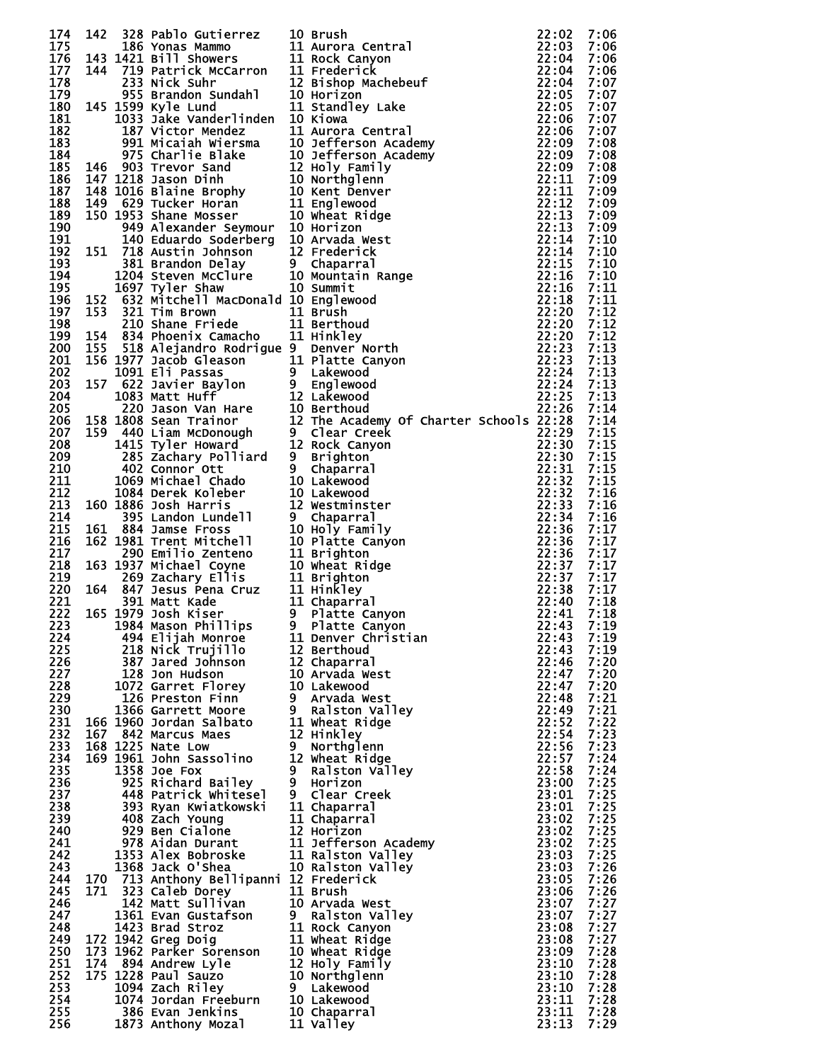| 174        |     |                                                                                      | 142 328 Pablo Gutierrez 10 Brush<br>142 186 Yonas Mammo 11 Aurora Central<br>143 1421 Bill Showers 11 Rock Canyon<br>144 719 Patrick McCarron 11 Frederick<br>22:04<br>144 719 Patrick McCarron 11 Frederick<br>22:04<br>145 1393 Nyle Lund |                | 7:06         |
|------------|-----|--------------------------------------------------------------------------------------|---------------------------------------------------------------------------------------------------------------------------------------------------------------------------------------------------------------------------------------------|----------------|--------------|
| 175        |     |                                                                                      |                                                                                                                                                                                                                                             |                | 7:06         |
| 176        |     |                                                                                      |                                                                                                                                                                                                                                             |                | 7:06         |
| 177<br>178 |     |                                                                                      |                                                                                                                                                                                                                                             |                | 7:06<br>7:07 |
| 179        |     |                                                                                      |                                                                                                                                                                                                                                             |                | 7:07         |
| 180        |     |                                                                                      |                                                                                                                                                                                                                                             |                | 7:07         |
| 181        |     |                                                                                      |                                                                                                                                                                                                                                             |                | 7:07         |
| 182        |     |                                                                                      |                                                                                                                                                                                                                                             |                | 7:07         |
| 183        |     |                                                                                      |                                                                                                                                                                                                                                             |                | 7:08         |
| 184<br>185 |     |                                                                                      |                                                                                                                                                                                                                                             |                | 7:08<br>7:08 |
| 186        |     |                                                                                      |                                                                                                                                                                                                                                             |                | 7:09         |
| 187        |     |                                                                                      |                                                                                                                                                                                                                                             |                | 7:09         |
| 188        |     |                                                                                      |                                                                                                                                                                                                                                             |                | 7:09         |
| 189        |     |                                                                                      |                                                                                                                                                                                                                                             |                | 7:09         |
| 190<br>191 |     |                                                                                      |                                                                                                                                                                                                                                             |                | 7:09<br>7:10 |
| 192        |     |                                                                                      |                                                                                                                                                                                                                                             |                | 7:10         |
| 193        |     |                                                                                      |                                                                                                                                                                                                                                             |                | 7:10         |
| 194        |     |                                                                                      |                                                                                                                                                                                                                                             |                | 7:10         |
| 195        |     |                                                                                      | 1697 Tyler Shaw 10 Summit<br>632 Mitchell MacDonald 10 Englewood<br>321 Tim Brown 11 Brush<br>210 Shane Friede 11 Berthoud<br>834 Phoenix Camacho 11 Hinkley<br>518 Alejandro Rodrigue 9 Denver North<br>1977 Jacob Gleason 11 Platte Cany  |                | 7:11         |
| 196        | 152 |                                                                                      |                                                                                                                                                                                                                                             | 22:18          | 7:11         |
| 197<br>198 |     | 153 321 Tim Brown<br>210 Shane Friede 11 Brush<br>154 834 Phoenix Camacho 11 Hinkley |                                                                                                                                                                                                                                             | 22:20<br>22:20 | 7:12<br>7:12 |
| 199        |     |                                                                                      |                                                                                                                                                                                                                                             | 22:20          | 7:12         |
| 200        | 155 |                                                                                      |                                                                                                                                                                                                                                             | 22:23          | 7:13         |
| 201        |     |                                                                                      |                                                                                                                                                                                                                                             |                | 7:13         |
| 202        |     |                                                                                      |                                                                                                                                                                                                                                             |                | 7:13         |
| 203        |     |                                                                                      |                                                                                                                                                                                                                                             |                | 7:13         |
| 204<br>205 |     |                                                                                      |                                                                                                                                                                                                                                             |                | 7:13<br>7:14 |
| 206        |     |                                                                                      |                                                                                                                                                                                                                                             |                | 7:14         |
| 207        |     |                                                                                      |                                                                                                                                                                                                                                             |                | 7:15         |
| 208        |     |                                                                                      |                                                                                                                                                                                                                                             |                | 7:15         |
| 209        |     |                                                                                      |                                                                                                                                                                                                                                             |                | 7:15         |
| 210        |     |                                                                                      |                                                                                                                                                                                                                                             |                | 7:15         |
| 211<br>212 |     |                                                                                      |                                                                                                                                                                                                                                             |                | 7:15<br>7:16 |
| 213        |     |                                                                                      |                                                                                                                                                                                                                                             |                | 7:16         |
| 214        |     |                                                                                      |                                                                                                                                                                                                                                             |                | 7:16         |
| 215        |     |                                                                                      |                                                                                                                                                                                                                                             |                | 7:17         |
| 216        |     |                                                                                      | 155 534 Phoenix Camacio 11 Hinkiey<br>155 518 Alejandro Rodrigue 9 Denver North 222:23<br>156 157 Jacob Glason 11 Platte Canyon 22:24<br>167 622 Javier Baylon 9 Lakewood<br>167 622 Javier Baylon 22 Lakewood<br>1783 Matt Huff 12 Del     |                | 7:17         |
| 217<br>218 |     |                                                                                      |                                                                                                                                                                                                                                             |                | 7:17<br>7:17 |
| 219        |     |                                                                                      |                                                                                                                                                                                                                                             |                | 7:17         |
| 220        |     |                                                                                      |                                                                                                                                                                                                                                             |                | 7:17         |
| 221        |     |                                                                                      |                                                                                                                                                                                                                                             |                | 7:18         |
| 222        |     |                                                                                      |                                                                                                                                                                                                                                             |                | 7:18         |
| 223        |     |                                                                                      |                                                                                                                                                                                                                                             | 22:43 7:19     |              |
| 224<br>225 |     | 494 Elijah Monroe<br>218 Nick Trujillo                                               | 11 Denver Christian<br>12 Berthoud                                                                                                                                                                                                          | 22:43<br>22:43 | 7:19<br>7:19 |
| 226        |     | 387 Jared Johnson                                                                    | 12 Chaparral                                                                                                                                                                                                                                | 22:46          | 7:20         |
| 227        |     | 128 Jon Hudson                                                                       | 10 Arvada West                                                                                                                                                                                                                              | 22:47          | 7:20         |
| 228        |     | 1072 Garret Florey                                                                   | 10 Lakewood<br>9  Arvada W                                                                                                                                                                                                                  | 22:47          | 7:20         |
| 229        |     | 126 Preston Finn                                                                     | 9 Arvada West                                                                                                                                                                                                                               | 22:48          | 7:21         |
| 230<br>231 |     | 1366 Garrett Moore<br>166 1960 Jordan Salbato                                        | 9 Ralston Valley<br>11 Wheat Ridge                                                                                                                                                                                                          | 22:49<br>22:52 | 7:21<br>7:22 |
| 232        |     | 167 842 Marcus Maes                                                                  | 12 Hinkley                                                                                                                                                                                                                                  | 22:54          | 7:23         |
| 233        |     | 168 1225 Nate Low                                                                    | 9 Northglenn                                                                                                                                                                                                                                | 22:56          | 7:23         |
| 234        |     | 169 1961 John Sassolino                                                              | 12 Wheat Ridge                                                                                                                                                                                                                              | 22:57          | 7:24         |
| 235        |     | 1358 Joe Fox                                                                         | 9 Ralston Valley                                                                                                                                                                                                                            | 22:58          | 7:24         |
| 236        |     | 925 Richard Bailey                                                                   | 9 Horizon                                                                                                                                                                                                                                   | 23:00          | 7:25         |
| 237<br>238 |     | 448 Patrick Whitesel<br>393 Ryan Kwiatkowski                                         | 9 Clear Creek<br>11 Chaparral                                                                                                                                                                                                               | 23:01<br>23:01 | 7:25<br>7:25 |
| 239        |     | 408 Zach Young                                                                       | 11 Chaparral                                                                                                                                                                                                                                | 23:02          | 7:25         |
| 240        |     | 929 Ben Cialone<br>978 Aidan Durant                                                  | 12 Horizon                                                                                                                                                                                                                                  | 23:02          | 7:25         |
| 241        |     |                                                                                      | 11 Jefferson Academy                                                                                                                                                                                                                        | 23:02          | 7:25         |
| 242        |     | 1353 Alex Bobroske                                                                   | 11 Ralston Valley                                                                                                                                                                                                                           | 23:03          | 7:25         |
| 243<br>244 |     | 1368 Jack O'Shea<br>170 713 Anthony Bellipanni 12 Frederick                          | 10 Ralston Valley                                                                                                                                                                                                                           | 23:03<br>23:05 | 7:26         |
| 245        |     | 171 323 Caleb Dorey                                                                  | 11 Brush                                                                                                                                                                                                                                    | 23:06          | 7:26<br>7:26 |
| 246        |     | 142 Matt Sullivan                                                                    | 10 Arvada West                                                                                                                                                                                                                              | 23:07          | 7:27         |
| 247        |     | 1361 Evan Gustafson                                                                  | 9 Ralston Valley                                                                                                                                                                                                                            | 23:07          | 7:27         |
| 248        |     | 1423 Brad Stroz                                                                      | 11 Rock Canyon                                                                                                                                                                                                                              | 23:08          | 7:27         |
| 249        |     | 172 1942 Greg Doig                                                                   | 11 Wheat Ridge                                                                                                                                                                                                                              | 23:08          | 7:27         |
| 250<br>251 |     | 173 1962 Parker Sorenson<br>174 894 Andrew Lyle                                      | 10 Wheat Ridge<br>12 Holy Family                                                                                                                                                                                                            | 23:09<br>23:10 | 7:28<br>7:28 |
| 252        |     | 175 1228 Paul Sauzo                                                                  | 10 Northglenn                                                                                                                                                                                                                               | 23:10          | 7:28         |
| 253        |     | 1094 Zach Riley                                                                      | 9 Lakewood                                                                                                                                                                                                                                  | 23:10          | 7:28         |
| 254        |     | 1074 Jordan Freeburn<br>386 Evan Jenkins<br>1873 Anthony Mozal                       | 10 Lakewood                                                                                                                                                                                                                                 | 23:11          | 7:28         |
| 255        |     |                                                                                      | 10 Chaparral                                                                                                                                                                                                                                | 23:11          | 7:28         |
| 256        |     |                                                                                      | 11 Valley                                                                                                                                                                                                                                   | 23:13          | 7:29         |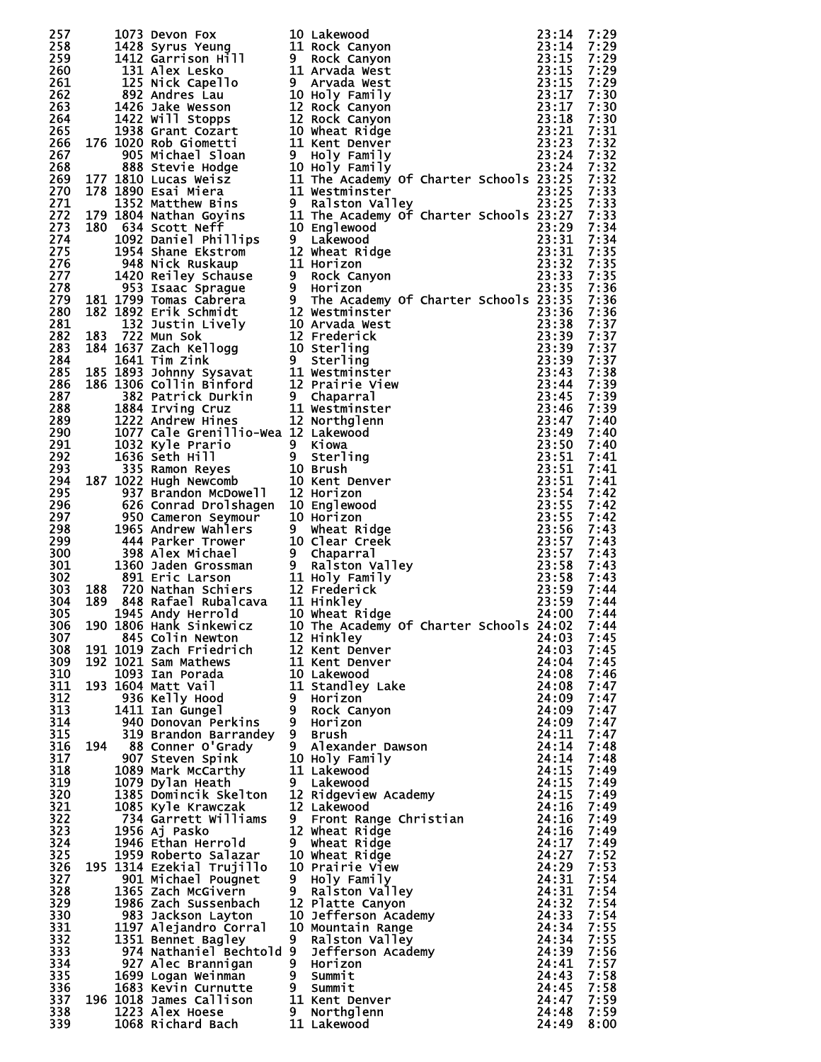| 257        |  |                                                                                                             | 1073 Devon Fox. 100 Lakewood<br>1428 Syrus Yeung 10 Rock Canyon 23:114<br>1428 Syrus Yeung 11 Bock Canyon 23:115<br>1228 Syrus Capello 9 Rock Canyon<br>12 Date Lesko 10 11 Arvada west<br>23:115 1228 Mdres Lau 9 Arvada west<br>892 And          |                | 7:29         |
|------------|--|-------------------------------------------------------------------------------------------------------------|----------------------------------------------------------------------------------------------------------------------------------------------------------------------------------------------------------------------------------------------------|----------------|--------------|
| 258        |  |                                                                                                             |                                                                                                                                                                                                                                                    |                | 7:29         |
| 259<br>260 |  |                                                                                                             |                                                                                                                                                                                                                                                    |                | 7:29<br>7:29 |
| 261        |  |                                                                                                             |                                                                                                                                                                                                                                                    |                | 7:29         |
| 262        |  |                                                                                                             |                                                                                                                                                                                                                                                    |                | 7:30         |
| 263        |  |                                                                                                             |                                                                                                                                                                                                                                                    |                | 7:30         |
| 264<br>265 |  |                                                                                                             |                                                                                                                                                                                                                                                    |                | 7:30<br>7:31 |
| 266        |  |                                                                                                             |                                                                                                                                                                                                                                                    |                | 7:32         |
| 267        |  |                                                                                                             |                                                                                                                                                                                                                                                    |                | 7:32         |
| 268        |  |                                                                                                             |                                                                                                                                                                                                                                                    |                | 7:32         |
| 269        |  |                                                                                                             |                                                                                                                                                                                                                                                    |                | 7:32         |
| 270<br>271 |  |                                                                                                             |                                                                                                                                                                                                                                                    |                | 7:33<br>7:33 |
| 272        |  |                                                                                                             |                                                                                                                                                                                                                                                    |                | 7:33         |
| 273        |  |                                                                                                             |                                                                                                                                                                                                                                                    |                | 7:34         |
| 274        |  |                                                                                                             |                                                                                                                                                                                                                                                    |                | 7:34         |
| 275<br>276 |  |                                                                                                             |                                                                                                                                                                                                                                                    |                | 7:35<br>7:35 |
| 277        |  |                                                                                                             |                                                                                                                                                                                                                                                    |                | 7:35         |
| 278        |  |                                                                                                             |                                                                                                                                                                                                                                                    |                | 7:36         |
| 279        |  |                                                                                                             | 182 1832 umas currera<br>183 1832 umix currera<br>12 Meximinates 12 Meximinister<br>183 1322 Justin Lively<br>12 Prederick<br>184 1637 Zach Kellogg<br>12 Frederick<br>186 1637 Zach Kellogg<br>10 Sterling<br>10 Sterling<br>185 1893 Johnny Sysa |                | 7:36         |
| 280        |  |                                                                                                             |                                                                                                                                                                                                                                                    |                | 7:36<br>7:37 |
| 281<br>282 |  |                                                                                                             |                                                                                                                                                                                                                                                    |                | 7:37         |
| 283        |  |                                                                                                             |                                                                                                                                                                                                                                                    |                | 7:37         |
| 284        |  |                                                                                                             |                                                                                                                                                                                                                                                    |                | 7:37         |
| 285        |  |                                                                                                             |                                                                                                                                                                                                                                                    |                | 7:38         |
| 286<br>287 |  |                                                                                                             |                                                                                                                                                                                                                                                    |                | 7:39<br>7:39 |
| 288        |  |                                                                                                             |                                                                                                                                                                                                                                                    |                | 7:39         |
| 289        |  |                                                                                                             |                                                                                                                                                                                                                                                    |                | 7:40         |
| 290        |  |                                                                                                             |                                                                                                                                                                                                                                                    | 23:49          | 7:40         |
| 291<br>292 |  |                                                                                                             |                                                                                                                                                                                                                                                    | 23:50<br>23:51 | 7:40<br>7:41 |
| 293        |  |                                                                                                             |                                                                                                                                                                                                                                                    | 23:51          | 7:41         |
| 294        |  |                                                                                                             |                                                                                                                                                                                                                                                    | 23:51          | 7:41         |
| 295        |  |                                                                                                             |                                                                                                                                                                                                                                                    | 23:54          | 7:42         |
| 296        |  |                                                                                                             |                                                                                                                                                                                                                                                    | 23:55          | 7:42         |
| 297<br>298 |  |                                                                                                             |                                                                                                                                                                                                                                                    | 23:55<br>23:56 | 7:42<br>7:43 |
| 299        |  |                                                                                                             |                                                                                                                                                                                                                                                    | 23:57          | 7:43         |
| 300        |  |                                                                                                             |                                                                                                                                                                                                                                                    | 23:57          | 7:43         |
| 301        |  |                                                                                                             |                                                                                                                                                                                                                                                    | 23:58          | 7:43         |
| 302<br>303 |  |                                                                                                             |                                                                                                                                                                                                                                                    | 23:58<br>23:59 | 7:43<br>7:44 |
| 304        |  |                                                                                                             |                                                                                                                                                                                                                                                    | 23:59          | 7:44         |
| 305        |  |                                                                                                             |                                                                                                                                                                                                                                                    | 24:00          | 7:44         |
| 306        |  |                                                                                                             | 190 1806 Hank Sinkewicz<br>845 Colin Newton 12 Hinkley<br>191 1019 Zach Friedrich 12 Kent Denver 24:03<br>191 1019 Zach Friedrich 12 Kent Denver 24:03                                                                                             |                | 7:44         |
| 307<br>308 |  |                                                                                                             |                                                                                                                                                                                                                                                    | 24:03          | 7:45<br>7:45 |
| 309        |  | 192 1021 Sam Mathews                                                                                        | 11 Kent Denver                                                                                                                                                                                                                                     | 24:04          | 7:45         |
| 310        |  |                                                                                                             | 11 Kent Denver<br>10 Lakewood<br>11 Standley Lake<br>9 Horizon                                                                                                                                                                                     | 24:08          | 7:46         |
| 311        |  | 1093 Ian Porada<br>1604 Matt Vail<br>193 1604 Matt Vail                                                     |                                                                                                                                                                                                                                                    | 24:08          | 7:47         |
| 312<br>313 |  | 936 Kelly Hood<br>1411 Ian Gungel                                                                           | 9 Rock Canyon                                                                                                                                                                                                                                      | 24:09<br>24:09 | 7:47<br>7:47 |
| 314        |  | 940 Donovan Perkins                                                                                         | 9 Horizon                                                                                                                                                                                                                                          | 24:09          | 7:47         |
| 315        |  | 319 Brandon Barrandey                                                                                       | 9 Brush                                                                                                                                                                                                                                            | 24:11          | 7:47         |
| 316        |  | 194 88 Conner O'Grady                                                                                       | 9 Alexander Dawson                                                                                                                                                                                                                                 | 24:14          | 7:48         |
| 317        |  | 907 Steven Spink                                                                                            | 10 Holy Family                                                                                                                                                                                                                                     | 24:14          | 7:48         |
| 318<br>319 |  | 1089 Mark McCarthy<br>1079 Dylan Heath                                                                      | 11 Lakewood<br>9 Lakewood                                                                                                                                                                                                                          | 24:15<br>24:15 | 7:49<br>7:49 |
| 320        |  | 1385 Domincik Skelton                                                                                       | 12 Ridgeview Academy                                                                                                                                                                                                                               | 24:15          | 7:49         |
| 321        |  | 1085 Kyle Krawczak                                                                                          | g - Antonoou<br>9 Front Range Christian<br>12 Wheat Ridge                                                                                                                                                                                          | 24:16          | 7:49         |
| 322        |  | 734 Garrett Williams                                                                                        |                                                                                                                                                                                                                                                    | 24:16          | 7:49         |
| 323<br>324 |  | 1956 Aj Pasko<br>1946 Ethan Herrold                                                                         | 9 Wheat Ridge                                                                                                                                                                                                                                      | 24:16<br>24:17 | 7:49<br>7:49 |
| 325        |  | 1959 Roberto Salazar                                                                                        | 10 Wheat Ridge                                                                                                                                                                                                                                     | 24:27          | 7:52         |
| 326        |  | 195 1314 Ezekial Trujillo                                                                                   | 10 Prairie View                                                                                                                                                                                                                                    | 24:29          | 7:53         |
| 327        |  | 901 Michael Pougnet                                                                                         |                                                                                                                                                                                                                                                    | 24:31          | 7:54         |
| 328        |  | 1365 Zach McGivern                                                                                          |                                                                                                                                                                                                                                                    | 24:31          | 7:54         |
| 329<br>330 |  | 1986 Zach Sussenbach<br>983 Jackson Layton                                                                  |                                                                                                                                                                                                                                                    | 24:32<br>24:33 | 7:54<br>7:54 |
| 331        |  | 1197 Alejandro Corral                                                                                       | <b>12 Platte Canyon<br/>10 Jefferson Academy<br/>10 Mountain Range<br/>9 Ralston Valley<br/>9 Jefferson Academy<br/>3 Horizon<br/>1 Summit<br/>1 Versummit</b>                                                                                     | 24:34          | 7:55         |
| 332        |  | 1351 Bennet Bagley                                                                                          |                                                                                                                                                                                                                                                    | 24:34          | 7:55         |
| 333        |  |                                                                                                             | 974 Nathaniel Bechtold 9 Jefferson Academy                                                                                                                                                                                                         | 24:39          | 7:56         |
| 334        |  | 927 Alec Brannigan                                                                                          | 9 Horizon                                                                                                                                                                                                                                          | 24:41          | 7:57         |
| 335<br>336 |  | 1699 Logan Weinman 9 Summit<br>1683 Kevin Curnutte 9 Summit                                                 |                                                                                                                                                                                                                                                    | 24:43<br>24:45 | 7:58<br>7:58 |
| 337        |  | 196 1018 James Callison                                                                                     |                                                                                                                                                                                                                                                    | 24:47          | 7:59         |
| 338        |  | 1018 Dames Callison<br>1018 Dames Callison<br>1223 Alex Hoese 9 Northglenn<br>1068 Richard Bach 11 Lakewood |                                                                                                                                                                                                                                                    | 24:48          | 7:59         |
| 339        |  |                                                                                                             |                                                                                                                                                                                                                                                    | 24:49          | 8:00         |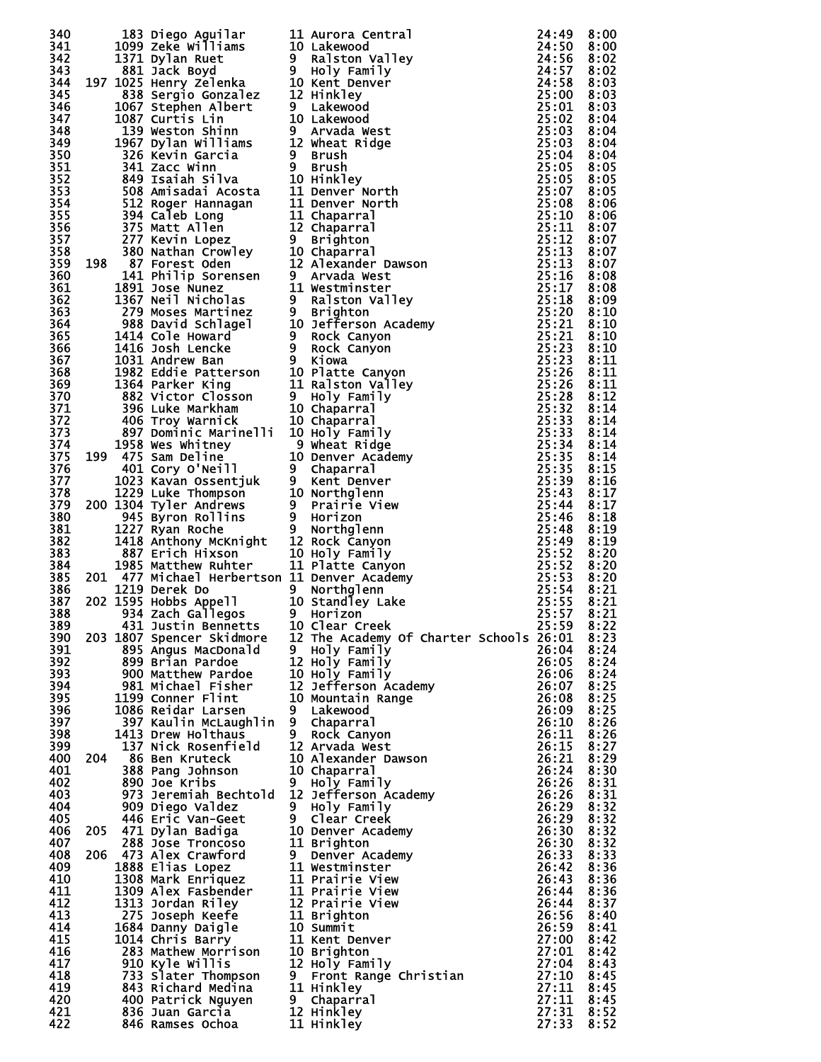| 340        |  |                                                                                                                                                                                                                                                  |                                                                                                                                                                                                                                            |                     | 8:00         |
|------------|--|--------------------------------------------------------------------------------------------------------------------------------------------------------------------------------------------------------------------------------------------------|--------------------------------------------------------------------------------------------------------------------------------------------------------------------------------------------------------------------------------------------|---------------------|--------------|
| 341        |  |                                                                                                                                                                                                                                                  |                                                                                                                                                                                                                                            |                     | 8:00         |
| 342        |  |                                                                                                                                                                                                                                                  |                                                                                                                                                                                                                                            |                     | 8:02         |
| 343        |  |                                                                                                                                                                                                                                                  | 183 Diego Aquilar 111 Aurora Central 24:49<br>1999 Zeke Williams 10 Lakewood<br>1971 Di21 Dia Ruet 9 Raiston Valley<br>1971 Di22 Henry Zelenka 10 Kent Denver<br>1971 Di23 Henry Zelenka 10 Kent Denver<br>1987 Serben Albert 1991 Lake    |                     | 8:02         |
| 344        |  |                                                                                                                                                                                                                                                  |                                                                                                                                                                                                                                            |                     | 8:03         |
| 345        |  |                                                                                                                                                                                                                                                  |                                                                                                                                                                                                                                            |                     | 8:03         |
| 346        |  |                                                                                                                                                                                                                                                  |                                                                                                                                                                                                                                            |                     | 8:03         |
| 347        |  |                                                                                                                                                                                                                                                  |                                                                                                                                                                                                                                            |                     | 8:04         |
| 348        |  |                                                                                                                                                                                                                                                  |                                                                                                                                                                                                                                            |                     | 8:04         |
| 349        |  |                                                                                                                                                                                                                                                  |                                                                                                                                                                                                                                            |                     | 8:04         |
| 350        |  |                                                                                                                                                                                                                                                  |                                                                                                                                                                                                                                            |                     | 8:04         |
| 351        |  |                                                                                                                                                                                                                                                  |                                                                                                                                                                                                                                            |                     | 8:05         |
| 352<br>353 |  |                                                                                                                                                                                                                                                  |                                                                                                                                                                                                                                            |                     | 8:05<br>8:05 |
| 354        |  |                                                                                                                                                                                                                                                  |                                                                                                                                                                                                                                            |                     | 8:06         |
| 355        |  |                                                                                                                                                                                                                                                  |                                                                                                                                                                                                                                            |                     | 8:06         |
| 356        |  |                                                                                                                                                                                                                                                  |                                                                                                                                                                                                                                            |                     | 8:07         |
| 357        |  |                                                                                                                                                                                                                                                  |                                                                                                                                                                                                                                            |                     | 8:07         |
| 358        |  |                                                                                                                                                                                                                                                  |                                                                                                                                                                                                                                            |                     | 8:07         |
| 359        |  |                                                                                                                                                                                                                                                  |                                                                                                                                                                                                                                            |                     | 8:07         |
| 360        |  |                                                                                                                                                                                                                                                  |                                                                                                                                                                                                                                            |                     | 8:08         |
| 361        |  |                                                                                                                                                                                                                                                  |                                                                                                                                                                                                                                            |                     | 8:08         |
| 362        |  |                                                                                                                                                                                                                                                  |                                                                                                                                                                                                                                            |                     | 8:09         |
| 363        |  |                                                                                                                                                                                                                                                  |                                                                                                                                                                                                                                            |                     | 8:10         |
| 364        |  |                                                                                                                                                                                                                                                  |                                                                                                                                                                                                                                            |                     | 8:10         |
| 365        |  |                                                                                                                                                                                                                                                  |                                                                                                                                                                                                                                            |                     | 8:10         |
| 366        |  |                                                                                                                                                                                                                                                  |                                                                                                                                                                                                                                            |                     | 8:10<br>8:11 |
| 367<br>368 |  |                                                                                                                                                                                                                                                  |                                                                                                                                                                                                                                            |                     | 8:11         |
| 369        |  |                                                                                                                                                                                                                                                  |                                                                                                                                                                                                                                            |                     | 8:11         |
| 370        |  |                                                                                                                                                                                                                                                  |                                                                                                                                                                                                                                            |                     | 8:12         |
| 371        |  |                                                                                                                                                                                                                                                  |                                                                                                                                                                                                                                            |                     | 8:14         |
| 372        |  |                                                                                                                                                                                                                                                  |                                                                                                                                                                                                                                            |                     | 8:14         |
| 373        |  |                                                                                                                                                                                                                                                  |                                                                                                                                                                                                                                            |                     | 8:14         |
| 374        |  | 897 Dominic Marinelli 10 Holy Family<br>1958 Wes Whitney 9 Wheat Ridge<br>199 475 Sam Deline 10 Denver Academy<br>401 Cory o'Neill<br>1023 Kavan Ossentjuk 9 Kent Denver<br>1229 Luke Thompson 10 Northglenn<br>200 1304 Tyler Andrews 9 Prairie |                                                                                                                                                                                                                                            | 25:34               | 8:14         |
| 375        |  |                                                                                                                                                                                                                                                  |                                                                                                                                                                                                                                            | 25:35               | 8:14         |
| 376        |  |                                                                                                                                                                                                                                                  |                                                                                                                                                                                                                                            | 25:35               | 8:15         |
| 377        |  |                                                                                                                                                                                                                                                  |                                                                                                                                                                                                                                            | 25:39               | 8:16         |
| 378        |  |                                                                                                                                                                                                                                                  |                                                                                                                                                                                                                                            | 25:43               | 8:17         |
| 379        |  |                                                                                                                                                                                                                                                  |                                                                                                                                                                                                                                            | 25:44               | 8:17         |
| 380        |  |                                                                                                                                                                                                                                                  |                                                                                                                                                                                                                                            | 25:46               | 8:18         |
| 381<br>382 |  |                                                                                                                                                                                                                                                  |                                                                                                                                                                                                                                            | 25:48<br>25:49      | 8:19<br>8:19 |
| 383        |  |                                                                                                                                                                                                                                                  |                                                                                                                                                                                                                                            | 25:52               | 8:20         |
| 384        |  |                                                                                                                                                                                                                                                  |                                                                                                                                                                                                                                            | 25:52               | 8:20         |
| 385        |  | 201 477 Michael Herbertson 11 Denver Academy                                                                                                                                                                                                     |                                                                                                                                                                                                                                            | 25:53               | 8:20         |
| 386        |  |                                                                                                                                                                                                                                                  |                                                                                                                                                                                                                                            | 25:54               | 8:21         |
| 387        |  |                                                                                                                                                                                                                                                  |                                                                                                                                                                                                                                            | 25:55 8:21          |              |
| 388        |  | 1219 Derek Do<br>202 1595 Hobbs Appell<br>202 1595 Hobbs Appell<br>202 1595 Hobbs Appell<br>202 1595 Hobbs Appell<br>202 1627 Char Crock                                                                                                         |                                                                                                                                                                                                                                            | 25:57               | 8:21         |
| 389        |  |                                                                                                                                                                                                                                                  |                                                                                                                                                                                                                                            | 25:59 8:22          |              |
| 390        |  | 203 1807 Spencer Skidmore                                                                                                                                                                                                                        | 12 The Academy Of Charter Schools 26:01                                                                                                                                                                                                    |                     | 8:23         |
| 391        |  |                                                                                                                                                                                                                                                  |                                                                                                                                                                                                                                            | 26:04 8:24          |              |
| 392        |  |                                                                                                                                                                                                                                                  |                                                                                                                                                                                                                                            | 26:05               | 8:24         |
| 393        |  |                                                                                                                                                                                                                                                  |                                                                                                                                                                                                                                            | 26:06 8:24          |              |
| 394        |  |                                                                                                                                                                                                                                                  |                                                                                                                                                                                                                                            | 26:07               | 8:25         |
| 395<br>396 |  |                                                                                                                                                                                                                                                  |                                                                                                                                                                                                                                            | 26:08 8:25<br>26:09 | 8:25         |
| 397        |  |                                                                                                                                                                                                                                                  |                                                                                                                                                                                                                                            | 26:10 8:26          |              |
| 398        |  |                                                                                                                                                                                                                                                  |                                                                                                                                                                                                                                            | 26:11               | 8:26         |
| 399        |  |                                                                                                                                                                                                                                                  |                                                                                                                                                                                                                                            | 26:15 8:27          |              |
| 400        |  | 204 86 Ben Kruteck                                                                                                                                                                                                                               |                                                                                                                                                                                                                                            | 26:21               | 8:29         |
| 401        |  |                                                                                                                                                                                                                                                  |                                                                                                                                                                                                                                            | 26:24 8:30          |              |
| 402        |  |                                                                                                                                                                                                                                                  |                                                                                                                                                                                                                                            | 26:26 8:31          |              |
| 403        |  |                                                                                                                                                                                                                                                  |                                                                                                                                                                                                                                            | 26:26 8:31          |              |
| 404        |  |                                                                                                                                                                                                                                                  |                                                                                                                                                                                                                                            | 26:29               | 8:32         |
| 405        |  |                                                                                                                                                                                                                                                  |                                                                                                                                                                                                                                            | 26:29 8:32          |              |
| 406        |  |                                                                                                                                                                                                                                                  |                                                                                                                                                                                                                                            | 26:30               | 8:32         |
| 407        |  |                                                                                                                                                                                                                                                  |                                                                                                                                                                                                                                            | 26:30 8:32          |              |
| 408<br>409 |  |                                                                                                                                                                                                                                                  | Hobbs<br>/ Zach Galley<br>7 Spencer Skidmore<br>7 Sangus MacDonald 9 Holy Family<br>9 Brian Pardoe 12 Holy Family<br>19 Brian Pardoe 10 Holy Family<br>19 Michael Fisher 12 Jefferson Academy<br>199 Conner Flint 10 Mountain Range<br>199 | 26:33               | 8:33         |
| 410        |  |                                                                                                                                                                                                                                                  |                                                                                                                                                                                                                                            | 26:42 8:36          |              |
| 411        |  |                                                                                                                                                                                                                                                  |                                                                                                                                                                                                                                            | 26:43<br>26:44 8:36 | 8:36         |
| 412        |  |                                                                                                                                                                                                                                                  |                                                                                                                                                                                                                                            | 26:44               | 8:37         |
| 413        |  |                                                                                                                                                                                                                                                  |                                                                                                                                                                                                                                            | 26:56 8:40          |              |
| 414        |  |                                                                                                                                                                                                                                                  |                                                                                                                                                                                                                                            | 26:59               | 8:41         |
| 415        |  |                                                                                                                                                                                                                                                  |                                                                                                                                                                                                                                            | 27:00 8:42          |              |
| 416        |  |                                                                                                                                                                                                                                                  |                                                                                                                                                                                                                                            | 27:01               | 8:42         |
| 417        |  |                                                                                                                                                                                                                                                  |                                                                                                                                                                                                                                            | 27:04 8:43          |              |
| 418        |  |                                                                                                                                                                                                                                                  |                                                                                                                                                                                                                                            | 27:10 8:45          |              |
| 419        |  |                                                                                                                                                                                                                                                  | 973 Jeremiah Bechtold 12 Jefferson Academy<br>909 Diego Valdez 9 Holy Family<br>446 Eric Van-Geet 9 Holy Family<br>28 Jose Troncoso 11 Brighton<br>28 Jose Troncoso 11 Brighton<br>1888 Elias Lopez 11 Westminster<br>1308 Mark Enriquez 1 | $27:11$ 8:45        |              |
| 420        |  |                                                                                                                                                                                                                                                  |                                                                                                                                                                                                                                            | 27:11               | 8:45         |
| 421        |  |                                                                                                                                                                                                                                                  |                                                                                                                                                                                                                                            | 27:31               | 8:52         |
| 422        |  |                                                                                                                                                                                                                                                  |                                                                                                                                                                                                                                            | 27:33               | 8:52         |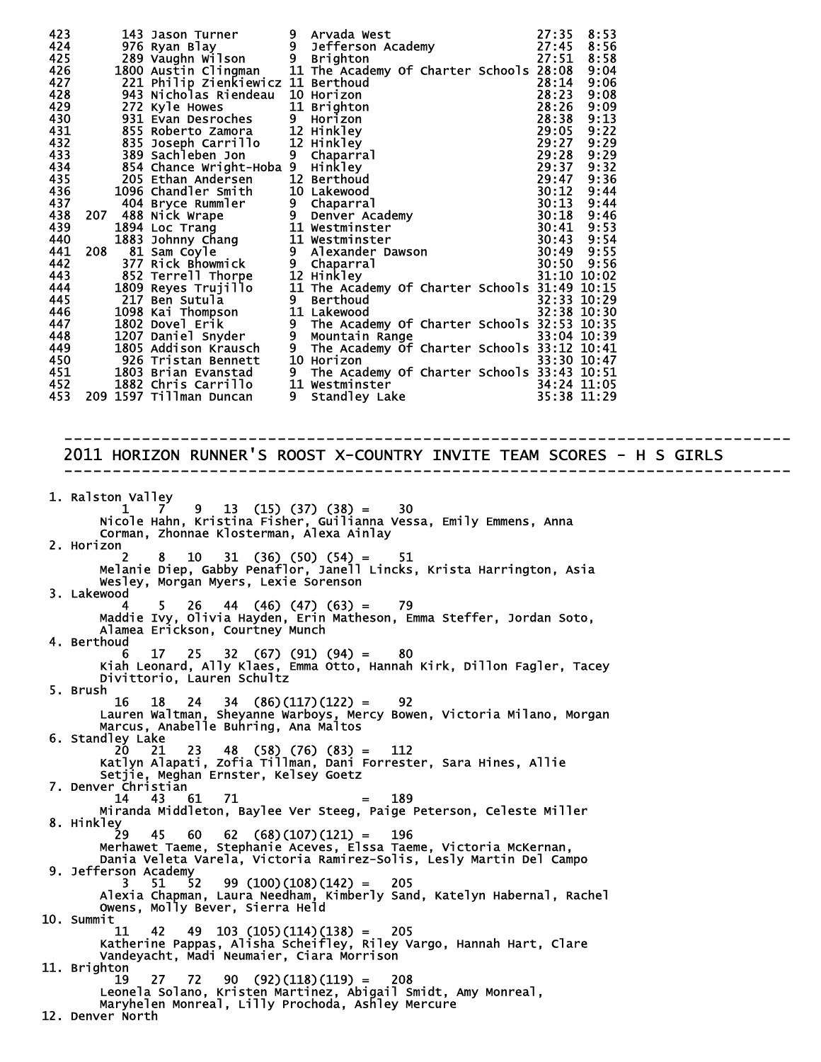| 2011 HORIZON RUNNER'S ROOST X-COUNTRY INVITE TEAM SCORES - H S GIRLS                                                                                                                |
|-------------------------------------------------------------------------------------------------------------------------------------------------------------------------------------|
| 1. Ralston Valley<br>ston varity<br>1 1 7 9 13 (15) (37) (38) = 30<br>Nicole Hahn, Kristina Fisher, Guilianna Vessa, Emily Emmens, Anna<br>Corman, Zhonnae Klosterman, Alexa Ainlay |
| 2. Horizon<br>2 8 10 31 (36) (50) (54) = 51<br>Melanie Diep, Gabby Penaflor, Janell Lincks, Krista Harrington, Asia                                                                 |
| Wesley, Morgan Myers, Lexie Sorenson<br>3. Lakewood<br>$5 \t26 \t44 \t(46) \t(47) \t(63) = 79$<br>4                                                                                 |
| Maddie Ivy, Olivia Hayden, Erin Matheson, Emma Steffer, Jordan Soto,<br>Alamea Erickson, Courtney Munch<br>4. Berthoud                                                              |
| $25$ 32 (67) (91) (94) = 80<br>17.<br>Kiah Leonard, Ally Klaes, Emma Otto, Hannah Kirk, Dillon Fagler, Tacey<br>Divittorio, Lauren Schultz                                          |
| 5. Brush<br>$24$ 34 (86)(117)(122) =<br>16<br>92<br>18<br>Lauren Waltman, Sheyanne Warboys, Mercy Bowen, Victoria Milano, Morgan                                                    |
| Marcus, Anabelle Buhring, Ana Maltos<br>6. Standley Lake                                                                                                                            |
| 20<br>48 (58) (76) (83) =<br>23.<br>112<br>21<br>Katlyn Alapati, Zofia Tillman, Dani Forrester, Sara Hines, Allie<br>Setjie, Meghan Ernster, Kelsey Goetz                           |
| 7. Denver Christian<br>14 43<br>61 —<br>189<br>71<br>$=$<br>Miranda Middleton, Baylee Ver Steeg, Paige Peterson, Celeste Miller                                                     |
| 8. Hinkley<br>$\dot{2}9$ 45 60 62 (68)(107)(121) =<br>196<br>Merhawet Taeme, Stephanie Aceves, Elssa Taeme, Victoria McKernan,                                                      |
| Dania Veleta Varela, Victoria Ramirez-Solis, Lesly Martin Del Campo<br>9. Jefferson Academy<br>$99(100)(108)(142) = 205$<br>3.<br>51<br>- 52                                        |
| Alexia Chapman, Laura Needham, Kimberly Sand, Katelyn Habernal, Rachel<br>Owens, Molly Bever, Sierra Held<br>10. Summit                                                             |
| $11 \quad 42 \quad 49 \quad 103 \quad (105) (114) (138) = 205$<br>Katherine Pappas, Alisha Scheifley, Riley Vargo, Hannah Hart, Clare<br>Vandeyacht, Madi Neumaier, Ciara Morrison  |
| 11. Brighton<br>$19$ 27 72 90 (92)(118)(119) = 208                                                                                                                                  |
| Leonela Solano, Kristen Martinez, Abigail Smidt, Amy Monreal,<br>Maryhelen Monreal, Lilly Prochoda, Ashley Mercure<br>12. Denver North                                              |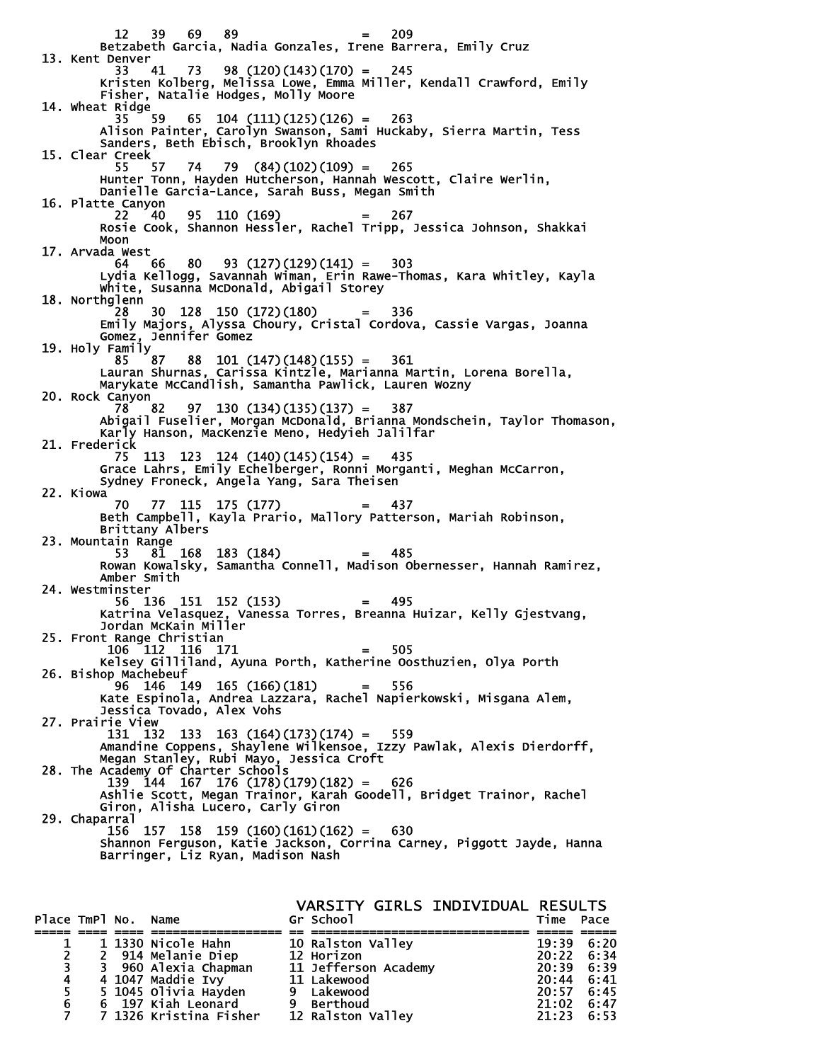$12 \t39 \t69 \t89 = 209$  Betzabeth Garcia, Nadia Gonzales, Irene Barrera, Emily Cruz 13. Kent Denver 33 41 73 98 (120)(143)(170) = 245 Kristen Kolberg, Melissa Lowe, Emma Miller, Kendall Crawford, Emily Fisher, Natalie Hodges, Molly Moore 14. Wheat Ridge  $65$  104 (111)(125)(126) = 263 Alison Painter, Carolyn Swanson, Sami Huckaby, Sierra Martin, Tess Sanders, Beth Ebisch, Brooklyn Rhoades 15. Clear Creek 55 57 74 79 (84)(102)(109) = 265 Hunter Tonn, Hayden Hutcherson, Hannah Wescott, Claire Werlin, Danielle Garcia-Lance, Sarah Buss, Megan Smith 16. Platte Canyon 22 40 95 110 (169) = 267 Rosie Cook, Shannon Hessler, Rachel Tripp, Jessica Johnson, Shakkai Moon 17. Arvada West 64 66 80 93 (127)(129)(141) = 303 Lydia Kellogg, Savannah Wiman, Erin Rawe-Thomas, Kara Whitley, Kayla White, Susanna McDonald, Abigail Storey 18. Northglenn 28 30 128 150 (172)(180) = 336 Emily Majors, Alyssa Choury, Cristal Cordova, Cassie Vargas, Joanna Gomez, Jennifer Gomez 19. Holy Family  $85 \t 87 \t 88 \t 101 \t (147) (148) (155) = 361$  Lauran Shurnas, Carissa Kintzle, Marianna Martin, Lorena Borella, Marykate McCandlish, Samantha Pawlick, Lauren Wozny 20. Rock Canyon<br>78 82 97 130  $(134)(135)(137) = 387$  Abigail Fuselier, Morgan McDonald, Brianna Mondschein, Taylor Thomason, Karly Hanson, MacKenzie Meno, Hedyieh Jalilfar 21. Frederick 75 113 123 124 (140)(145)(154) = 435 Grace Lahrs, Emily Echelberger, Ronni Morganti, Meghan McCarron, Sydney Froneck, Angela Yang, Sara Theisen 22. Kiowa 70 77 115 175 (177) = 437 Beth Campbell, Kayla Prario, Mallory Patterson, Mariah Robinson, Brittany Albers 23. Mountain Range 53 81 168 183 (184) = 485 Rowan Kowalsky, Samantha Connell, Madison Obernesser, Hannah Ramirez, Amber Smith 24. Westminster 56 136 151 152 (153) = 495 Katrina Velasquez, Vanessa Torres, Breanna Huizar, Kelly Gjestvang, Jordan McKain Miller 25. Front Range Christian<br>106 112 116 171 106 112 116 171 = 505 Kelsey Gilliland, Ayuna Porth, Katherine Oosthuzien, Olya Porth 26. Bishop Machebeuf 96 146 149 165 (166)(181) = 556 Kate Espinola, Andrea Lazzara, Rachel Napierkowski, Misgana Alem, Jessica Tovado, Alex Vohs 27. Prairie View 131 132 133 163 (164)(173)(174) = 559 Amandine Coppens, Shaylene Wilkensoe, Izzy Pawlak, Alexis Dierdorff, Megan Stanley, Rubi Mayo, Jessica Croft 28. The Academy Of Charter Schools 139 144 167 176 (178)(179)(182) = 626 Ashlie Scott, Megan Trainor, Karah Goodell, Bridget Trainor, Rachel Ashlie Scott, Megan Trainor, Karah Goodell, Bridget Trainor, Rachel<br>Giron, Alisha Lucero, Carly Giron 29. Chaparral 156 157 158 159 (160)(161)(162) = 630 Shannon Ferguson, Katie Jackson, Corrina Carney, Piggott Jayde, Hanna Barringer, Liz Ryan, Madison Nash

VARSITY GIRLS INDIVIDUAL RESULTS<br>Gr School Time Pace Place TmPl No. Name ===== ==== ==== ================== == ============================== ===== ===== 1 1 1330 Nicole Hahn 10 Ralston Valley 19:39 19:39 6:20<br>2 2 914 Melanie Diep 12 Horizon 12 20:22 6:34<br>3 3 960 Alexia Chapman 11 Jefferson Academy 20:39 6:39 2 2 914 Melanie Diep 12 Horizon 20:22 6:34 3 3 960 Alexia Chapman 11 Jefferson Academy 20:39 6:39 4 4 1047 Maddie Ivy 11 Lakewood 20:44 6:41 5 5 1045 Olivia Hayden 9 Lakewood 20:57 6:45 6 6 197 Kiah Leonard 9 Berthoud 21:02 6:47 7 7 1326 Kristina Fisher 12 Ralston Valley 21:23 6:53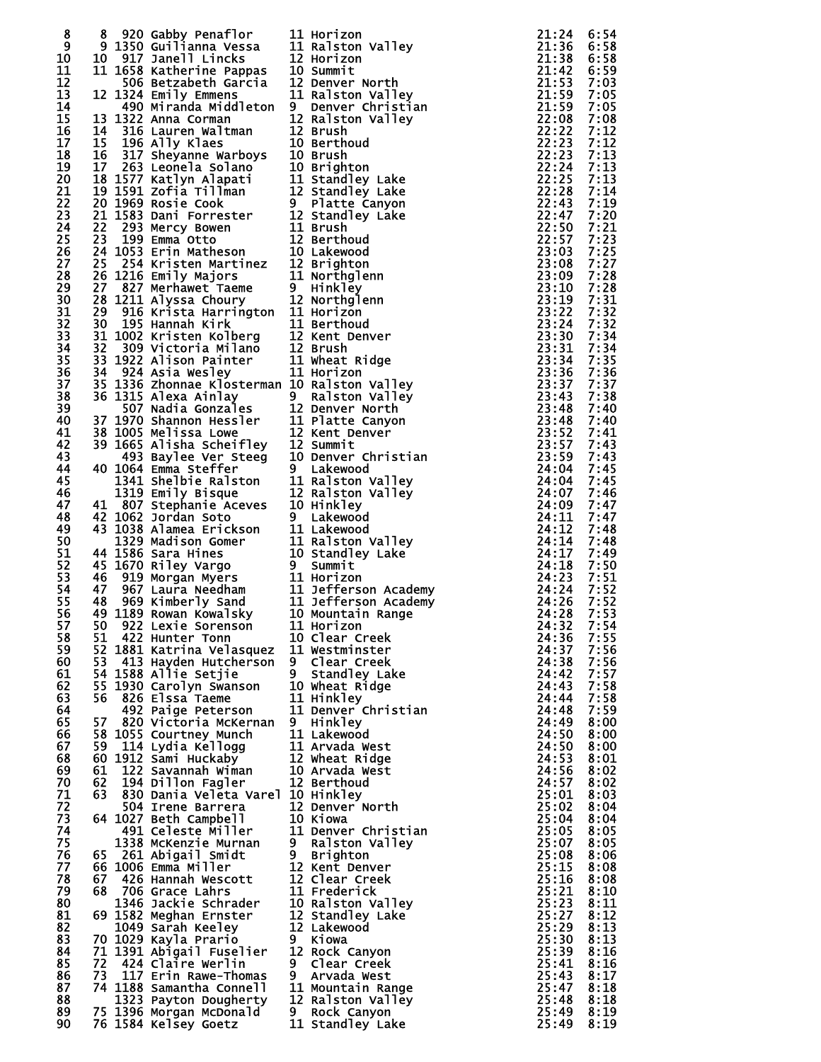| 8  |      | 8 920 Gabby Penaflor<br>9 1350 Guilianna Vessa<br>11 Ralston Valley<br>10 917 Janell Lincks<br>12 Horizon<br>11 1658 Katherine Pappas<br>506 Betzabeth Garcia<br>12 Denver North<br>12 Horizon<br>12 Horizon<br>12 Horizon<br>12 Denver North<br>1324 |                                                                                                                                                                                                                                              | 21:24                                                                                                                                 | 6:54 |
|----|------|-------------------------------------------------------------------------------------------------------------------------------------------------------------------------------------------------------------------------------------------------------|----------------------------------------------------------------------------------------------------------------------------------------------------------------------------------------------------------------------------------------------|---------------------------------------------------------------------------------------------------------------------------------------|------|
| 9  |      |                                                                                                                                                                                                                                                       |                                                                                                                                                                                                                                              | 21:36                                                                                                                                 | 6:58 |
| 10 |      |                                                                                                                                                                                                                                                       |                                                                                                                                                                                                                                              | 21:38                                                                                                                                 | 6:58 |
| 11 |      |                                                                                                                                                                                                                                                       |                                                                                                                                                                                                                                              |                                                                                                                                       | 6:59 |
| 12 |      |                                                                                                                                                                                                                                                       | $\begin{array}{r} 21:53 \\ 21:59 \\ 21:59 \\ 22:08 \\ 22:22 \\ 22:23 \\ 22:23 \\ 22:23 \end{array}$                                                                                                                                          |                                                                                                                                       |      |
|    |      |                                                                                                                                                                                                                                                       |                                                                                                                                                                                                                                              |                                                                                                                                       | 7:03 |
| 13 |      |                                                                                                                                                                                                                                                       |                                                                                                                                                                                                                                              |                                                                                                                                       | 7:05 |
| 14 |      | 490 Miranda Middleton 9 Denver Christian                                                                                                                                                                                                              |                                                                                                                                                                                                                                              |                                                                                                                                       | 7:05 |
| 15 |      | 13 1322 Anna Corman                                                                                                                                                                                                                                   | 12 Ralston Valley                                                                                                                                                                                                                            |                                                                                                                                       | 7:08 |
| 16 |      | $\overline{14}$ $\overline{316}$ Lauren Waltman                                                                                                                                                                                                       | 12 Brush                                                                                                                                                                                                                                     |                                                                                                                                       | 7:12 |
| 17 |      | 15 196 Ally Klaes                                                                                                                                                                                                                                     | 10 Berthoud                                                                                                                                                                                                                                  |                                                                                                                                       | 7:12 |
| 18 |      |                                                                                                                                                                                                                                                       |                                                                                                                                                                                                                                              | 22:23                                                                                                                                 | 7:13 |
| 19 |      | 14 310 Lauren wartman<br>15 196 Ally Klaes<br>16 317 Sheyanne Warboys 10 Brush<br>17 263 Leonela Solano 10 Brighton<br>18 1577 Katlyn Alapati 11 Standley Lake<br>19 1591 Zofia Tillman 12 Standley Lake<br>20 1969 Rosie Cook 9 Platte Ca            |                                                                                                                                                                                                                                              | 22:24                                                                                                                                 | 7:13 |
| 20 |      |                                                                                                                                                                                                                                                       |                                                                                                                                                                                                                                              | 22:25                                                                                                                                 | 7:13 |
| 21 |      |                                                                                                                                                                                                                                                       |                                                                                                                                                                                                                                              | 22:28                                                                                                                                 | 7:14 |
| 22 |      |                                                                                                                                                                                                                                                       |                                                                                                                                                                                                                                              | 22:43                                                                                                                                 | 7:19 |
| 23 |      |                                                                                                                                                                                                                                                       |                                                                                                                                                                                                                                              | 22:47                                                                                                                                 | 7:20 |
|    |      |                                                                                                                                                                                                                                                       |                                                                                                                                                                                                                                              |                                                                                                                                       |      |
| 24 |      |                                                                                                                                                                                                                                                       |                                                                                                                                                                                                                                              | 22:50                                                                                                                                 | 7:21 |
| 25 |      |                                                                                                                                                                                                                                                       |                                                                                                                                                                                                                                              | 22:57                                                                                                                                 | 7:23 |
| 26 |      |                                                                                                                                                                                                                                                       |                                                                                                                                                                                                                                              | 23:03                                                                                                                                 | 7:25 |
| 27 |      |                                                                                                                                                                                                                                                       |                                                                                                                                                                                                                                              | 23:08                                                                                                                                 | 7:27 |
| 28 |      |                                                                                                                                                                                                                                                       |                                                                                                                                                                                                                                              | 23:09                                                                                                                                 | 7:28 |
| 29 |      |                                                                                                                                                                                                                                                       |                                                                                                                                                                                                                                              | 23:10                                                                                                                                 | 7:28 |
| 30 |      |                                                                                                                                                                                                                                                       |                                                                                                                                                                                                                                              | 23:19                                                                                                                                 | 7:31 |
| 31 |      |                                                                                                                                                                                                                                                       |                                                                                                                                                                                                                                              | 23:22                                                                                                                                 | 7:32 |
| 32 |      |                                                                                                                                                                                                                                                       |                                                                                                                                                                                                                                              | 23:24                                                                                                                                 | 7:32 |
| 33 |      |                                                                                                                                                                                                                                                       |                                                                                                                                                                                                                                              | 23:30                                                                                                                                 | 7:34 |
| 34 |      |                                                                                                                                                                                                                                                       |                                                                                                                                                                                                                                              | 23:31                                                                                                                                 | 7:34 |
| 35 |      |                                                                                                                                                                                                                                                       |                                                                                                                                                                                                                                              | 23:34                                                                                                                                 | 7:35 |
|    |      | 30 195 Hannah Kirk<br>31 1002 Kristen Kolberg<br>32 309 Victoria Milano<br>33 1922 Alison Painter<br>34 924 Asia Wesley<br>34 1226 Asia Wesley<br>11 Horizon<br>34 924 Asia Wesley<br>11 Horizon                                                      |                                                                                                                                                                                                                                              | 23:346<br>23:367<br>23:48<br>23:48<br>23:48<br>23:48<br>23:52<br>23:57<br>23:57<br>24:04<br>24:04<br>24:04<br>24:07<br>24:09<br>24:09 |      |
| 36 |      |                                                                                                                                                                                                                                                       |                                                                                                                                                                                                                                              |                                                                                                                                       | 7:36 |
| 37 |      | 35 1336 Zhonnae Klosterman 10 Ralston Valley                                                                                                                                                                                                          | 35 1336 Zhonnae Klosterman 10 Ralston valley<br>36 1336 Zhonnae Klosterman 10 Ralston valley<br>507 Nadia Gonzales<br>37 1970 Shannon Hessler<br>37 1970 Shannon Hessler<br>37 1970 Shannon Hessler<br>37 1970 Shannon Hessler<br>37 1970 Sh |                                                                                                                                       | 7:37 |
| 38 |      |                                                                                                                                                                                                                                                       |                                                                                                                                                                                                                                              |                                                                                                                                       | 7:38 |
| 39 |      |                                                                                                                                                                                                                                                       |                                                                                                                                                                                                                                              |                                                                                                                                       | 7:40 |
| 40 |      |                                                                                                                                                                                                                                                       |                                                                                                                                                                                                                                              |                                                                                                                                       | 7:40 |
| 41 |      |                                                                                                                                                                                                                                                       |                                                                                                                                                                                                                                              |                                                                                                                                       | 7:41 |
| 42 |      |                                                                                                                                                                                                                                                       |                                                                                                                                                                                                                                              |                                                                                                                                       | 7:43 |
| 43 |      |                                                                                                                                                                                                                                                       |                                                                                                                                                                                                                                              |                                                                                                                                       | 7:43 |
| 44 |      |                                                                                                                                                                                                                                                       |                                                                                                                                                                                                                                              |                                                                                                                                       | 7:45 |
| 45 |      |                                                                                                                                                                                                                                                       |                                                                                                                                                                                                                                              |                                                                                                                                       | 7:45 |
| 46 |      |                                                                                                                                                                                                                                                       |                                                                                                                                                                                                                                              |                                                                                                                                       | 7:46 |
| 47 |      |                                                                                                                                                                                                                                                       |                                                                                                                                                                                                                                              |                                                                                                                                       | 7:47 |
|    |      |                                                                                                                                                                                                                                                       |                                                                                                                                                                                                                                              |                                                                                                                                       |      |
| 48 |      |                                                                                                                                                                                                                                                       |                                                                                                                                                                                                                                              |                                                                                                                                       | 7:47 |
| 49 |      |                                                                                                                                                                                                                                                       |                                                                                                                                                                                                                                              |                                                                                                                                       | 7:48 |
| 50 |      |                                                                                                                                                                                                                                                       |                                                                                                                                                                                                                                              |                                                                                                                                       | 7:48 |
| 51 |      |                                                                                                                                                                                                                                                       |                                                                                                                                                                                                                                              |                                                                                                                                       | 7:49 |
| 52 |      |                                                                                                                                                                                                                                                       |                                                                                                                                                                                                                                              |                                                                                                                                       | 7:50 |
| 53 |      |                                                                                                                                                                                                                                                       |                                                                                                                                                                                                                                              |                                                                                                                                       | 7:51 |
| 54 |      |                                                                                                                                                                                                                                                       |                                                                                                                                                                                                                                              |                                                                                                                                       | 7:52 |
| 55 |      |                                                                                                                                                                                                                                                       |                                                                                                                                                                                                                                              |                                                                                                                                       | 7:52 |
| 56 |      |                                                                                                                                                                                                                                                       |                                                                                                                                                                                                                                              |                                                                                                                                       | 7:53 |
| 57 |      | 50 922 Lexie Sorenson 11 Horizon                                                                                                                                                                                                                      | $24:32 \quad 7:54$                                                                                                                                                                                                                           |                                                                                                                                       |      |
| 58 |      | 51 422 Hunter Tonn                                                                                                                                                                                                                                    | 10 Clear Creek                                                                                                                                                                                                                               | 24:36                                                                                                                                 | 7:55 |
|    |      | 52 1881 Katrina Velasquez 11 Westminster                                                                                                                                                                                                              |                                                                                                                                                                                                                                              | 24:37                                                                                                                                 | 7:56 |
| 59 |      |                                                                                                                                                                                                                                                       |                                                                                                                                                                                                                                              |                                                                                                                                       |      |
| 60 |      |                                                                                                                                                                                                                                                       |                                                                                                                                                                                                                                              | 24:38                                                                                                                                 | 7:56 |
| 61 |      |                                                                                                                                                                                                                                                       |                                                                                                                                                                                                                                              | 24:42                                                                                                                                 | 7:57 |
| 62 |      | 55 1930 Carolyn Swanson 10 Wheat Ridge                                                                                                                                                                                                                |                                                                                                                                                                                                                                              | 24:43                                                                                                                                 | 7:58 |
| 63 |      | 56 826 Elssa Taeme                                                                                                                                                                                                                                    | 11 Hinkley                                                                                                                                                                                                                                   | 24:44                                                                                                                                 | 7:58 |
| 64 |      | 492 Paige Peterson                                                                                                                                                                                                                                    | 11 Denver Christian                                                                                                                                                                                                                          | 24:48                                                                                                                                 | 7:59 |
| 65 |      | 57 820 Victoria McKernan 9 Hinkley                                                                                                                                                                                                                    |                                                                                                                                                                                                                                              | 24:49                                                                                                                                 | 8:00 |
| 66 |      | 58 1055 Courtney Munch                                                                                                                                                                                                                                | 11 Lakewood                                                                                                                                                                                                                                  | 24:50                                                                                                                                 | 8:00 |
| 67 |      | 59 114 Lydia Kellogg                                                                                                                                                                                                                                  | 11 Arvada West                                                                                                                                                                                                                               | 24:50                                                                                                                                 | 8:00 |
| 68 |      |                                                                                                                                                                                                                                                       | 12 Wheat Ridge                                                                                                                                                                                                                               | 24:53                                                                                                                                 | 8:01 |
| 69 |      |                                                                                                                                                                                                                                                       | 10 Arvada West                                                                                                                                                                                                                               | 24:56                                                                                                                                 | 8:02 |
| 70 | 62   | 59 114 Lyuna Roccess<br>60 1912 Sami Huckaby<br>61 122 Savannah Wiman<br>63 194 Billon Fagler<br>194 Dillon Fagler                                                                                                                                    | 12 Berthoud                                                                                                                                                                                                                                  | 24:57                                                                                                                                 | 8:02 |
| 71 |      | 63 830 Dania Veleta Varel 10 Hinkley                                                                                                                                                                                                                  |                                                                                                                                                                                                                                              | 25:01                                                                                                                                 | 8:03 |
| 72 |      | 504 Irene Barrera                                                                                                                                                                                                                                     | 12 Denver North                                                                                                                                                                                                                              | 25:02                                                                                                                                 | 8:04 |
| 73 |      | 64 1027 Beth Campbell                                                                                                                                                                                                                                 |                                                                                                                                                                                                                                              | 25:04                                                                                                                                 |      |
| 74 |      |                                                                                                                                                                                                                                                       | 10 Kiowa                                                                                                                                                                                                                                     |                                                                                                                                       | 8:04 |
|    |      | 491 Celeste Miller                                                                                                                                                                                                                                    | 11 Denver Christian                                                                                                                                                                                                                          | 25:05                                                                                                                                 | 8:05 |
| 75 |      | 1338 McKenzie Murnan                                                                                                                                                                                                                                  | 9 Ralston Valley                                                                                                                                                                                                                             | 25:07                                                                                                                                 | 8:05 |
| 76 |      | 65 261 Abigail Smidt                                                                                                                                                                                                                                  | 9 Brighton                                                                                                                                                                                                                                   | 25:08                                                                                                                                 | 8:06 |
| 77 |      | 66 1006 Emma Miller                                                                                                                                                                                                                                   | 12 Kent Denver                                                                                                                                                                                                                               | 25:15                                                                                                                                 | 8:08 |
| 78 | 67 - | 426 Hannah Wescott                                                                                                                                                                                                                                    | 12 Clear Creek                                                                                                                                                                                                                               | 25:16                                                                                                                                 | 8:08 |
| 79 |      | 68 706 Grace Lahrs                                                                                                                                                                                                                                    | 11 Frederick                                                                                                                                                                                                                                 | 25:21                                                                                                                                 | 8:10 |
| 80 |      |                                                                                                                                                                                                                                                       | 10 Ralston Valley                                                                                                                                                                                                                            | 25:23                                                                                                                                 | 8:11 |
| 81 |      | 1346 Jackie Schrader<br>69 1582 Meghan Ernster                                                                                                                                                                                                        | 12 Standley Lake                                                                                                                                                                                                                             | 25:27                                                                                                                                 | 8:12 |
| 82 |      | 1049 Sarah Keeley                                                                                                                                                                                                                                     | 12 Lakewood                                                                                                                                                                                                                                  | 25:29                                                                                                                                 | 8:13 |
| 83 |      | 70 1029 Kayla Prario                                                                                                                                                                                                                                  | 9 Kiowa                                                                                                                                                                                                                                      | 25:30                                                                                                                                 | 8:13 |
| 84 |      | 71 1391 Abigail Fuselier                                                                                                                                                                                                                              | 12 Rock Canyon                                                                                                                                                                                                                               | 25:39                                                                                                                                 | 8:16 |
| 85 |      | 72 424 Claire Werlin                                                                                                                                                                                                                                  | 9 Clear Creek                                                                                                                                                                                                                                | 25:41                                                                                                                                 | 8:16 |
|    |      | 73 117 Erin Rawe-Thomas                                                                                                                                                                                                                               |                                                                                                                                                                                                                                              | 25:43                                                                                                                                 | 8:17 |
| 86 |      |                                                                                                                                                                                                                                                       | 9 Arvada West                                                                                                                                                                                                                                |                                                                                                                                       |      |
| 87 |      | 74 1188 Samantha Connell                                                                                                                                                                                                                              | 11 Mountain Range                                                                                                                                                                                                                            | 25:47                                                                                                                                 | 8:18 |
| 88 |      | 1323 Payton Dougherty                                                                                                                                                                                                                                 | 12 Ralston Valley                                                                                                                                                                                                                            | 25:48                                                                                                                                 | 8:18 |
| 89 |      | 1323 Payton Dows<br>75 1396 Morgan McDonald<br>75 11234 McJeev Goetz                                                                                                                                                                                  | 9 Rock Canyon                                                                                                                                                                                                                                | 25:49                                                                                                                                 | 8:19 |
| 90 |      | 76 1584 Kelsey Goetz                                                                                                                                                                                                                                  | 11 Standley Lake                                                                                                                                                                                                                             | 25:49                                                                                                                                 | 8:19 |
|    |      |                                                                                                                                                                                                                                                       |                                                                                                                                                                                                                                              |                                                                                                                                       |      |

| 112021<br>2122                 |                                    |
|--------------------------------|------------------------------------|
|                                | Horizon                            |
|                                |                                    |
|                                | Valley<br>Ralston                  |
|                                | Horizon                            |
|                                | Summit                             |
|                                | North<br>Denver                    |
|                                |                                    |
|                                | Ralston Valley<br>Denver Christian |
|                                |                                    |
|                                | Ralston Valley                     |
|                                | <b>Brush</b>                       |
| 0                              | Berthoud                           |
|                                |                                    |
|                                | <b>Brush</b>                       |
|                                | <b>Brighton</b>                    |
|                                | Standley Lake                      |
|                                |                                    |
|                                |                                    |
|                                | Standley Lake<br>Platte Canyon     |
|                                | Standley Lake                      |
|                                | <b>Brush</b>                       |
|                                |                                    |
|                                | Berthoud                           |
|                                | Lakewood                           |
|                                | <b>Brighton</b>                    |
|                                | Northglenn                         |
|                                |                                    |
|                                | Hinkley                            |
|                                | Northglenn                         |
|                                | Horizon                            |
|                                | Berthoud                           |
|                                |                                    |
|                                | Kent Denver                        |
|                                | <b>Brush</b>                       |
| 0012 212021 21122110           | Wheat Ridge                        |
|                                | Horizon                            |
|                                |                                    |
|                                | Ralston Valley<br>Ralston Valley   |
|                                |                                    |
|                                | Denver North<br>Platte Canyon      |
|                                |                                    |
| 21220                          |                                    |
|                                | Kent Denver                        |
|                                | Summit                             |
|                                | Denver Christian                   |
|                                | Lakewood                           |
|                                |                                    |
|                                | Ralston Valley<br>Ralston Valley   |
|                                |                                    |
| $\frac{1}{2}$<br>$\frac{2}{0}$ | Hinkley                            |
|                                | Lakewood                           |
| $\frac{1}{1}$                  | Lakewood                           |
|                                |                                    |
|                                | Ralston Valley                     |
|                                | Standley Lake                      |
|                                | Summit                             |
|                                |                                    |
|                                |                                    |
|                                | Horizon                            |
|                                | Jefferson Academy                  |
|                                |                                    |
|                                | Jefferson Academy                  |
| $\frac{1}{1}$<br>$\frac{1}{0}$ | Mountain Range                     |
|                                | Horizon                            |
| $\frac{1}{0}$                  | Clear Creek                        |
| 1                              | Westminster                        |
| $\overline{1}$                 |                                    |
|                                | Clear_Creek                        |
| i.                             |                                    |
|                                | Standley Lake<br>Wheat Ridge       |
|                                | <b>Hinkley</b>                     |
|                                |                                    |
| 0<br>1<br>1                    | Denver Christian                   |
|                                | Hinkley                            |
|                                | Lakewood                           |
|                                | Arvada west                        |
|                                |                                    |
|                                | Wheat Ridge                        |
|                                | Arvada West                        |
|                                | Berthoud                           |
|                                | Hinkley                            |
|                                | Denver North                       |
|                                |                                    |
|                                | Kiowa                              |
|                                | Denver Christian                   |
|                                | Ralston Valley                     |
|                                | <b>Brighton</b>                    |
|                                | Kent Denver                        |
|                                |                                    |
|                                | Clear Creek                        |
|                                | Frederick                          |
|                                | Ralston Valley                     |
|                                |                                    |
|                                | Standley Lake                      |
|                                | Lakewood                           |
|                                | Kiowa                              |
| 112020201   221022 2           | Rock Canyon                        |
|                                |                                    |
|                                |                                    |
|                                | Clear Creek<br>Arvada West         |
|                                | Mountain Range                     |
| $\frac{1}{2}$                  | Ralston Valley                     |
| ้<br>1                         | Rock Canyon<br>Standley Lake       |

| 23345550222222445500001122233334445550000111111222233468223999823345837073890092401467388279447911247834682 | 的复数形式 医阿尔伯氏试验检尿 医阿尔伯氏试验检尿 医阿尔伯氏试验检尿 医阿尔伯氏试验检尿 医阿尔伯氏试验检尿 医阿尔伯氏试验检尿 医阿尔伯氏试验检尿 医阿尔伯氏试验检尿 医阿尔伯氏征 |
|-------------------------------------------------------------------------------------------------------------|----------------------------------------------------------------------------------------------|
|                                                                                                             |                                                                                              |
|                                                                                                             |                                                                                              |
|                                                                                                             |                                                                                              |
|                                                                                                             |                                                                                              |
|                                                                                                             |                                                                                              |
|                                                                                                             |                                                                                              |
|                                                                                                             |                                                                                              |
|                                                                                                             |                                                                                              |
|                                                                                                             |                                                                                              |
|                                                                                                             |                                                                                              |
|                                                                                                             |                                                                                              |
|                                                                                                             |                                                                                              |
|                                                                                                             |                                                                                              |
|                                                                                                             |                                                                                              |
|                                                                                                             |                                                                                              |
|                                                                                                             |                                                                                              |
|                                                                                                             |                                                                                              |
|                                                                                                             |                                                                                              |
|                                                                                                             |                                                                                              |
|                                                                                                             |                                                                                              |
|                                                                                                             |                                                                                              |
|                                                                                                             |                                                                                              |
|                                                                                                             |                                                                                              |
|                                                                                                             |                                                                                              |
|                                                                                                             |                                                                                              |
|                                                                                                             |                                                                                              |
|                                                                                                             |                                                                                              |
|                                                                                                             |                                                                                              |
|                                                                                                             |                                                                                              |
|                                                                                                             |                                                                                              |
|                                                                                                             |                                                                                              |
|                                                                                                             |                                                                                              |
|                                                                                                             |                                                                                              |
|                                                                                                             |                                                                                              |
|                                                                                                             |                                                                                              |
|                                                                                                             |                                                                                              |
|                                                                                                             |                                                                                              |
|                                                                                                             |                                                                                              |
|                                                                                                             |                                                                                              |
|                                                                                                             |                                                                                              |
|                                                                                                             |                                                                                              |
|                                                                                                             |                                                                                              |
|                                                                                                             |                                                                                              |
|                                                                                                             |                                                                                              |
|                                                                                                             |                                                                                              |
|                                                                                                             |                                                                                              |
|                                                                                                             |                                                                                              |
|                                                                                                             |                                                                                              |
|                                                                                                             |                                                                                              |
|                                                                                                             |                                                                                              |
|                                                                                                             |                                                                                              |
|                                                                                                             |                                                                                              |
|                                                                                                             |                                                                                              |
|                                                                                                             |                                                                                              |
|                                                                                                             |                                                                                              |
|                                                                                                             |                                                                                              |
|                                                                                                             |                                                                                              |
|                                                                                                             |                                                                                              |
|                                                                                                             |                                                                                              |
|                                                                                                             |                                                                                              |
|                                                                                                             |                                                                                              |
| 333444444555550000000112222333444444444455555500001122222333444444                                          |                                                                                              |
|                                                                                                             |                                                                                              |
|                                                                                                             |                                                                                              |
|                                                                                                             |                                                                                              |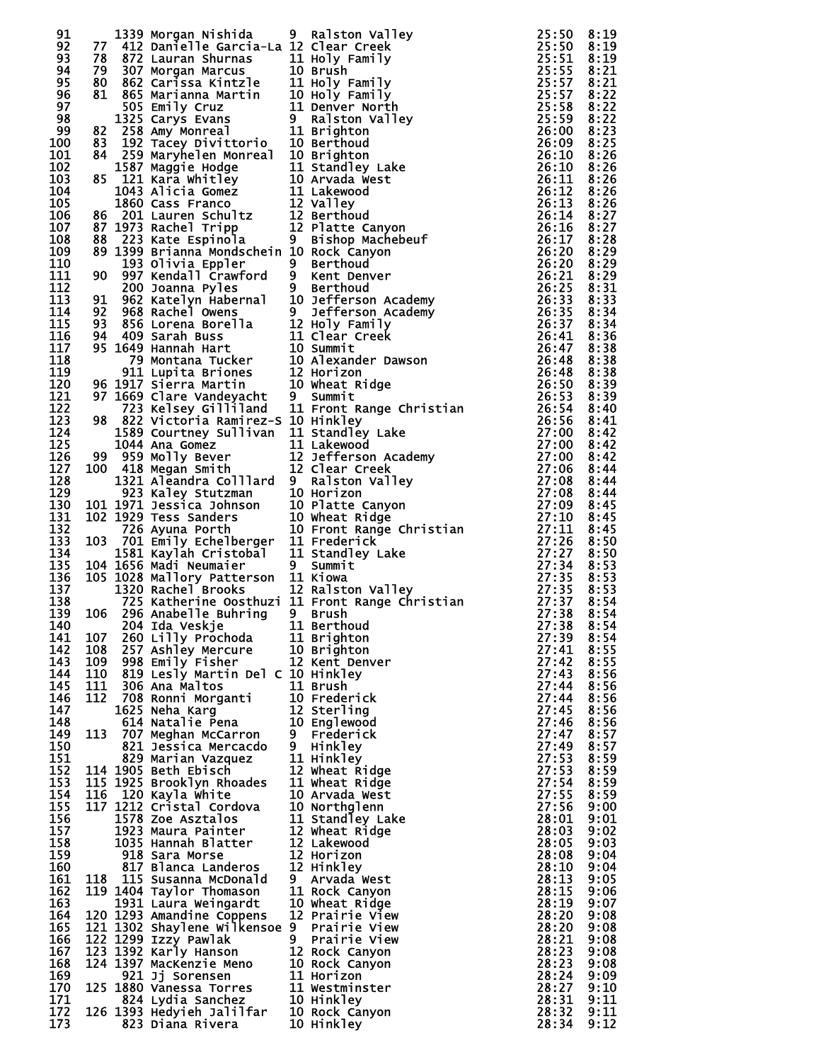| 91         |     |                                                  | 1739 Morgan Mishida 9 Rallston Valley<br>1739 Martial Statistics (1811)<br>1749 Cancels García - La Ilson Creek<br>1768 Statistics (1811)<br>1840 Sec Carriess Winter 110 Holy Family<br>1851 Statistics (1811)<br>1852 Martianna Martin |                |              |
|------------|-----|--------------------------------------------------|------------------------------------------------------------------------------------------------------------------------------------------------------------------------------------------------------------------------------------------|----------------|--------------|
| 92         |     |                                                  |                                                                                                                                                                                                                                          |                |              |
| 93         |     |                                                  |                                                                                                                                                                                                                                          |                |              |
| 94         |     |                                                  |                                                                                                                                                                                                                                          |                |              |
| 95         |     |                                                  |                                                                                                                                                                                                                                          |                |              |
| 96         |     |                                                  |                                                                                                                                                                                                                                          |                |              |
| 97         |     |                                                  |                                                                                                                                                                                                                                          |                |              |
| 98<br>99   |     |                                                  |                                                                                                                                                                                                                                          |                |              |
| 100        |     |                                                  |                                                                                                                                                                                                                                          |                |              |
| 101        |     |                                                  |                                                                                                                                                                                                                                          |                |              |
| 102        |     |                                                  |                                                                                                                                                                                                                                          |                |              |
| 103        |     |                                                  |                                                                                                                                                                                                                                          |                |              |
| 104        |     |                                                  |                                                                                                                                                                                                                                          |                |              |
| 105        |     |                                                  |                                                                                                                                                                                                                                          |                |              |
| 106        |     |                                                  |                                                                                                                                                                                                                                          |                |              |
| 107        |     |                                                  |                                                                                                                                                                                                                                          |                |              |
| 108        |     |                                                  |                                                                                                                                                                                                                                          |                |              |
| 109        |     |                                                  |                                                                                                                                                                                                                                          |                |              |
| 110<br>111 |     |                                                  |                                                                                                                                                                                                                                          |                |              |
| 112        |     |                                                  |                                                                                                                                                                                                                                          |                |              |
| 113        |     |                                                  |                                                                                                                                                                                                                                          |                |              |
| 114        |     |                                                  |                                                                                                                                                                                                                                          |                |              |
| 115        |     |                                                  |                                                                                                                                                                                                                                          |                |              |
| 116        |     |                                                  |                                                                                                                                                                                                                                          |                |              |
| 117        |     |                                                  |                                                                                                                                                                                                                                          |                |              |
| 118        |     |                                                  |                                                                                                                                                                                                                                          |                |              |
| 119        |     |                                                  |                                                                                                                                                                                                                                          |                |              |
| 120        |     |                                                  |                                                                                                                                                                                                                                          |                |              |
| 121        |     |                                                  |                                                                                                                                                                                                                                          |                |              |
| 122        |     |                                                  |                                                                                                                                                                                                                                          |                |              |
| 123        |     |                                                  |                                                                                                                                                                                                                                          |                |              |
| 124        |     |                                                  |                                                                                                                                                                                                                                          |                |              |
| 125<br>126 |     |                                                  |                                                                                                                                                                                                                                          |                |              |
| 127        |     |                                                  |                                                                                                                                                                                                                                          |                |              |
| 128        |     |                                                  |                                                                                                                                                                                                                                          |                |              |
| 129        |     |                                                  |                                                                                                                                                                                                                                          |                |              |
| 130        |     |                                                  |                                                                                                                                                                                                                                          |                |              |
| 131        |     |                                                  |                                                                                                                                                                                                                                          |                |              |
| 132        |     |                                                  |                                                                                                                                                                                                                                          |                |              |
| 133        |     |                                                  |                                                                                                                                                                                                                                          |                |              |
| 134        |     |                                                  |                                                                                                                                                                                                                                          |                |              |
| 135        |     |                                                  |                                                                                                                                                                                                                                          |                |              |
| 136        |     |                                                  |                                                                                                                                                                                                                                          |                |              |
| 137        |     |                                                  |                                                                                                                                                                                                                                          |                |              |
| 138        |     |                                                  |                                                                                                                                                                                                                                          |                |              |
| 139<br>140 |     |                                                  |                                                                                                                                                                                                                                          |                |              |
| 141        | 107 | 260 Lilly Prochoda                               | 11 Brighton                                                                                                                                                                                                                              | 27:39          | 8:54         |
| 142        | 108 | 257 Ashley Mercure                               | 10 Brighton                                                                                                                                                                                                                              | 27:41          | 8:55         |
| 143        | 109 | 998 Emily Fisher                                 | 12 Kent Denver                                                                                                                                                                                                                           | 27:42          | 8:55         |
| 144        | 110 | 819 Lesly Martin Del C 10 Hinkley                |                                                                                                                                                                                                                                          | 27:43          | 8:56         |
| 145        | 111 | 306 Ana Maltos                                   | 11 Brush                                                                                                                                                                                                                                 | 27:44          | 8:56         |
| 146        | 112 | 708 Ronni Morganti                               | 10 Frederick                                                                                                                                                                                                                             | 27:44          | 8:56         |
| 147        |     | 1625 Neha Karg                                   | 12 Sterling                                                                                                                                                                                                                              | 27:45          | 8:56         |
| 148        |     | 614 Natalie Pena                                 | 10 Englewood                                                                                                                                                                                                                             | 27:46          | 8:56         |
| 149        |     | 113 707 Meghan McCarron                          | 9 Frederick                                                                                                                                                                                                                              | 27:47          | 8:57         |
| 150        |     | 821 Jessica Mercacdo                             | 9 Hinkley                                                                                                                                                                                                                                | 27:49          | 8:57         |
| 151        |     | 829 Marian Vazquez                               | 11 Hinkley                                                                                                                                                                                                                               | 27:53          | 8:59         |
| 152        |     | 114 1905 Beth Ebisch                             | 12 Wheat Ridge                                                                                                                                                                                                                           | 27:53          | 8:59         |
| 153<br>154 |     | 115 1925 Brooklyn Rhoades<br>116 120 Kayla White | 11 Wheat Ridge                                                                                                                                                                                                                           | 27:54<br>27:55 | 8:59         |
| 155        |     | 117 1212 Cristal Cordova                         | 10 Arvada West<br>10 Northglenn                                                                                                                                                                                                          | 27:56          | 8:59<br>9:00 |
| 156        |     | 1578 Zoe Asztalos                                | 11 Standley Lake                                                                                                                                                                                                                         | 28:01          | 9:01         |
| 157        |     | 1923 Maura Painter                               | 12 Wheat Ridge                                                                                                                                                                                                                           | 28:03          | 9:02         |
| 158        |     | 1035 Hannah Blatter                              | 12 Lakewood                                                                                                                                                                                                                              | 28:05          | 9:03         |
| 159        |     | 918 Sara Morse                                   | 12 Horizon                                                                                                                                                                                                                               | 28:08          | 9:04         |
| 160        |     | 817 Blanca Landeros                              | 12 Hinkley                                                                                                                                                                                                                               | 28:10          | 9:04         |
| 161        |     | 118 115 Susanna McDonald                         | 9 Arvada West                                                                                                                                                                                                                            | 28:13          | 9:05         |
| 162        |     | 119 1404 Taylor Thomason                         | 11 Rock Canyon                                                                                                                                                                                                                           | 28:15          | 9:06         |
| 163        |     | 1931 Laura Weingardt                             | 10 Wheat Ridge                                                                                                                                                                                                                           | 28:19          | 9:07         |
| 164        |     | 120 1293 Amandine Coppens                        | 12 Prairie View                                                                                                                                                                                                                          | 28:20          | 9:08         |
| 165        |     | 121 1302 Shaylene wilkensoe 9 Prairie View       |                                                                                                                                                                                                                                          | 28:20          | 9:08         |
| 166        |     | 122 1299 Izzy Pawlak                             | 9 Prairie View                                                                                                                                                                                                                           | 28:21          | 9:08         |
| 167        |     | 123 1392 Karly Hanson<br>124 1397 MacKenzie Meno | 12 Rock Canyon                                                                                                                                                                                                                           | 28:23          | 9:08         |
| 168<br>169 |     | 921 Jj Sorensen                                  | 10 Rock Canyon<br>11 Horizon                                                                                                                                                                                                             | 28:23<br>28:24 | 9:08<br>9:09 |
| 170        |     | 125 1880 Vanessa Torres                          | 11 Westminster                                                                                                                                                                                                                           | 28:27          | 9:10         |
| 171        |     | 824 Lydia Sanchez                                | 10 Hinkley                                                                                                                                                                                                                               | 28:31          | 9:11         |
| 172        |     | 824 Lydia Sanchez<br>126 1393 Hedyieh Jalilfar   | 10 Rock Canyon                                                                                                                                                                                                                           | 28:32          | 9:11         |
| 173        |     | 823 Diana Rivera                                 | 10 Hinkley                                                                                                                                                                                                                               | 28:34          | 9:12         |

| 55555555560011111111112222333344445555600000000011223333334444444444444555550000111122222233333555555555555555 |  |
|----------------------------------------------------------------------------------------------------------------|--|
|                                                                                                                |  |
|                                                                                                                |  |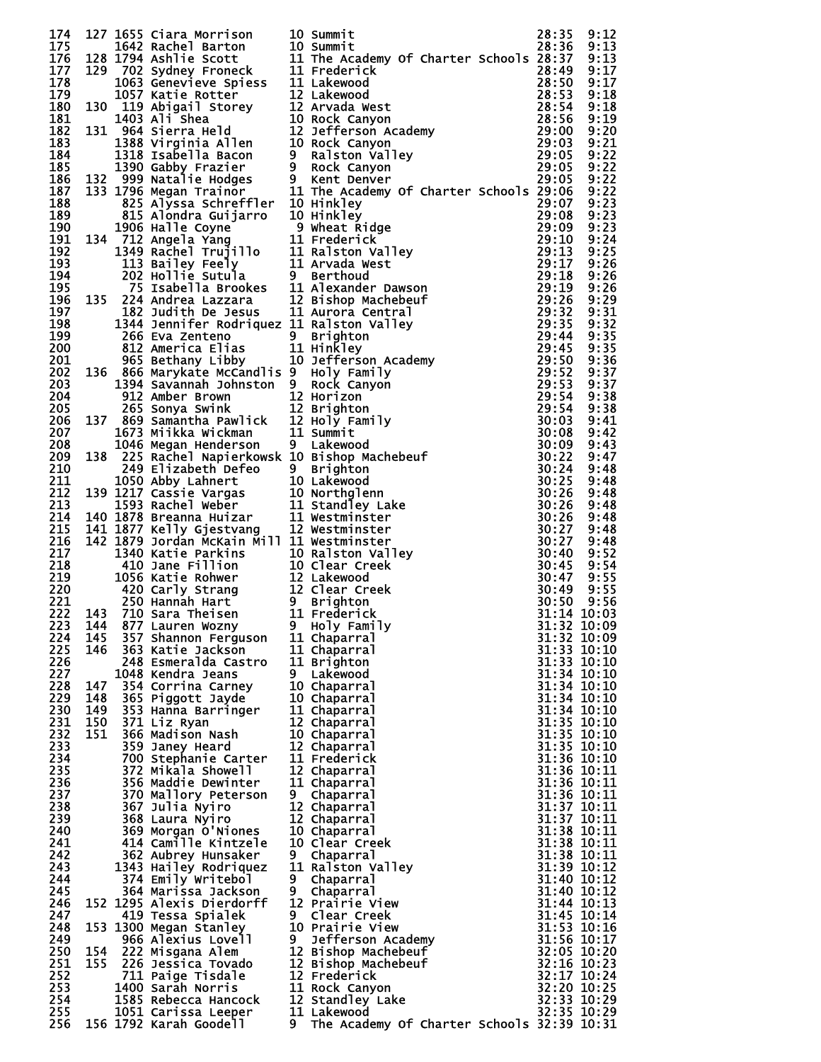| 174        |     |                                               |    | 127 1655 Cara Morrison 10 Summit<br>128 1642 Rachel Barton 10 Summit<br>128 1642 Rachel Barton 10 Summit<br>128 1784 Astric Scott 11 The Academy of Charter Schools 28:135<br>1793 Advanced Figure 2011 The Academy of Charter School |             |             |
|------------|-----|-----------------------------------------------|----|---------------------------------------------------------------------------------------------------------------------------------------------------------------------------------------------------------------------------------------|-------------|-------------|
| 175        |     |                                               |    |                                                                                                                                                                                                                                       |             |             |
| 176        |     |                                               |    |                                                                                                                                                                                                                                       |             |             |
| 177        |     |                                               |    |                                                                                                                                                                                                                                       |             |             |
|            |     |                                               |    |                                                                                                                                                                                                                                       |             |             |
| 178        |     |                                               |    |                                                                                                                                                                                                                                       |             |             |
| 179        |     |                                               |    |                                                                                                                                                                                                                                       |             |             |
| 180        |     |                                               |    |                                                                                                                                                                                                                                       |             |             |
| 181        |     |                                               |    |                                                                                                                                                                                                                                       |             |             |
| 182        |     |                                               |    |                                                                                                                                                                                                                                       |             |             |
| 183        |     |                                               |    |                                                                                                                                                                                                                                       |             |             |
| 184        |     |                                               |    |                                                                                                                                                                                                                                       |             |             |
| 185        |     |                                               |    |                                                                                                                                                                                                                                       |             |             |
| 186        |     |                                               |    |                                                                                                                                                                                                                                       |             |             |
| 187        |     |                                               |    |                                                                                                                                                                                                                                       |             |             |
| 188        |     |                                               |    |                                                                                                                                                                                                                                       |             |             |
| 189        |     |                                               |    |                                                                                                                                                                                                                                       |             |             |
| 190        |     |                                               |    |                                                                                                                                                                                                                                       |             |             |
|            |     |                                               |    |                                                                                                                                                                                                                                       |             |             |
| 191        |     |                                               |    |                                                                                                                                                                                                                                       |             |             |
| 192        |     |                                               |    |                                                                                                                                                                                                                                       |             |             |
| 193        |     |                                               |    |                                                                                                                                                                                                                                       |             |             |
| 194        |     |                                               |    |                                                                                                                                                                                                                                       |             |             |
| 195        |     |                                               |    |                                                                                                                                                                                                                                       |             |             |
| 196        |     |                                               |    |                                                                                                                                                                                                                                       |             |             |
| 197        |     |                                               |    |                                                                                                                                                                                                                                       |             |             |
| 198        |     |                                               |    |                                                                                                                                                                                                                                       |             |             |
| 199        |     |                                               |    |                                                                                                                                                                                                                                       |             |             |
| <b>200</b> |     |                                               |    |                                                                                                                                                                                                                                       |             |             |
| 201        |     |                                               |    |                                                                                                                                                                                                                                       |             |             |
| 202        |     |                                               |    |                                                                                                                                                                                                                                       |             |             |
| 203        |     |                                               |    |                                                                                                                                                                                                                                       |             |             |
|            |     |                                               |    |                                                                                                                                                                                                                                       |             |             |
| 204        |     |                                               |    |                                                                                                                                                                                                                                       |             |             |
| 205        |     |                                               |    |                                                                                                                                                                                                                                       |             |             |
| 206        |     |                                               |    |                                                                                                                                                                                                                                       |             |             |
| 207        |     |                                               |    |                                                                                                                                                                                                                                       |             |             |
| 208        |     |                                               |    |                                                                                                                                                                                                                                       |             |             |
| 209        |     |                                               |    |                                                                                                                                                                                                                                       |             |             |
| 210        |     |                                               |    |                                                                                                                                                                                                                                       |             |             |
| 211        |     |                                               |    |                                                                                                                                                                                                                                       |             |             |
| 212        |     |                                               |    |                                                                                                                                                                                                                                       |             |             |
| 213        |     |                                               |    |                                                                                                                                                                                                                                       |             |             |
| 214        |     |                                               |    |                                                                                                                                                                                                                                       |             |             |
|            |     |                                               |    |                                                                                                                                                                                                                                       |             |             |
| 215        |     |                                               |    |                                                                                                                                                                                                                                       |             |             |
| 216        |     |                                               |    |                                                                                                                                                                                                                                       |             |             |
| 217        |     |                                               |    |                                                                                                                                                                                                                                       |             |             |
| 218        |     |                                               |    |                                                                                                                                                                                                                                       |             |             |
| 219        |     |                                               |    |                                                                                                                                                                                                                                       |             |             |
| 220        |     |                                               |    |                                                                                                                                                                                                                                       |             |             |
| 221        |     |                                               |    |                                                                                                                                                                                                                                       |             |             |
| 222        |     |                                               |    |                                                                                                                                                                                                                                       |             |             |
|            |     | 223 144 877 Lauren Wozny       9 Holy Family  |    | $31:32$ $10:09$                                                                                                                                                                                                                       |             |             |
| 224        | 145 | 357 Shannon Ferguson                          |    | 11 Chaparral                                                                                                                                                                                                                          | 31:32 10:09 |             |
| 225        | 146 | 363 Katie Jackson                             |    | 11 Chaparral                                                                                                                                                                                                                          |             | 31:33 10:10 |
| 226        |     | 248 Esmeralda Castro                          |    | 11 Brighton                                                                                                                                                                                                                           | 31:33 10:10 |             |
| 227        |     | 1048 Kendra Jeans                             |    | 9 Lakewood                                                                                                                                                                                                                            | 31:34 10:10 |             |
| 228        | 147 | 354 Corrina Carney                            |    | 10 Chaparral                                                                                                                                                                                                                          | 31:34 10:10 |             |
|            |     |                                               |    |                                                                                                                                                                                                                                       |             |             |
| 229        | 148 | 365 Piggott Jayde                             |    | 10 Chaparral                                                                                                                                                                                                                          | 31:34 10:10 |             |
| 230        | 149 | 353 Hanna Barringer                           |    | 11 Chaparral                                                                                                                                                                                                                          | 31:34 10:10 |             |
| 231        | 150 | 371 Liz Ryan                                  |    | 12 Chaparral                                                                                                                                                                                                                          | 31:35 10:10 |             |
| 232        | 151 | 366 Madison Nash                              |    | 10 Chaparral                                                                                                                                                                                                                          | 31:35 10:10 |             |
| 233        |     | 359 Janey Heard                               |    | 12 Chaparral                                                                                                                                                                                                                          | 31:35 10:10 |             |
| 234        |     | 700 Stephanie Carter                          |    | 11 Frederick                                                                                                                                                                                                                          | 31:36 10:10 |             |
| 235        |     | 372 Mikala Showell                            |    | 12 Chaparral                                                                                                                                                                                                                          | 31:36 10:11 |             |
| 236        |     | 356 Maddie Dewinter                           |    | 11 Chaparral                                                                                                                                                                                                                          | 31:36 10:11 |             |
| 237        |     | 370 Mallory Peterson                          |    | 9 Chaparral                                                                                                                                                                                                                           | 31:36 10:11 |             |
| 238        |     | 367 Julia Nyiro                               |    | 12 Chaparral                                                                                                                                                                                                                          | 31:37 10:11 |             |
| 239        |     | 368 Laura Nyiro                               |    | 12 Chaparral                                                                                                                                                                                                                          | 31:37 10:11 |             |
| 240        |     | 369 Morgan O'Niones                           |    | 10 Chaparral                                                                                                                                                                                                                          | 31:38 10:11 |             |
| 241        |     | 414 Camille Kintzele                          |    | 10 Clear Creek                                                                                                                                                                                                                        | 31:38 10:11 |             |
| 242        |     |                                               |    |                                                                                                                                                                                                                                       |             |             |
| 243        |     |                                               |    |                                                                                                                                                                                                                                       |             |             |
|            |     | 362 Aubrey Hunsaker                           | 9. | Chaparral                                                                                                                                                                                                                             | 31:38 10:11 |             |
|            |     | 1343 Hailey Rodriquez                         |    | 11 Ralston Valley                                                                                                                                                                                                                     | 31:39 10:12 |             |
| 244        |     | 374 Emily Writebol                            | 9  | Chaparral                                                                                                                                                                                                                             | 31:40 10:12 |             |
| 245        |     | 364 Marissa Jackson                           |    | 9 Chaparral                                                                                                                                                                                                                           | 31:40 10:12 |             |
| 246        |     | 152 1295 Alexis Dierdorff                     |    | 12 Prairie View                                                                                                                                                                                                                       | 31:44 10:13 |             |
| 247        |     | 419 Tessa Spialek                             |    | 9 Clear Creek                                                                                                                                                                                                                         | 31:45 10:14 |             |
| 248        |     | 153 1300 Megan Stanley                        |    | 10 Prairie View                                                                                                                                                                                                                       | 31:53 10:16 |             |
| 249        |     | 966 Alexius Lovell                            | 9  | Jefferson Academy                                                                                                                                                                                                                     | 31:56 10:17 |             |
| 250        | 154 |                                               |    |                                                                                                                                                                                                                                       | 32:05 10:20 |             |
|            | 155 | 222 Misgana Alem                              |    | 12 Bishop Machebeuf                                                                                                                                                                                                                   |             |             |
| 251        |     | 226 Jessica Tovado                            |    | 12 Bishop Machebeuf                                                                                                                                                                                                                   | 32:16 10:23 |             |
| 252        |     | 711 Paige Tisdale                             |    | 12 Frederick                                                                                                                                                                                                                          | 32:17 10:24 |             |
| 253        |     | 1400 Sarah Norris                             |    | 11 Rock Canyon                                                                                                                                                                                                                        | 32:20 10:25 |             |
| 254        |     | 1585 Rebecca Hancock                          |    | 12 Standley Lake                                                                                                                                                                                                                      | 32:33 10:29 |             |
| 255<br>256 |     | 1051 Carissa Leeper<br>156 1792 Karah Goodell | 9. | 11 Lakewood<br>The Academy Of Charter Schools 32:39 10:31                                                                                                                                                                             |             | 32:35 10:29 |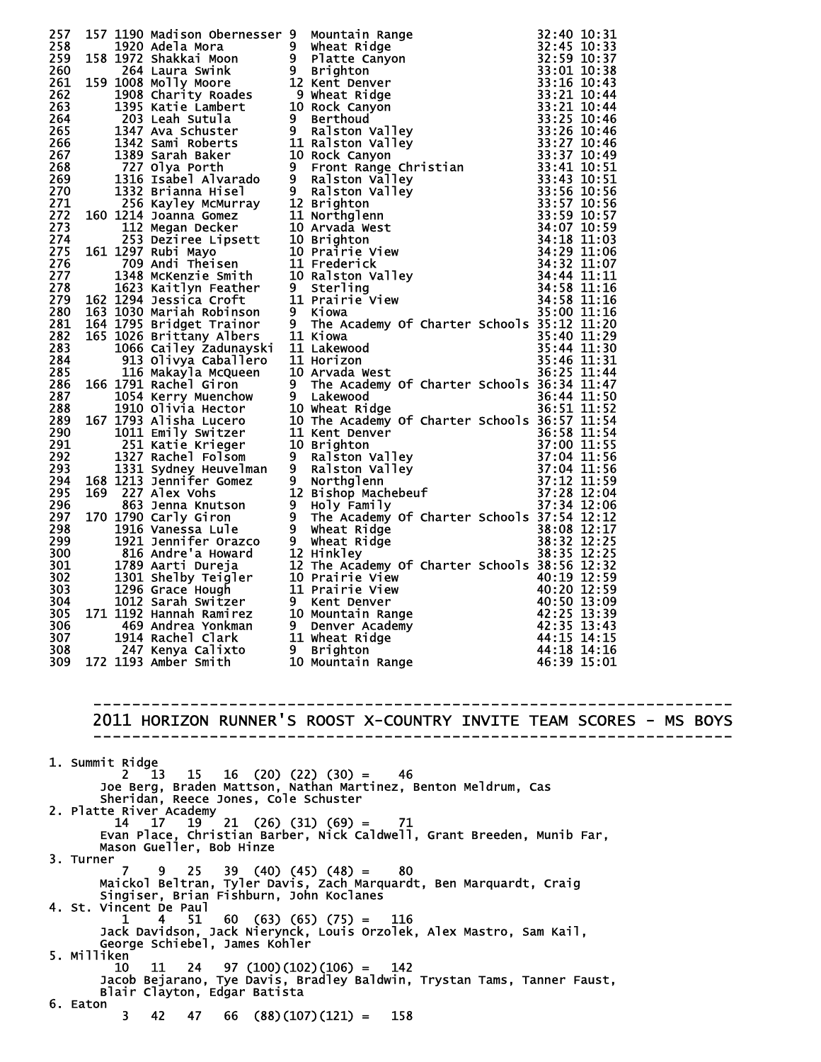|           |                 |                                                                  | 237 137 1130 Mall som dennes an Moutein Range<br>238 136 1927 Asiat Advisor dennes ar Sylvatic Range<br>238 158 1927 Asiat Advise and Sylvatic Range<br>238 158 1928 Mall som dennes a strategister and Sylvatic Range<br>238 159 192 |  |
|-----------|-----------------|------------------------------------------------------------------|---------------------------------------------------------------------------------------------------------------------------------------------------------------------------------------------------------------------------------------|--|
|           |                 |                                                                  |                                                                                                                                                                                                                                       |  |
|           |                 |                                                                  |                                                                                                                                                                                                                                       |  |
|           |                 |                                                                  |                                                                                                                                                                                                                                       |  |
|           |                 |                                                                  |                                                                                                                                                                                                                                       |  |
|           |                 |                                                                  |                                                                                                                                                                                                                                       |  |
|           |                 |                                                                  |                                                                                                                                                                                                                                       |  |
|           |                 |                                                                  |                                                                                                                                                                                                                                       |  |
|           |                 |                                                                  |                                                                                                                                                                                                                                       |  |
|           |                 |                                                                  |                                                                                                                                                                                                                                       |  |
|           |                 |                                                                  |                                                                                                                                                                                                                                       |  |
|           |                 |                                                                  |                                                                                                                                                                                                                                       |  |
|           |                 |                                                                  |                                                                                                                                                                                                                                       |  |
|           |                 |                                                                  |                                                                                                                                                                                                                                       |  |
|           |                 |                                                                  |                                                                                                                                                                                                                                       |  |
|           |                 |                                                                  |                                                                                                                                                                                                                                       |  |
|           |                 |                                                                  |                                                                                                                                                                                                                                       |  |
|           |                 |                                                                  |                                                                                                                                                                                                                                       |  |
|           |                 |                                                                  |                                                                                                                                                                                                                                       |  |
|           |                 |                                                                  |                                                                                                                                                                                                                                       |  |
|           |                 |                                                                  |                                                                                                                                                                                                                                       |  |
|           |                 |                                                                  |                                                                                                                                                                                                                                       |  |
|           |                 |                                                                  |                                                                                                                                                                                                                                       |  |
|           |                 |                                                                  |                                                                                                                                                                                                                                       |  |
|           |                 |                                                                  |                                                                                                                                                                                                                                       |  |
|           |                 |                                                                  |                                                                                                                                                                                                                                       |  |
|           |                 |                                                                  |                                                                                                                                                                                                                                       |  |
|           |                 |                                                                  |                                                                                                                                                                                                                                       |  |
|           |                 |                                                                  |                                                                                                                                                                                                                                       |  |
|           |                 |                                                                  |                                                                                                                                                                                                                                       |  |
|           |                 |                                                                  |                                                                                                                                                                                                                                       |  |
|           |                 |                                                                  |                                                                                                                                                                                                                                       |  |
|           |                 |                                                                  |                                                                                                                                                                                                                                       |  |
|           |                 |                                                                  |                                                                                                                                                                                                                                       |  |
|           |                 |                                                                  |                                                                                                                                                                                                                                       |  |
|           |                 |                                                                  |                                                                                                                                                                                                                                       |  |
|           |                 |                                                                  |                                                                                                                                                                                                                                       |  |
|           |                 |                                                                  |                                                                                                                                                                                                                                       |  |
|           |                 |                                                                  |                                                                                                                                                                                                                                       |  |
|           |                 |                                                                  |                                                                                                                                                                                                                                       |  |
|           |                 |                                                                  |                                                                                                                                                                                                                                       |  |
|           |                 |                                                                  |                                                                                                                                                                                                                                       |  |
|           |                 |                                                                  |                                                                                                                                                                                                                                       |  |
|           |                 |                                                                  |                                                                                                                                                                                                                                       |  |
|           |                 |                                                                  |                                                                                                                                                                                                                                       |  |
|           |                 |                                                                  |                                                                                                                                                                                                                                       |  |
|           |                 |                                                                  | 2011 HORIZON RUNNER'S ROOST X-COUNTRY INVITE TEAM SCORES - MS BOYS                                                                                                                                                                    |  |
|           |                 |                                                                  |                                                                                                                                                                                                                                       |  |
|           |                 |                                                                  |                                                                                                                                                                                                                                       |  |
|           | 1. Summit Ridge | $2 \t13 \t15 \t16 \t(20) \t(22) \t(30) = 46$                     |                                                                                                                                                                                                                                       |  |
|           |                 |                                                                  | Joe Berg, Braden Mattson, Nathan Martinez, Benton Meldrum, Cas                                                                                                                                                                        |  |
|           |                 | Sheridan, Reece Jones, Cole Schuster                             |                                                                                                                                                                                                                                       |  |
|           |                 | 2. Platte River Academy                                          |                                                                                                                                                                                                                                       |  |
|           |                 |                                                                  |                                                                                                                                                                                                                                       |  |
|           |                 | $14$ $17$ $19$ $21$ $(26)$ $(31)$ $(69)$ = 71                    |                                                                                                                                                                                                                                       |  |
|           |                 |                                                                  | Evan Place, Christian Barber, Nick Caldwell, Grant Breeden, Munib Far,                                                                                                                                                                |  |
| 3. Turner |                 | Mason Gueller, Bob Hinze                                         |                                                                                                                                                                                                                                       |  |
|           | 7.              | $9$ 25 39 (40) (45) (48) = 80                                    |                                                                                                                                                                                                                                       |  |
|           |                 |                                                                  | Maickol Beltran, Tyler Davis, Zach Marquardt, Ben Marquardt, Craig                                                                                                                                                                    |  |
|           |                 | Singiser, Brian Fishburn, John Koclanes                          |                                                                                                                                                                                                                                       |  |
|           |                 | 4. St. Vincent De Paul                                           |                                                                                                                                                                                                                                       |  |
|           |                 | $1 \t 4 \t 51 \t 60 \t (63) \t (65) \t (75) = 116$               | Jack Davidson, Jack Nierynck, Louis Orzolek, Alex Mastro, Sam Kail,                                                                                                                                                                   |  |
|           |                 | George Schiebel, James Kohler                                    |                                                                                                                                                                                                                                       |  |
|           | 5. Milliken     |                                                                  |                                                                                                                                                                                                                                       |  |
|           | 10 —            | $11 \quad 24 \quad 97 \quad (100) \quad (102) \quad (106) = 142$ |                                                                                                                                                                                                                                       |  |
|           |                 |                                                                  | Jacob Bejarano, Tye Davis, Bradley Baldwin, Trystan Tams, Tanner Faust,                                                                                                                                                               |  |
| 6. Eaton  | 3.              | Blair Clayton, Edgar Batista<br>42 47                            | $66$ $(88)(107)(121) =$<br>158                                                                                                                                                                                                        |  |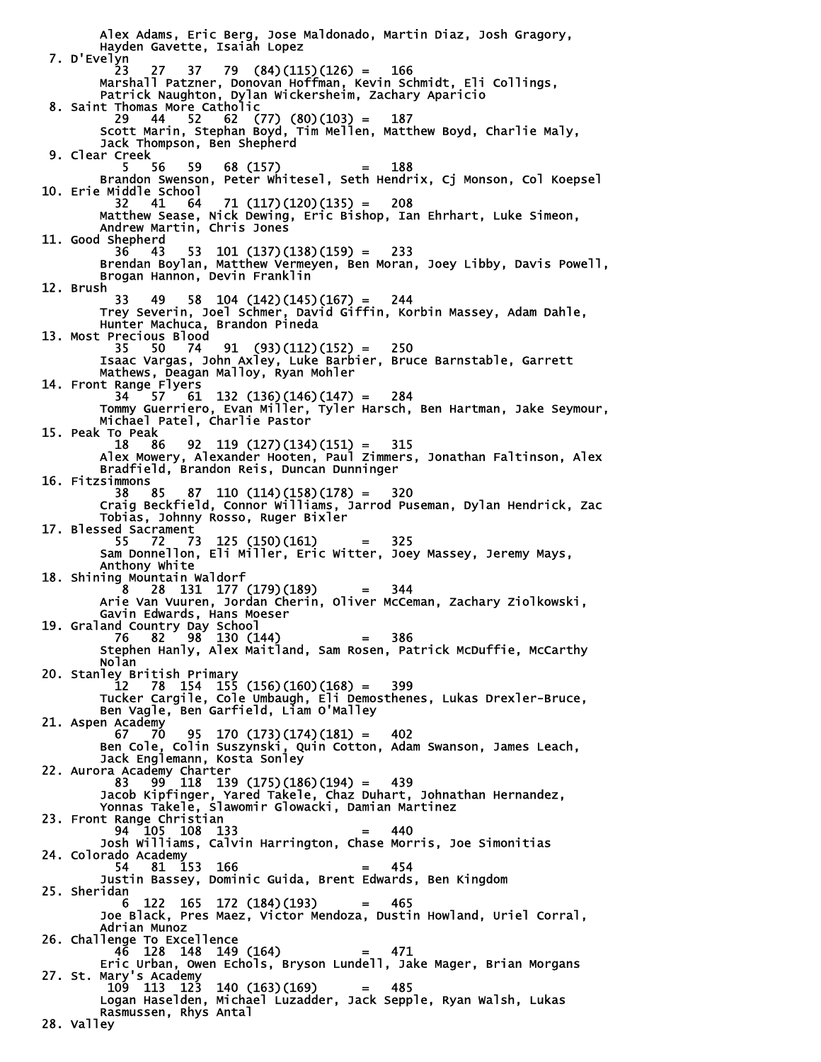Alex Adams, Eric Berg, Jose Maldonado, Martin Diaz, Josh Gragory, Hayden Gavette, Isaiah Lopez 7. D'Evelyn 23 27 37 79 (84)(115)(126) = 166 Marshall Patzner, Donovan Hoffman, Kevin Schmidt, Eli Collings, Patrick Naughton, Dylan Wickersheim, Zachary Aparicio 8. Saint Thomas More Catholic 29 44 52 62 (77) (80)(103) = 187 Scott Marin, Stephan Boyd, Tim Mellen, Matthew Boyd, Charlie Maly, Jack Thompson, Ben Shepherd 9. Clear Creek 5 56 59 68 (157) = 188 Brandon Swenson, Peter Whitesel, Seth Hendrix, Cj Monson, Col Koepsel 10. Erie Middle School<br>32 41 64 32 41 64 71 (117)(120)(135) = 208 Matthew Sease, Nick Dewing, Eric Bishop, Ian Ehrhart, Luke Simeon, Andrew Martin, Chris Jones 11. Good Shepherd 36 43 53 101 (137)(138)(159) = 233<br>Brendan Boylan, Matthew Vermeyen, Ben Moran, Joey Libby, Davis Powell,<br>Brogan Hannon, Devin Franklin Brendan Boylan, Matthew Vermeyen, Ben Moran, Joey Libby, Davis Powell, Brogan Hannon, Devin Franklin 12. Brush 33 49 58 104 (142)(145)(167) = 244 Trey Severin, Joel Schmer, David Giffin, Korbin Massey, Adam Dahle, Hunter Machuca, Brandon Pineda 13. Most Precious Blood 35 50 74 91 (93)(112)(152) = 250 Isaac Vargas, John Axley, Luke Barbier, Bruce Barnstable, Garrett Mathews, Deagan Malloy, Ryan Mohler 14. Front Range Flyers 34 57 61 132 (136)(146)(147) = 284 Tommy Guerriero, Evan Miller, Tyler Harsch, Ben Hartman, Jake Seymour, Michael Patel, Charlie Pastor 15. Peak To Peak 18 86 92 119 (127)(134)(151) = 315 Alex Mowery, Alexander Hooten, Paul Zimmers, Jonathan Faltinson, Alex Bradfield, Brandon Reis, Duncan Dunninger 16. Fitzsimmons 38 85 87 110 (114)(158)(178) = 320 Craig Beckfield, Connor Williams, Jarrod Puseman, Dylan Hendrick, Zac Tobias, Johnny Rosso, Ruger Bixler 17. Blessed Sacrament 55 72 73 125 (150)(161) = 325 Sam Donnellon, Eli Miller, Eric Witter, Joey Massey, Jeremy Mays, Anthony White 18. Shining Mountain Waldorf 8 28 131 177 (179)(189) = 344 Arie Van Vuuren, Jordan Cherin, Oliver McCeman, Zachary Ziolkowski, Gavin Edwards, Hans Moeser 19. Graland Country Day School 76 82 98 130 (144) = 386 Stephen Hanly, Alex Maitland, Sam Rosen, Patrick McDuffie, McCarthy Nolan 20. Stanley British Primary  $12$  78 154 155 (156)(160)(168) = 399 Tucker Cargile, Cole Umbaugh, Eli Demosthenes, Lukas Drexler-Bruce, Ben Vagle, Ben Garfield, Liam O'Malley 21. Aspen Academy<br>67 70 67 70  $95$  170 (173) (174) (181) = 402 Ben Cole, Colin Suszynski, Quin Cotton, Adam Swanson, James Leach, Jack Englemann, Kosta Sonley 22. Aurora Academy Charter 83 99 118 139 (175)(186)(194) = 439 Jacob Kipfinger, Yared Takele, Chaz Duhart, Johnathan Hernandez, Yonnas Takele, Slawomir Glowacki, Damian Martinez 23. Front Range Christian 94 105 108 133 = 440 Josh Williams, Calvin Harrington, Chase Morris, Joe Simonitias 24. Colorado Academy 54 81 153 166 = 454 Justin Bassey, Dominic Guida, Brent Edwards, Ben Kingdom 25. Sheridan 6 122 165 172 (184)(193) = 465 Joe Black, Pres Maez, Victor Mendoza, Dustin Howland, Uriel Corral, Adrian Munoz<br>26. Challenge To Excellence 26. Challenge To Excellence 46 128 148 149 (164) = 471 Eric Urban, Owen Echols, Bryson Lundell, Jake Mager, Brian Morgans 27. St. Mary's Academy 109 113 123 140 (163)(169) = 485 Logan Haselden, Michael Luzadder, Jack Sepple, Ryan Walsh, Lukas Logan Haselden, Michael Luzadder, Jack Sepple, Ryan Walsh, Lukas<br>Rasmussen, Rhys Antal 28. Valley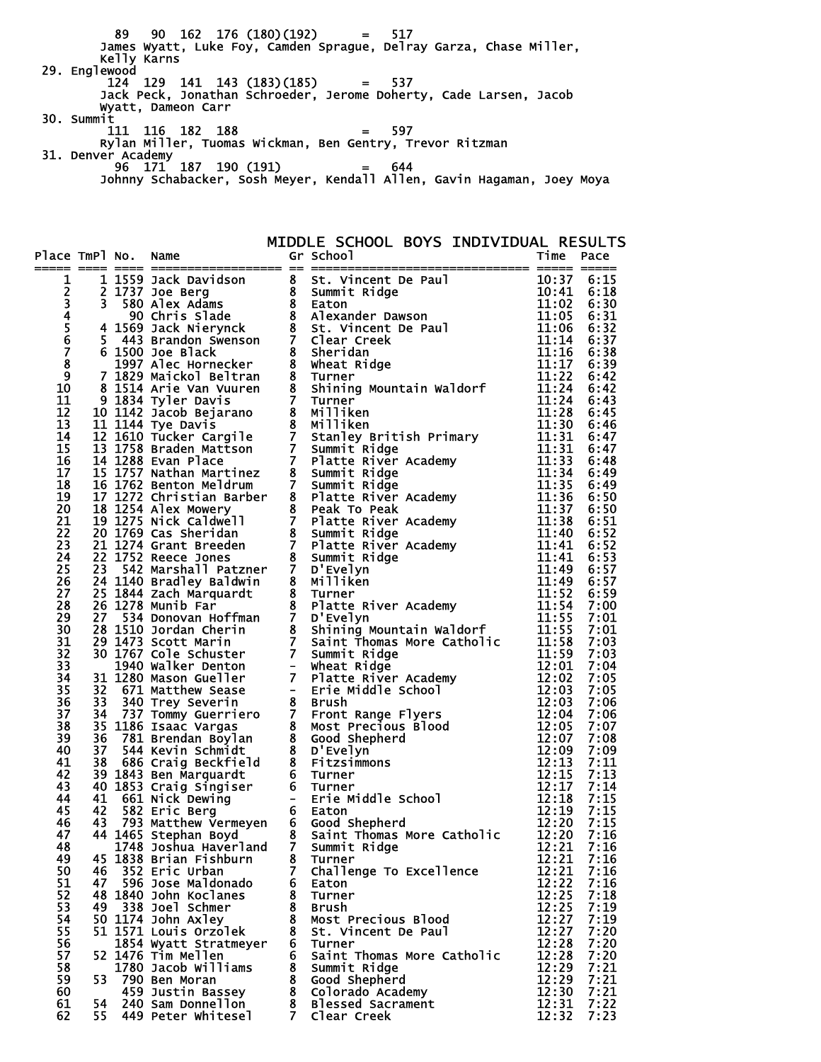89 90 162 176 (180)(192) = 517 James Wyatt, Luke Foy, Camden Sprague, Delray Garza, Chase Miller, Kelly Karns 29. Englewood 124 129 141 143 (183)(185) = 537 Jack Peck, Jonathan Schroeder, Jerome Doherty, Cade Larsen, Jacob Wyatt, Dameon Carr 30. Summit 111 116 182 188 = 597 Rylan Miller, Tuomas Wickman, Ben Gentry, Trevor Ritzman 31. Denver Academy 96 171 187 190 (191) = 644 Johnny Schabacker, Sosh Meyer, Kendall Allen, Gavin Hagaman, Joey Moya

MIDDLE SCHOOL BOYS INDIVIDUAL RESULTS

|          |      |                                             |   | are Table to the strengtheness of the strengtheness of the strengtheness of the strengtheness of a strengtheness of a strengtheness of a strengtheness of a strengtheness of a strengtheness of a strengtheness of a strength |                |              |
|----------|------|---------------------------------------------|---|-------------------------------------------------------------------------------------------------------------------------------------------------------------------------------------------------------------------------------|----------------|--------------|
|          |      |                                             |   |                                                                                                                                                                                                                               |                |              |
|          |      |                                             |   |                                                                                                                                                                                                                               |                |              |
|          |      |                                             |   |                                                                                                                                                                                                                               |                |              |
|          |      |                                             |   |                                                                                                                                                                                                                               |                |              |
|          |      |                                             |   |                                                                                                                                                                                                                               |                |              |
|          |      |                                             |   |                                                                                                                                                                                                                               |                |              |
|          |      |                                             |   |                                                                                                                                                                                                                               |                |              |
|          |      |                                             |   |                                                                                                                                                                                                                               |                |              |
|          |      |                                             |   |                                                                                                                                                                                                                               |                |              |
|          |      |                                             |   |                                                                                                                                                                                                                               |                |              |
|          |      |                                             |   |                                                                                                                                                                                                                               |                |              |
|          |      |                                             |   |                                                                                                                                                                                                                               |                |              |
|          |      |                                             |   |                                                                                                                                                                                                                               |                |              |
|          |      |                                             |   |                                                                                                                                                                                                                               |                |              |
|          |      |                                             |   |                                                                                                                                                                                                                               |                |              |
|          |      |                                             |   |                                                                                                                                                                                                                               |                |              |
|          |      |                                             |   |                                                                                                                                                                                                                               |                |              |
|          |      |                                             |   |                                                                                                                                                                                                                               |                |              |
|          |      |                                             |   |                                                                                                                                                                                                                               |                |              |
|          |      |                                             |   |                                                                                                                                                                                                                               |                |              |
|          |      |                                             |   |                                                                                                                                                                                                                               |                |              |
|          |      |                                             |   |                                                                                                                                                                                                                               |                |              |
|          |      |                                             |   |                                                                                                                                                                                                                               |                |              |
|          |      |                                             |   |                                                                                                                                                                                                                               |                |              |
|          |      |                                             |   |                                                                                                                                                                                                                               |                |              |
|          |      |                                             |   |                                                                                                                                                                                                                               |                |              |
|          |      |                                             |   |                                                                                                                                                                                                                               |                |              |
|          |      |                                             |   |                                                                                                                                                                                                                               |                |              |
|          |      |                                             |   |                                                                                                                                                                                                                               |                |              |
|          |      |                                             |   |                                                                                                                                                                                                                               |                |              |
|          |      |                                             |   |                                                                                                                                                                                                                               |                |              |
|          |      |                                             |   |                                                                                                                                                                                                                               |                |              |
|          |      |                                             |   |                                                                                                                                                                                                                               |                |              |
|          |      |                                             |   |                                                                                                                                                                                                                               |                |              |
|          |      |                                             |   |                                                                                                                                                                                                                               |                |              |
|          |      |                                             |   |                                                                                                                                                                                                                               |                |              |
|          |      |                                             |   |                                                                                                                                                                                                                               |                |              |
|          |      |                                             |   |                                                                                                                                                                                                                               |                |              |
|          |      |                                             |   |                                                                                                                                                                                                                               |                |              |
|          |      |                                             |   |                                                                                                                                                                                                                               |                |              |
|          |      |                                             |   |                                                                                                                                                                                                                               |                |              |
|          |      |                                             |   |                                                                                                                                                                                                                               |                |              |
|          |      |                                             |   |                                                                                                                                                                                                                               |                |              |
| 49       |      | 45 1838 Brian Fishburn                      |   | 8 Turner                                                                                                                                                                                                                      | 12:21          | 7:16         |
| 50       | 46   | 352 Eric Urban                              |   | 7 Challenge To Excellence                                                                                                                                                                                                     | 12:21          | 7:16         |
| 51       | 47   | 596 Jose Maldonado                          |   | 6 Eaton                                                                                                                                                                                                                       | 12:22          | 7:16         |
| 52       |      | 48 1840 John Koclanes                       |   | 8 Turner                                                                                                                                                                                                                      | 12:25          | 7:18         |
| 53       |      | 49 338 Joel Schmer                          |   | 8 Brush                                                                                                                                                                                                                       | 12:25          | 7:19         |
| 54<br>55 |      | 50 1174 John Axley<br>51 1571 Louis Orzolek |   | 8 Most Precious Blood<br>8 St. Vincent De Paul                                                                                                                                                                                | 12:27<br>12:27 | 7:19<br>7:20 |
| 56       |      | 1854 Wyatt Stratmeyer                       |   | 6 Turner                                                                                                                                                                                                                      | 12:28          | 7:20         |
| 57       |      | 52 1476 Tim Mellen                          |   | 6 Saint Thomas More Catholic                                                                                                                                                                                                  | 12:28          | 7:20         |
| 58       |      | 1780 Jacob Williams                         |   | 8 Summit Ridge                                                                                                                                                                                                                | 12:29          | 7:21         |
| 59       |      | 53 790 Ben Moran                            |   | 8 Good Shepherd                                                                                                                                                                                                               | 12:29          | 7:21         |
| 60       |      | 459 Justin Bassey                           |   | 8 Colorado Academy                                                                                                                                                                                                            | 12:30          | 7:21         |
| 61       | 54 - | 240 Sam Donnellon                           |   | 8 Blessed Sacrament                                                                                                                                                                                                           | 12:31          | 7:22         |
| 62       | 55   | 449 Peter Whitesel                          | 7 | Clear Creek                                                                                                                                                                                                                   | 12:32          | 7:23         |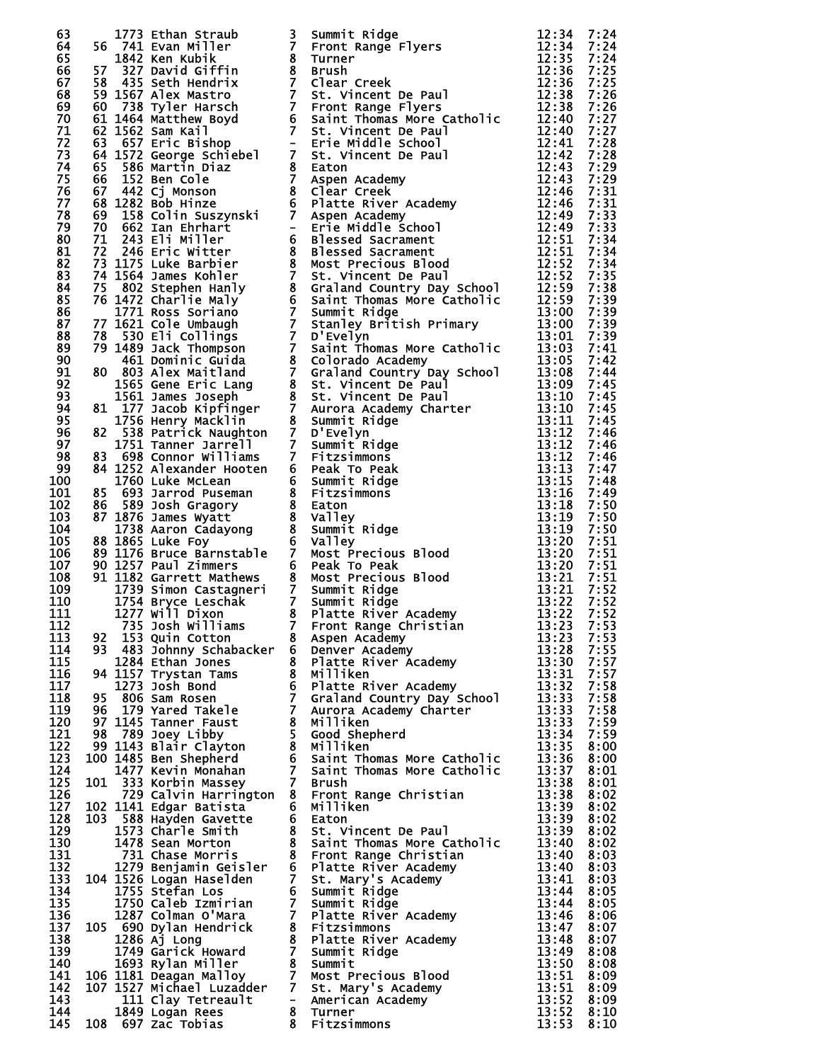| 63  |  |                                       |   | 1773 Ethan Straub and Summer Ridge<br>1773 Ethan Miller 3 Summer Ridge<br>17842 Ken Kubik<br>1842 Ken Kubik<br>1842 Ken Kubik<br>1847 Strong Griffin 8 Turner<br>1783 Appler Handrith 7 Clear Creek<br>641 1567 Alex Mastro 7 St. Vincent be                    |       | 7:24 |
|-----|--|---------------------------------------|---|-----------------------------------------------------------------------------------------------------------------------------------------------------------------------------------------------------------------------------------------------------------------|-------|------|
| 64  |  |                                       |   |                                                                                                                                                                                                                                                                 |       | 7:24 |
| 65  |  |                                       |   |                                                                                                                                                                                                                                                                 |       | 7:24 |
| 66  |  |                                       |   |                                                                                                                                                                                                                                                                 |       | 7:25 |
| 67  |  |                                       |   |                                                                                                                                                                                                                                                                 |       | 7:25 |
| 68  |  |                                       |   |                                                                                                                                                                                                                                                                 |       | 7:26 |
| 69  |  |                                       |   |                                                                                                                                                                                                                                                                 |       | 7:26 |
| 70  |  |                                       |   |                                                                                                                                                                                                                                                                 |       | 7:27 |
| 71  |  |                                       |   |                                                                                                                                                                                                                                                                 |       | 7:27 |
| 72  |  |                                       |   |                                                                                                                                                                                                                                                                 |       | 7:28 |
|     |  |                                       |   |                                                                                                                                                                                                                                                                 |       |      |
| 73  |  |                                       |   |                                                                                                                                                                                                                                                                 |       | 7:28 |
| 74  |  |                                       |   |                                                                                                                                                                                                                                                                 |       | 7:29 |
| 75  |  |                                       |   |                                                                                                                                                                                                                                                                 |       | 7:29 |
| 76  |  |                                       |   |                                                                                                                                                                                                                                                                 |       | 7:31 |
| 77  |  |                                       |   |                                                                                                                                                                                                                                                                 |       | 7:31 |
| 78  |  |                                       |   |                                                                                                                                                                                                                                                                 |       | 7:33 |
| 79  |  |                                       |   |                                                                                                                                                                                                                                                                 |       | 7:33 |
| 80  |  |                                       |   |                                                                                                                                                                                                                                                                 |       | 7:34 |
| 81  |  |                                       |   |                                                                                                                                                                                                                                                                 |       | 7:34 |
| 82  |  |                                       |   |                                                                                                                                                                                                                                                                 |       | 7:34 |
| 83  |  |                                       |   |                                                                                                                                                                                                                                                                 |       | 7:35 |
| 84  |  |                                       |   |                                                                                                                                                                                                                                                                 |       | 7:38 |
| 85  |  |                                       |   |                                                                                                                                                                                                                                                                 |       | 7:39 |
| 86  |  |                                       |   |                                                                                                                                                                                                                                                                 |       | 7:39 |
| 87  |  |                                       |   |                                                                                                                                                                                                                                                                 |       | 7:39 |
| 88  |  |                                       |   |                                                                                                                                                                                                                                                                 |       | 7:39 |
| 89  |  |                                       |   |                                                                                                                                                                                                                                                                 |       | 7:41 |
| 90  |  |                                       |   |                                                                                                                                                                                                                                                                 |       | 7:42 |
| 91  |  |                                       |   |                                                                                                                                                                                                                                                                 |       | 7:44 |
|     |  |                                       |   |                                                                                                                                                                                                                                                                 |       |      |
| 92  |  |                                       |   |                                                                                                                                                                                                                                                                 |       | 7:45 |
| 93  |  |                                       |   |                                                                                                                                                                                                                                                                 |       | 7:45 |
| 94  |  |                                       |   |                                                                                                                                                                                                                                                                 |       | 7:45 |
| 95  |  |                                       |   |                                                                                                                                                                                                                                                                 |       | 7:45 |
| 96  |  |                                       |   |                                                                                                                                                                                                                                                                 |       | 7:46 |
| 97  |  |                                       |   |                                                                                                                                                                                                                                                                 |       |      |
| 98  |  |                                       |   |                                                                                                                                                                                                                                                                 |       |      |
| 99  |  |                                       |   |                                                                                                                                                                                                                                                                 |       |      |
| 100 |  |                                       |   |                                                                                                                                                                                                                                                                 |       |      |
| 101 |  |                                       |   |                                                                                                                                                                                                                                                                 |       |      |
| 102 |  |                                       |   |                                                                                                                                                                                                                                                                 |       |      |
| 103 |  |                                       |   |                                                                                                                                                                                                                                                                 |       |      |
| 104 |  |                                       |   |                                                                                                                                                                                                                                                                 |       |      |
| 105 |  |                                       |   |                                                                                                                                                                                                                                                                 |       |      |
| 106 |  |                                       |   |                                                                                                                                                                                                                                                                 |       |      |
| 107 |  |                                       |   |                                                                                                                                                                                                                                                                 |       |      |
| 108 |  |                                       |   |                                                                                                                                                                                                                                                                 |       |      |
| 109 |  |                                       |   |                                                                                                                                                                                                                                                                 |       |      |
| 110 |  |                                       |   |                                                                                                                                                                                                                                                                 |       |      |
| 111 |  |                                       |   |                                                                                                                                                                                                                                                                 |       |      |
|     |  |                                       |   |                                                                                                                                                                                                                                                                 |       |      |
| 112 |  |                                       |   |                                                                                                                                                                                                                                                                 |       |      |
| 113 |  |                                       |   | 8 Aspen Academy                                                                                                                                                                                                                                                 | 13:23 | 7:53 |
| 114 |  |                                       |   |                                                                                                                                                                                                                                                                 | 13:28 | 7:55 |
| 115 |  |                                       |   |                                                                                                                                                                                                                                                                 | 13:30 | 7:57 |
| 116 |  |                                       |   |                                                                                                                                                                                                                                                                 | 13:31 | 7:57 |
| 117 |  |                                       |   |                                                                                                                                                                                                                                                                 | 13:32 | 7:58 |
| 118 |  |                                       |   |                                                                                                                                                                                                                                                                 | 13:33 | 7:58 |
| 119 |  |                                       |   |                                                                                                                                                                                                                                                                 | 13:33 | 7:58 |
| 120 |  |                                       |   |                                                                                                                                                                                                                                                                 | 13:33 | 7:59 |
| 121 |  |                                       |   |                                                                                                                                                                                                                                                                 | 13:34 | 7:59 |
| 122 |  |                                       |   | 1284 Ethan Jones 8 Platte River Academy<br>94 1157 Trystan Tams 8 Platte River Academy<br>95 806 Sam Rosen 7 Graland Country Day School<br>96 179 Yared Takele<br>97 1145 Tanner Faust 8 Milliken<br>98 789 Joey Libby 5 Good Shepherd<br>                      | 13:35 | 8:00 |
| 123 |  |                                       |   |                                                                                                                                                                                                                                                                 | 13:36 | 8:00 |
| 124 |  |                                       |   |                                                                                                                                                                                                                                                                 | 13:37 | 8:01 |
| 125 |  |                                       |   |                                                                                                                                                                                                                                                                 | 13:38 | 8:01 |
| 126 |  |                                       |   | 729 Calvin Harrington 8 Front Range Christian                                                                                                                                                                                                                   | 13:38 | 8:02 |
| 127 |  | 102 1141 Edgar Batista                |   | 6 Milliken                                                                                                                                                                                                                                                      | 13:39 | 8:02 |
| 128 |  | 103 588 Hayden Gavette                |   | 6 Eaton                                                                                                                                                                                                                                                         | 13:39 | 8:02 |
| 129 |  | 1573 Charle Smith                     |   | 6 Eaton<br>8 St. Vincent De Paul<br>8 Saint Thomas More Catholic<br>8 Front Range Christian<br>6 Platte River Academy<br>7 St. Mary's Academy<br>7 Summit Ridge<br>7 Platte River Academy<br>8 Fitzsimmons<br>8 Platte River Academy<br>7 Summit Ridge<br>8 Sum | 13:39 | 8:02 |
| 130 |  | 1478 Sean Morton                      |   |                                                                                                                                                                                                                                                                 | 13:40 | 8:02 |
| 131 |  | 731 Chase Morris                      |   |                                                                                                                                                                                                                                                                 | 13:40 | 8:03 |
| 132 |  | 1279 Benjamin Geisler                 |   |                                                                                                                                                                                                                                                                 | 13:40 | 8:03 |
| 133 |  | 104 1526 Logan Haselden               |   |                                                                                                                                                                                                                                                                 | 13:41 | 8:03 |
| 134 |  |                                       |   |                                                                                                                                                                                                                                                                 |       |      |
|     |  | 1755 Stefan Los                       |   |                                                                                                                                                                                                                                                                 | 13:44 | 8:05 |
| 135 |  | 1750 Caleb Izmirian                   |   |                                                                                                                                                                                                                                                                 | 13:44 | 8:05 |
| 136 |  | 1287 Colman O'Mara                    |   |                                                                                                                                                                                                                                                                 | 13:46 | 8:06 |
| 137 |  | 105 690 Dylan Hendrick                |   |                                                                                                                                                                                                                                                                 | 13:47 | 8:07 |
| 138 |  | $1286$ A $j$ Long                     |   |                                                                                                                                                                                                                                                                 | 13:48 | 8:07 |
| 139 |  | 1749 Garick Howard                    |   | 7 Summit Ridge                                                                                                                                                                                                                                                  | 13:49 | 8:08 |
| 140 |  | 1693 Rylan Miller                     |   |                                                                                                                                                                                                                                                                 | 13:50 | 8:08 |
| 141 |  | 106 1181 Deagan Malloy                |   |                                                                                                                                                                                                                                                                 | 13:51 | 8:09 |
| 142 |  |                                       |   | 107 1527 Michael Luzadder 7 St. Mary's Academy                                                                                                                                                                                                                  | 13:51 | 8:09 |
| 143 |  | 111 Clay Tetreault - American Academy |   |                                                                                                                                                                                                                                                                 | 13:52 | 8:09 |
| 144 |  | 1849 Logan Rees                       |   | <b>7 Most Precious Blood<br/>7 St. Mary's Academy<br/>- American Academy<br/>8 Fitzsimmons</b>                                                                                                                                                                  | 13:52 | 8:10 |
| 145 |  | 108 697 Zac Tobias                    | 8 | Fitzsimmons                                                                                                                                                                                                                                                     | 13:53 | 8:10 |
|     |  |                                       |   |                                                                                                                                                                                                                                                                 |       |      |

|  | 77777777788888888888888888888888888<br>Ō |
|--|------------------------------------------|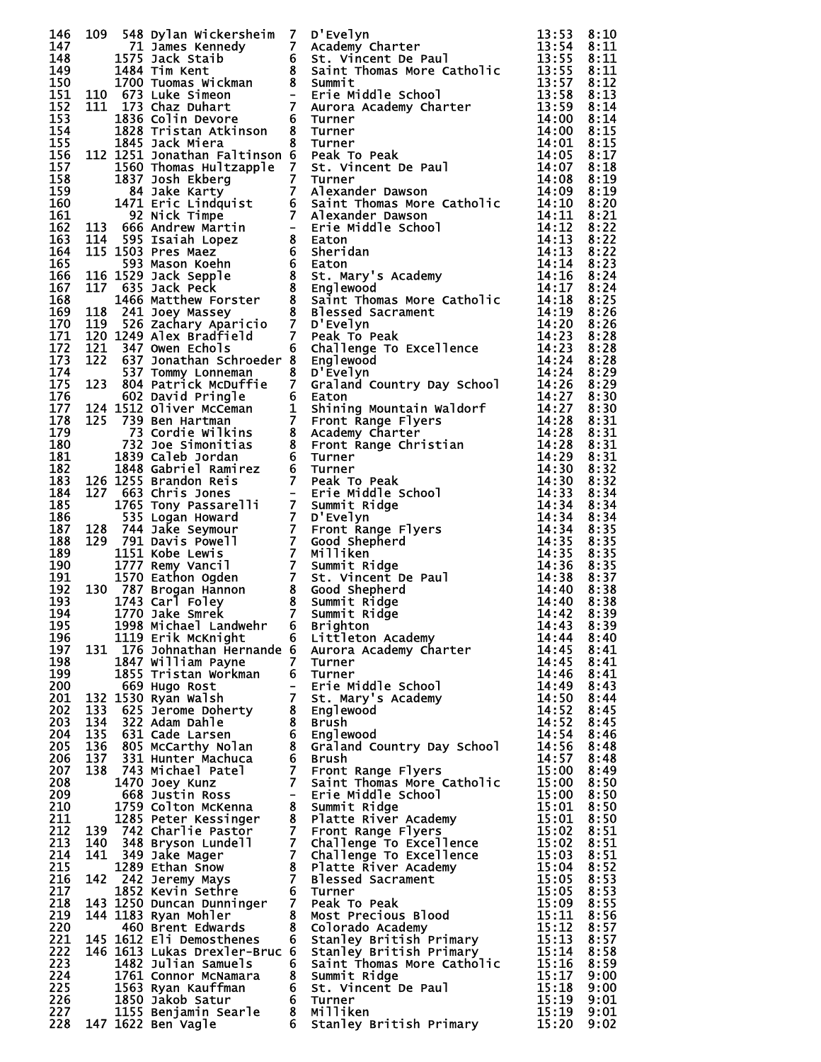|            |            |                                                       |                | 146 109 548 bylin wickcrashed 7 D Evelyn Material 13:33 11:33 11:34 11:34<br>147 1971 James Kennedy 7 D Academy charter 11:35:34 2:10<br>1490 1772 James Kennedy 7 Academy charter and 2:10<br>11:30 1772 James Kennedy 8 Salimir Thom           |                |              |
|------------|------------|-------------------------------------------------------|----------------|--------------------------------------------------------------------------------------------------------------------------------------------------------------------------------------------------------------------------------------------------|----------------|--------------|
|            |            |                                                       |                |                                                                                                                                                                                                                                                  |                |              |
|            |            |                                                       |                |                                                                                                                                                                                                                                                  |                |              |
|            |            |                                                       |                |                                                                                                                                                                                                                                                  |                |              |
|            |            |                                                       |                |                                                                                                                                                                                                                                                  |                |              |
|            |            |                                                       |                |                                                                                                                                                                                                                                                  |                |              |
|            |            |                                                       |                |                                                                                                                                                                                                                                                  |                |              |
|            |            |                                                       |                |                                                                                                                                                                                                                                                  |                |              |
|            |            |                                                       |                |                                                                                                                                                                                                                                                  |                |              |
|            |            |                                                       |                |                                                                                                                                                                                                                                                  |                |              |
|            |            |                                                       |                |                                                                                                                                                                                                                                                  |                |              |
|            |            |                                                       |                |                                                                                                                                                                                                                                                  |                |              |
|            |            |                                                       |                |                                                                                                                                                                                                                                                  |                |              |
|            |            |                                                       |                |                                                                                                                                                                                                                                                  |                |              |
|            |            |                                                       |                |                                                                                                                                                                                                                                                  |                |              |
|            |            |                                                       |                |                                                                                                                                                                                                                                                  |                |              |
|            |            |                                                       |                |                                                                                                                                                                                                                                                  |                |              |
|            |            |                                                       |                |                                                                                                                                                                                                                                                  |                |              |
|            |            |                                                       |                |                                                                                                                                                                                                                                                  |                |              |
|            |            |                                                       |                |                                                                                                                                                                                                                                                  |                |              |
|            |            |                                                       |                |                                                                                                                                                                                                                                                  |                |              |
|            |            |                                                       |                |                                                                                                                                                                                                                                                  |                |              |
|            |            |                                                       |                |                                                                                                                                                                                                                                                  |                |              |
|            |            |                                                       |                |                                                                                                                                                                                                                                                  |                |              |
|            |            |                                                       |                |                                                                                                                                                                                                                                                  |                |              |
|            |            |                                                       |                |                                                                                                                                                                                                                                                  |                |              |
|            |            |                                                       |                |                                                                                                                                                                                                                                                  |                |              |
|            |            |                                                       |                |                                                                                                                                                                                                                                                  |                |              |
|            |            |                                                       |                |                                                                                                                                                                                                                                                  |                |              |
|            |            |                                                       |                |                                                                                                                                                                                                                                                  |                |              |
|            |            |                                                       |                |                                                                                                                                                                                                                                                  |                |              |
|            |            |                                                       |                |                                                                                                                                                                                                                                                  |                |              |
|            |            |                                                       |                |                                                                                                                                                                                                                                                  |                |              |
|            |            |                                                       |                |                                                                                                                                                                                                                                                  |                |              |
|            |            |                                                       |                |                                                                                                                                                                                                                                                  |                |              |
|            |            |                                                       |                |                                                                                                                                                                                                                                                  |                |              |
|            |            |                                                       |                |                                                                                                                                                                                                                                                  |                |              |
|            |            |                                                       |                |                                                                                                                                                                                                                                                  |                |              |
|            |            |                                                       |                |                                                                                                                                                                                                                                                  |                |              |
|            |            |                                                       |                |                                                                                                                                                                                                                                                  |                |              |
|            |            |                                                       |                |                                                                                                                                                                                                                                                  |                |              |
| 196        |            | 1119 Erik McKnight                                    |                | 6 Littleton Academy                                                                                                                                                                                                                              | 14:44          | 8:40         |
| 197        |            |                                                       |                | 131 176 Johnathan Hernande 6 Aurora Academy Charter                                                                                                                                                                                              | 14:45          | 8:41         |
| 198        |            | 1847 William Payne                                    | $\overline{7}$ | Turner                                                                                                                                                                                                                                           | 14:45          | 8:41         |
| 199        |            | 1855 Tristan Workman                                  |                | 6 Turner<br>- Erie Middle School                                                                                                                                                                                                                 | 14:46          | 8:41         |
| 200<br>201 |            | 669 Hugo Rost<br>132 1530 Ryan Walsh                  |                | 7 St. Mary's Academy                                                                                                                                                                                                                             | 14:49<br>14:50 | 8:43<br>8:44 |
| 202        | 133        | 625 Jerome Doherty                                    |                | 8 Englewood                                                                                                                                                                                                                                      | 14:52          | 8:45         |
| 203        |            | 134 322 Adam Dahle                                    |                | 8 Brush                                                                                                                                                                                                                                          | 14:52          | 8:45         |
| 204        | 135        | 631 Cade Larsen                                       |                | 6 Englewood                                                                                                                                                                                                                                      | 14:54          | 8:46         |
| 205<br>206 | 136<br>137 | 805 McCarthy Nolan<br>331 Hunter Machuca              |                | 8 Graland Country Day School<br>6 Brush                                                                                                                                                                                                          | 14:56<br>14:57 | 8:48<br>8:48 |
| 207        | 138        | 743 Michael Patel                                     |                | 7 Front Range Flyers                                                                                                                                                                                                                             | 15:00          | 8:49         |
| 208        |            | 1470 Joey Kunz                                        |                | 7 Saint Thomas More Catholic                                                                                                                                                                                                                     | 15:00          | 8:50         |
| 209        |            | 668 Justin Ross                                       |                | - Erie Middle School                                                                                                                                                                                                                             | 15:00          | 8:50         |
| 210<br>211 |            |                                                       |                |                                                                                                                                                                                                                                                  | 15:01<br>15:01 | 8:50<br>8:50 |
| 212        |            |                                                       |                |                                                                                                                                                                                                                                                  | 15:02          | 8:51         |
| 213        |            |                                                       |                |                                                                                                                                                                                                                                                  | 15:02          | 8:51         |
| 214        |            |                                                       |                |                                                                                                                                                                                                                                                  | 15:03          | 8:51         |
| 215        |            |                                                       |                |                                                                                                                                                                                                                                                  | 15:04          | 8:52         |
| 216<br>217 |            |                                                       |                |                                                                                                                                                                                                                                                  | 15:05<br>15:05 | 8:53<br>8:53 |
| 218        |            |                                                       |                | 668 Justin Ross<br>1759 Colton McKenna<br>1759 Colton McKenna<br>1885 Peter Kessinger<br>1885 Peter Kessinger<br>1897 742 Challenge To Excellence<br>140 348 Bryson Lundell<br>17 Challenge To Excellence<br>141 349 Jake Mager<br>1289 Ethan Sn | 15:09          | 8:55         |
| 219        |            |                                                       |                |                                                                                                                                                                                                                                                  | 15:11          | 8:56         |
| 220        |            |                                                       |                |                                                                                                                                                                                                                                                  | 15:12          | 8:57         |
| 221<br>222 |            |                                                       |                |                                                                                                                                                                                                                                                  | 15:13<br>15:14 | 8:57<br>8:58 |
| 223        |            |                                                       |                |                                                                                                                                                                                                                                                  | 15:16          | 8:59         |
| 224        |            | 1761 Connor McNamara                                  |                | 8 Summit Ridge<br>6 St. Vincent De Paul                                                                                                                                                                                                          | 15:17          | 9:00         |
| 225        |            | 1563 Ryan Kauffman                                    |                |                                                                                                                                                                                                                                                  | 15:18          | 9:00         |
| 226        |            | 1850 Jakob Satur                                      |                | 6 Turner                                                                                                                                                                                                                                         | 15:19          | 9:01         |
| 227<br>228 |            | 1155 Benjamin Searle 8 Milliken<br>147 1622 Ben Vagle |                | 6 Stanley British Primary                                                                                                                                                                                                                        | 15:19<br>15:20 | 9:01<br>9:02 |
|            |            |                                                       |                |                                                                                                                                                                                                                                                  |                |              |

| 55555550000000011111111222222222223333333334444355555000000001111111122222222222223344455680023 | 医第二指数 医第二指数 医第二指数 医第二指数 医第二指数 医第二指数 医第二指数 医第二指数 医第二指数 医第二指数 医第二指数 医第二指数 医第二指数 医第二指数 医第二指数 医第二指数                         |
|-------------------------------------------------------------------------------------------------|-------------------------------------------------------------------------------------------------------------------------|
|                                                                                                 |                                                                                                                         |
|                                                                                                 |                                                                                                                         |
|                                                                                                 |                                                                                                                         |
|                                                                                                 |                                                                                                                         |
|                                                                                                 |                                                                                                                         |
|                                                                                                 |                                                                                                                         |
|                                                                                                 |                                                                                                                         |
|                                                                                                 |                                                                                                                         |
|                                                                                                 |                                                                                                                         |
|                                                                                                 |                                                                                                                         |
|                                                                                                 |                                                                                                                         |
|                                                                                                 |                                                                                                                         |
|                                                                                                 |                                                                                                                         |
|                                                                                                 |                                                                                                                         |
|                                                                                                 |                                                                                                                         |
|                                                                                                 |                                                                                                                         |
|                                                                                                 |                                                                                                                         |
|                                                                                                 |                                                                                                                         |
|                                                                                                 |                                                                                                                         |
|                                                                                                 |                                                                                                                         |
|                                                                                                 |                                                                                                                         |
|                                                                                                 |                                                                                                                         |
|                                                                                                 |                                                                                                                         |
|                                                                                                 |                                                                                                                         |
|                                                                                                 |                                                                                                                         |
|                                                                                                 |                                                                                                                         |
|                                                                                                 |                                                                                                                         |
|                                                                                                 |                                                                                                                         |
|                                                                                                 |                                                                                                                         |
|                                                                                                 | 34444444444444555555555555555555000011209011111334568890000111233335667789000112<br>88888888888888888888888888888899999 |
|                                                                                                 |                                                                                                                         |
|                                                                                                 |                                                                                                                         |
|                                                                                                 |                                                                                                                         |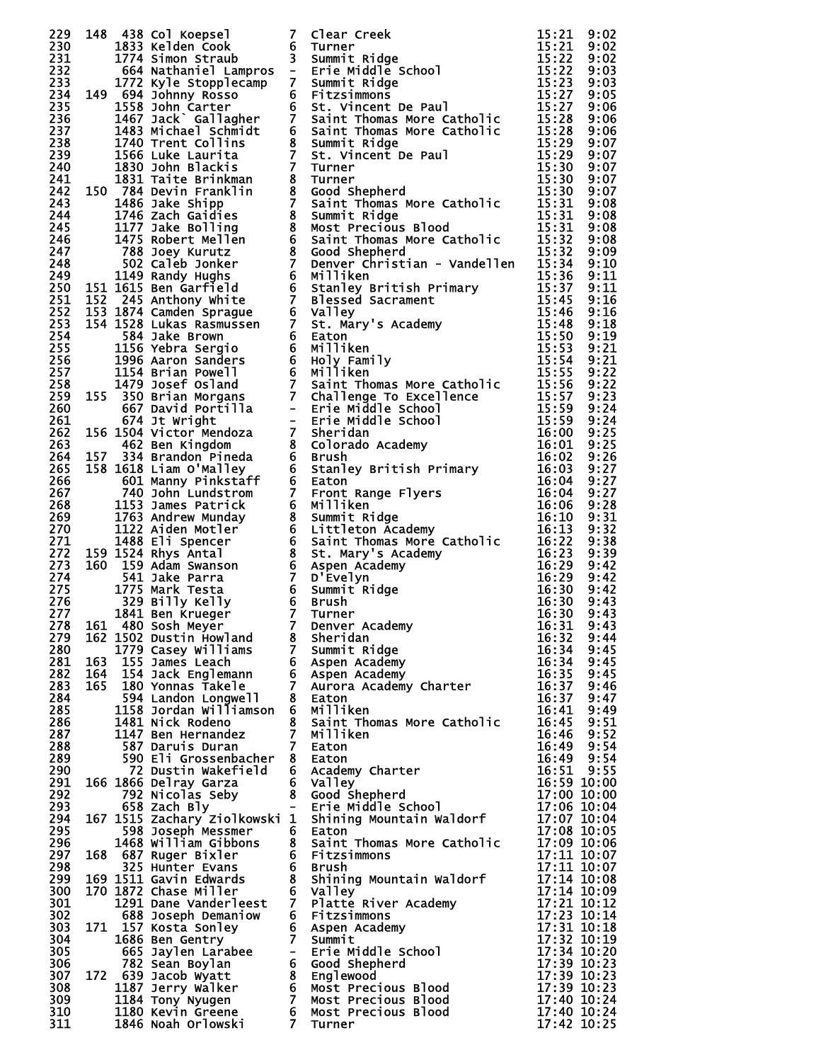|            |     |                                                                       |                | 2230<br>1488 Col Koepes (1 Teler Creek 13:21 9:02<br>1583 Col Koepes (1 Teler Creek 15:21 9:02<br>1794 Simon Structure 6 Summit Ridge<br>1794 Simon Structure 6 Statistics of the creek of the creek 15:223 9:02<br>1893 1994 2000 Seco              |                            |      |
|------------|-----|-----------------------------------------------------------------------|----------------|------------------------------------------------------------------------------------------------------------------------------------------------------------------------------------------------------------------------------------------------------|----------------------------|------|
|            |     |                                                                       |                |                                                                                                                                                                                                                                                      |                            |      |
|            |     |                                                                       |                |                                                                                                                                                                                                                                                      |                            |      |
|            |     |                                                                       |                |                                                                                                                                                                                                                                                      |                            |      |
|            |     |                                                                       |                |                                                                                                                                                                                                                                                      |                            |      |
|            |     |                                                                       |                |                                                                                                                                                                                                                                                      |                            |      |
|            |     |                                                                       |                |                                                                                                                                                                                                                                                      |                            |      |
|            |     |                                                                       |                |                                                                                                                                                                                                                                                      |                            |      |
|            |     |                                                                       |                |                                                                                                                                                                                                                                                      |                            |      |
|            |     |                                                                       |                |                                                                                                                                                                                                                                                      |                            |      |
|            |     |                                                                       |                |                                                                                                                                                                                                                                                      |                            |      |
|            |     |                                                                       |                |                                                                                                                                                                                                                                                      |                            |      |
|            |     |                                                                       |                |                                                                                                                                                                                                                                                      |                            |      |
|            |     |                                                                       |                |                                                                                                                                                                                                                                                      |                            |      |
|            |     |                                                                       |                |                                                                                                                                                                                                                                                      |                            |      |
|            |     |                                                                       |                |                                                                                                                                                                                                                                                      |                            |      |
|            |     |                                                                       |                |                                                                                                                                                                                                                                                      |                            |      |
|            |     |                                                                       |                |                                                                                                                                                                                                                                                      |                            |      |
|            |     |                                                                       |                |                                                                                                                                                                                                                                                      |                            |      |
|            |     |                                                                       |                |                                                                                                                                                                                                                                                      |                            |      |
|            |     |                                                                       |                |                                                                                                                                                                                                                                                      |                            |      |
|            |     |                                                                       |                |                                                                                                                                                                                                                                                      |                            |      |
|            |     |                                                                       |                |                                                                                                                                                                                                                                                      |                            |      |
|            |     |                                                                       |                |                                                                                                                                                                                                                                                      |                            |      |
|            |     |                                                                       |                |                                                                                                                                                                                                                                                      |                            |      |
|            |     |                                                                       |                |                                                                                                                                                                                                                                                      |                            |      |
|            |     |                                                                       |                |                                                                                                                                                                                                                                                      |                            |      |
|            |     |                                                                       |                |                                                                                                                                                                                                                                                      |                            |      |
|            |     |                                                                       |                |                                                                                                                                                                                                                                                      |                            |      |
|            |     |                                                                       |                |                                                                                                                                                                                                                                                      |                            |      |
|            |     |                                                                       |                |                                                                                                                                                                                                                                                      |                            |      |
|            |     |                                                                       |                |                                                                                                                                                                                                                                                      |                            |      |
|            |     |                                                                       |                |                                                                                                                                                                                                                                                      |                            |      |
|            |     |                                                                       |                |                                                                                                                                                                                                                                                      |                            |      |
|            |     |                                                                       |                |                                                                                                                                                                                                                                                      |                            |      |
|            |     |                                                                       |                |                                                                                                                                                                                                                                                      |                            |      |
|            |     |                                                                       |                |                                                                                                                                                                                                                                                      |                            |      |
|            |     |                                                                       |                |                                                                                                                                                                                                                                                      |                            |      |
|            |     |                                                                       |                |                                                                                                                                                                                                                                                      |                            |      |
|            |     |                                                                       |                |                                                                                                                                                                                                                                                      |                            |      |
|            |     |                                                                       |                |                                                                                                                                                                                                                                                      |                            |      |
|            |     |                                                                       |                |                                                                                                                                                                                                                                                      |                            |      |
|            |     |                                                                       |                |                                                                                                                                                                                                                                                      |                            |      |
|            |     |                                                                       |                |                                                                                                                                                                                                                                                      |                            |      |
|            |     |                                                                       |                |                                                                                                                                                                                                                                                      |                            |      |
|            |     |                                                                       |                |                                                                                                                                                                                                                                                      |                            |      |
|            |     |                                                                       |                |                                                                                                                                                                                                                                                      |                            |      |
|            |     |                                                                       |                |                                                                                                                                                                                                                                                      |                            |      |
|            |     |                                                                       |                |                                                                                                                                                                                                                                                      |                            |      |
|            |     |                                                                       |                |                                                                                                                                                                                                                                                      |                            |      |
| 279.       |     | 162 1502 Dustin Howland<br>1502 Dustin Howland<br>1779 Casey Williams |                | 8 Sheridan                                                                                                                                                                                                                                           | 16:32                      | 9:44 |
| 280        |     |                                                                       |                | 7 Summit Ridge                                                                                                                                                                                                                                       | 16:34                      | 9:45 |
| 281        |     | 163 155 James Leach                                                   |                | <b>6 Aspen Academy<br/>6 Aspen Academy<br/>7 Aurora Academy Charter</b>                                                                                                                                                                              | 16:34                      | 9:45 |
| 282        | 164 | 154 Jack Englemann                                                    |                |                                                                                                                                                                                                                                                      | 16:35                      | 9:45 |
| 283        |     | 165 180 Yonnas Takele                                                 |                |                                                                                                                                                                                                                                                      | 16:37                      | 9:46 |
| 284        |     | 594 Landon Longwell                                                   |                | 8 Eaton                                                                                                                                                                                                                                              | 16:37                      | 9:47 |
| 285        |     | 1158 Jordan Williamson 6 Milliken                                     |                |                                                                                                                                                                                                                                                      | 16:41                      | 9:49 |
| 286        |     | 1481 Nick Rodeno                                                      |                | 8 Saint Thomas More Catholic                                                                                                                                                                                                                         | 16:45                      | 9:51 |
| 287        |     | 1147 Ben Hernandez                                                    | $7 -$          | Milliken                                                                                                                                                                                                                                             | 16:46                      | 9:52 |
| 288        |     | 587 Daruis Duran                                                      | 7 <sup>7</sup> | Eaton                                                                                                                                                                                                                                                | 16:49                      | 9:54 |
| 289        |     | 590 Eli Grossenbacher                                                 |                | 8 Eaton                                                                                                                                                                                                                                              | 16:49                      | 9:54 |
| 290        |     | 72 Dustin Wakefield                                                   |                | 6 Academy Charter                                                                                                                                                                                                                                    | 16:51 9:55                 |      |
| 291        |     |                                                                       |                | (192 Nicolás Seby<br>658 Zach Bly<br>658 Zach Bly<br>658 Zach Bly<br>658 Joseph Messmer<br>6 Eaton<br>6 Eaton<br>1468 William Gibbons<br>1468 William Gibbons<br>168 687 Pucch Care Bondale Professor<br>168 687 Pucch Care Bondale Profession<br>16 | 16:59 10:00                |      |
| 292        |     |                                                                       |                |                                                                                                                                                                                                                                                      | 17:00 10:00                |      |
| 293        |     |                                                                       |                |                                                                                                                                                                                                                                                      | 17:06 10:04                |      |
| 294        |     |                                                                       |                |                                                                                                                                                                                                                                                      | 17:07 10:04                |      |
| 295        |     |                                                                       |                |                                                                                                                                                                                                                                                      | 17:08 10:05                |      |
| 296        |     |                                                                       |                |                                                                                                                                                                                                                                                      | 17:09 10:06                |      |
| 297        |     | 168 687 Ruger Bixler                                                  |                | 6 Fitzsimmons                                                                                                                                                                                                                                        | 17:11 10:07                |      |
| 298        |     | 325 Hunter Evans                                                      |                | 6 Brush                                                                                                                                                                                                                                              | 17:11 10:07                |      |
| 299        |     | 169 1511 Gavin Edwards<br>170 1872 Chase Miller                       |                | 8 Shining Mountain Waldorf                                                                                                                                                                                                                           | 17:14 10:08                |      |
| 300        |     | 170 1872 Chase Miller                                                 |                | 6 Valley                                                                                                                                                                                                                                             | 17:14 10:09                |      |
| 301<br>302 |     |                                                                       |                | 1291 Dane Vanderleest 7 Platte River Academy<br>6 Fitzsimmons                                                                                                                                                                                        | 17:21 10:12<br>17:23 10:14 |      |
|            |     | 688 Joseph Demaniow                                                   |                |                                                                                                                                                                                                                                                      |                            |      |
| 303        |     |                                                                       |                |                                                                                                                                                                                                                                                      | 17:31 10:18<br>17:32 10:19 |      |
| 304        |     |                                                                       |                |                                                                                                                                                                                                                                                      | 17:34 10:20                |      |
| 305        |     |                                                                       |                |                                                                                                                                                                                                                                                      | 17:39 10:23                |      |
| 306        |     |                                                                       |                |                                                                                                                                                                                                                                                      |                            |      |
| 307<br>308 |     |                                                                       |                |                                                                                                                                                                                                                                                      | 17:39 10:23<br>17:39 10:23 |      |
| 309        |     |                                                                       |                |                                                                                                                                                                                                                                                      | 17:40 10:24                |      |
| 310        |     |                                                                       |                | 1686 Ben Gentry<br>1686 Ben Gentry<br>665 Jaylen Larabee - Erie Middle School<br>782 Sean Boylan - 6 Good Shepherd<br>172 639 Jacob Wyatt 8 Englewood<br>1187 Jerry Walker - 6 Most Precious Blood<br>1184 Tony Nyugen - 7 Most Precious B           | 17:40 10:24                |      |
| 311        |     |                                                                       |                |                                                                                                                                                                                                                                                      | 17:42 10:25                |      |
|            |     |                                                                       |                |                                                                                                                                                                                                                                                      |                            |      |

|                                                                                                       | $\ddot{\phantom{a}}$                 |
|-------------------------------------------------------------------------------------------------------|--------------------------------------|
|                                                                                                       |                                      |
|                                                                                                       |                                      |
|                                                                                                       |                                      |
|                                                                                                       |                                      |
|                                                                                                       |                                      |
|                                                                                                       |                                      |
|                                                                                                       |                                      |
|                                                                                                       |                                      |
|                                                                                                       |                                      |
|                                                                                                       |                                      |
|                                                                                                       |                                      |
|                                                                                                       |                                      |
|                                                                                                       |                                      |
|                                                                                                       |                                      |
|                                                                                                       |                                      |
|                                                                                                       |                                      |
|                                                                                                       |                                      |
|                                                                                                       |                                      |
|                                                                                                       |                                      |
|                                                                                                       |                                      |
|                                                                                                       |                                      |
|                                                                                                       |                                      |
|                                                                                                       |                                      |
|                                                                                                       |                                      |
|                                                                                                       |                                      |
|                                                                                                       |                                      |
|                                                                                                       |                                      |
|                                                                                                       |                                      |
|                                                                                                       |                                      |
|                                                                                                       |                                      |
|                                                                                                       |                                      |
|                                                                                                       |                                      |
| 22222222222233333333333344455555555000000001122223333334422233778899000111224467568034567990012344603 |                                      |
|                                                                                                       |                                      |
|                                                                                                       |                                      |
|                                                                                                       |                                      |
|                                                                                                       |                                      |
|                                                                                                       |                                      |
|                                                                                                       |                                      |
|                                                                                                       |                                      |
|                                                                                                       |                                      |
| 32<br>16<br>ì                                                                                         | 44                                   |
| 16<br>÷                                                                                               | 45                                   |
| 34357771<br>6.<br>1<br>ì                                                                              |                                      |
| 16<br>ì                                                                                               | $\frac{15}{45}$<br>$\frac{45}{15}$   |
| 16<br>ì                                                                                               |                                      |
| ī6<br>ì                                                                                               |                                      |
| 16<br>I                                                                                               | 4455445500                           |
| 16<br>16<br>÷<br>ì                                                                                    |                                      |
| ì                                                                                                     |                                      |
| 16<br>16<br>I                                                                                         |                                      |
| 16<br>16<br>÷                                                                                         |                                      |
| ì                                                                                                     | 1Ŏ:                                  |
| 45464945159006<br>I                                                                                   | 00<br>04<br>ī0<br>÷                  |
| ì                                                                                                     | īō:                                  |
| 07<br>08<br>ì                                                                                         | 10<br>04<br>ì<br>05<br>ī0:           |
| $\vdots$                                                                                              | ī0<br>÷                              |
|                                                                                                       | ī0:                                  |
|                                                                                                       | ī0<br>÷                              |
|                                                                                                       | ī0:                                  |
|                                                                                                       | īò<br>10:<br>10:                     |
|                                                                                                       |                                      |
|                                                                                                       | īō<br>ì<br>īŏ:                       |
|                                                                                                       | īŏ<br>ì                              |
|                                                                                                       | īŏ:                                  |
|                                                                                                       | īŏ<br>÷                              |
| 1111111111111111111111<br>                                                                            | <b>0007891448903333244344</b><br>īo: |
| 39                                                                                                    | īò<br>÷                              |
| 40<br>17<br>17<br>I                                                                                   | 10:                                  |
| 40<br>ì<br>42                                                                                         | 10<br>ì<br>25                        |
|                                                                                                       | 10                                   |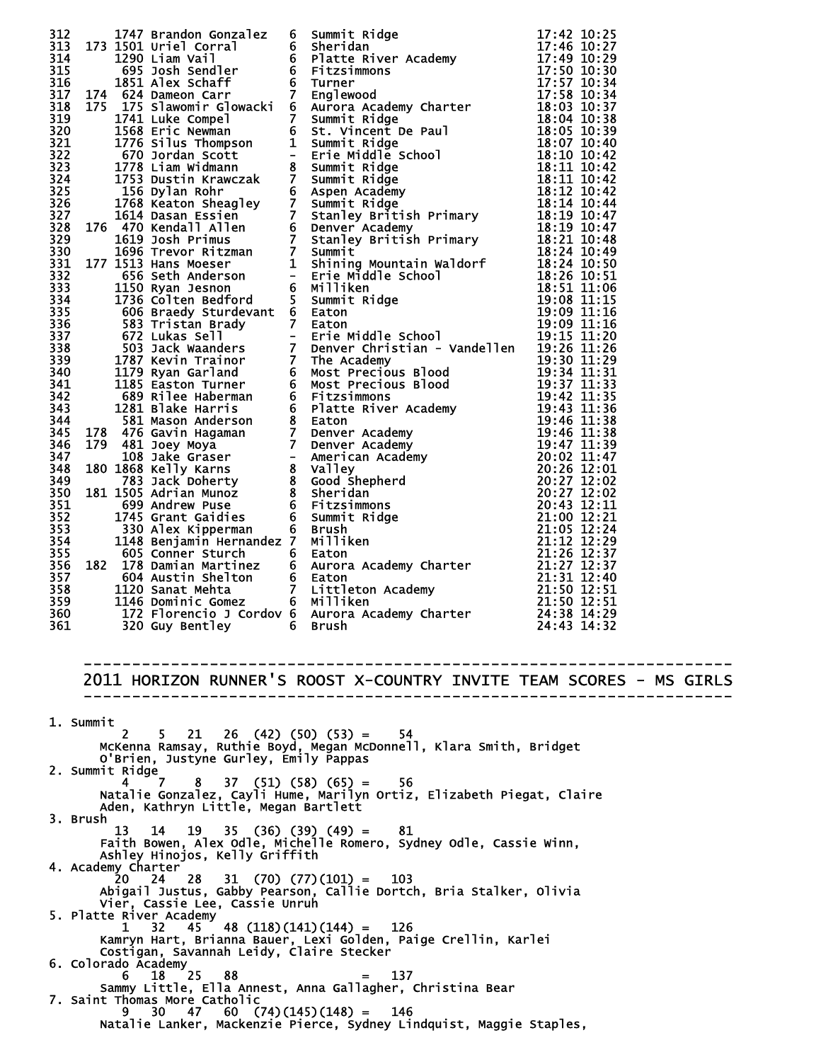|  | 2011 HORIZON RUNNER'S ROOST X-COUNTRY INVITE TEAM SCORES - MS GIRLS<br>1. Summit<br>$5$ 21 26 (42) (50) (53) = 54<br>2<br>McKenna Ramsay, Ruthie Boyd, Megan McDonnell, Klara Smith, Bridget<br>O'Brien, Justyne Gurley, Emily Pappas<br>2. Summit Ridge<br>$37$ $(51)$ $(58)$ $(65)$ =<br>4<br>56.<br>7.<br>Natalie Gonzalez, Cayli Hume, Marilyn Ortiz, Elizabeth Piegat, Claire<br>Aden, Kathryn Little, Megan Bartlett<br>3. Brush<br>13<br>$35$ (36) (39) (49) = 81<br>14<br>19<br>Faith Bowen, Alex Odle, Michelle Romero, Sydney Odle, Cassie Winn,<br>Ashley Hinojos, Kelly Griffith<br>4. Academy Charter<br>$31$ (70) (77) (101) = 103<br>20  24  28<br>Abigail Justus, Gabby Pearson, Callie Dortch, Bria Stalker, Olivia<br>Vier, Cassie Lee, Cassie Unruh<br>5. Platte River Academy<br>$48$ (118)(141)(144) = 126<br>$\mathbf{1}$<br>32<br>45<br>Kamryn Hart, Brianna Bauer, Lexi Golden, Paige Crellin, Karlei<br>Costigan, Savannah Leidy, Claire Stecker<br>6. Colorado Academy<br>$18 \t 25$<br>88<br>137<br>$=$ $-$<br>Sammy Little, Ella Annest, Anna Gallagher, Christina Bear | 312 1747 Benrido Gonzalez 6 Summit Ridge<br>1747 Benrido Gonzalez 6 Summit Ridge<br>1748 Book Line with the River Academy<br>175 1450 Line With the River Academy<br>175 1450 Line With the River Research of Platter Ridge<br>176 2012 |  |  |  |  |  |  |  |
|--|-----------------------------------------------------------------------------------------------------------------------------------------------------------------------------------------------------------------------------------------------------------------------------------------------------------------------------------------------------------------------------------------------------------------------------------------------------------------------------------------------------------------------------------------------------------------------------------------------------------------------------------------------------------------------------------------------------------------------------------------------------------------------------------------------------------------------------------------------------------------------------------------------------------------------------------------------------------------------------------------------------------------------------------------------------------------------------------------------------|-----------------------------------------------------------------------------------------------------------------------------------------------------------------------------------------------------------------------------------------|--|--|--|--|--|--|--|
|  |                                                                                                                                                                                                                                                                                                                                                                                                                                                                                                                                                                                                                                                                                                                                                                                                                                                                                                                                                                                                                                                                                                     |                                                                                                                                                                                                                                         |  |  |  |  |  |  |  |
|  |                                                                                                                                                                                                                                                                                                                                                                                                                                                                                                                                                                                                                                                                                                                                                                                                                                                                                                                                                                                                                                                                                                     |                                                                                                                                                                                                                                         |  |  |  |  |  |  |  |
|  |                                                                                                                                                                                                                                                                                                                                                                                                                                                                                                                                                                                                                                                                                                                                                                                                                                                                                                                                                                                                                                                                                                     |                                                                                                                                                                                                                                         |  |  |  |  |  |  |  |
|  |                                                                                                                                                                                                                                                                                                                                                                                                                                                                                                                                                                                                                                                                                                                                                                                                                                                                                                                                                                                                                                                                                                     |                                                                                                                                                                                                                                         |  |  |  |  |  |  |  |
|  |                                                                                                                                                                                                                                                                                                                                                                                                                                                                                                                                                                                                                                                                                                                                                                                                                                                                                                                                                                                                                                                                                                     |                                                                                                                                                                                                                                         |  |  |  |  |  |  |  |
|  |                                                                                                                                                                                                                                                                                                                                                                                                                                                                                                                                                                                                                                                                                                                                                                                                                                                                                                                                                                                                                                                                                                     |                                                                                                                                                                                                                                         |  |  |  |  |  |  |  |
|  |                                                                                                                                                                                                                                                                                                                                                                                                                                                                                                                                                                                                                                                                                                                                                                                                                                                                                                                                                                                                                                                                                                     |                                                                                                                                                                                                                                         |  |  |  |  |  |  |  |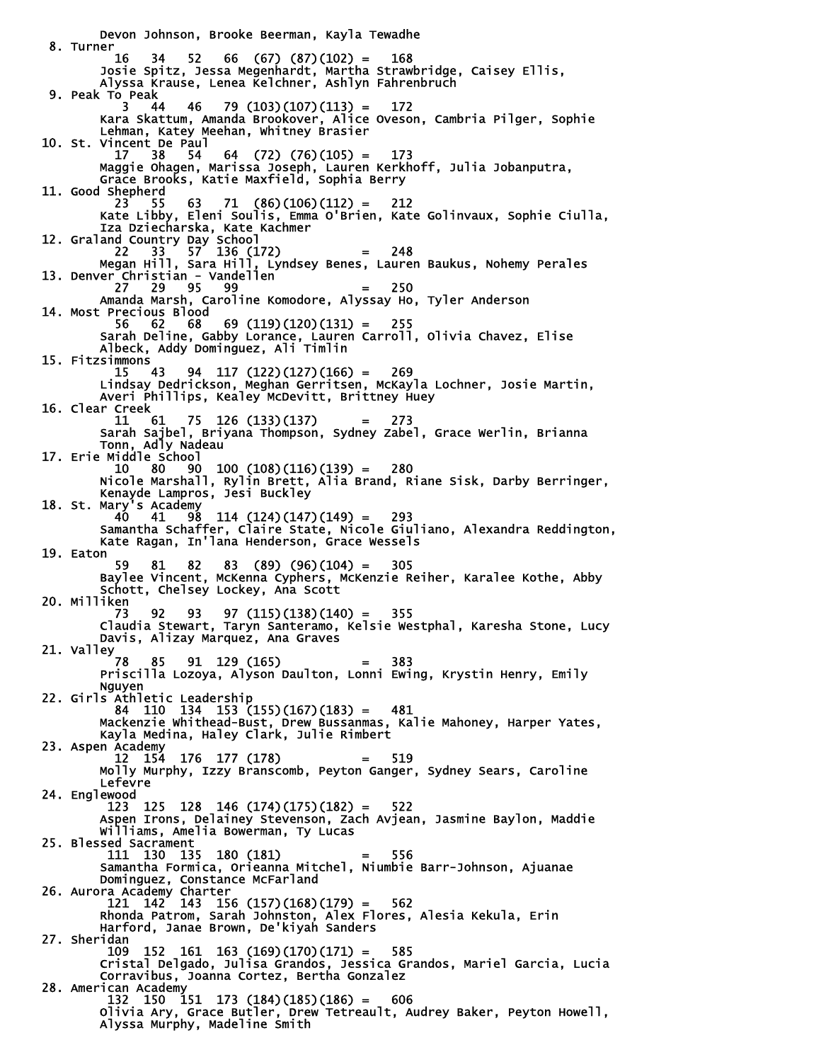Devon Johnson, Brooke Beerman, Kayla Tewadhe 8. Turner 16 34 52 66 (67) (87)(102) = 168 Josie Spitz, Jessa Megenhardt, Martha Strawbridge, Caisey Ellis, Alyssa Krause, Lenea Kelchner, Ashlyn Fahrenbruch 9. Peak To Peak 3 44 46 79 (103)(107)(113) = 172 Kara Skattum, Amanda Brookover, Alice Oveson, Cambria Pilger, Sophie Lehman, Katey Meehan, Whitney Brasier 10. St. Vincent De Paul  $64$   $(72)$   $(76)(105) = 173$  Maggie Ohagen, Marissa Joseph, Lauren Kerkhoff, Julia Jobanputra, Grace Brooks, Katie Maxfield, Sophia Berry 11. Good Shepherd 23 55 63 71 (86)(106)(112) = 212 Kate Libby, Eleni Soulis, Emma O'Brien, Kate Golinvaux, Sophie Ciulla, Iza Dziecharska, Kate Kachmer 12. Graland Country Day School 22 33 57 136 (172) = 248 Megan Hill, Sara Hill, Lyndsey Benes, Lauren Baukus, Nohemy Perales 13. Denver Christian - Vandellen 27 29 95 99 = 250 Amanda Marsh, Caroline Komodore, Alyssay Ho, Tyler Anderson Amanda Marsh, Caroline Komodore, Alyssay Ho, Tyler Anderson<br>14. Most Precious Blood<br>56 62 68 69 (119)(120)(131) = 255 56 62 68 69 (119)(120)(131) = 255 Sarah Deline, Gabby Lorance, Lauren Carroll, Olivia Chavez, Elise Albeck, Addy Dominguez, Ali Timlin 15. Fitzsimmons 15 43 94 117 (122)(127)(166) = 269 Lindsay Dedrickson, Meghan Gerritsen, McKayla Lochner, Josie Martin, Averi Phillips, Kealey McDevitt, Brittney Huey 16. Clear Creek 11 61 75 126 (133)(137) = 273 Sarah Sajbel, Briyana Thompson, Sydney Zabel, Grace Werlin, Brianna Tonn, Adly Nadeau 17. Erie Middle School 10 80 90 100 (108)(116)(139) = 280 Nicole Marshall, Rylin Brett, Alia Brand, Riane Sisk, Darby Berringer, Kenayde Lampros, Jesi Buckley 18. St. Mary's Academy 40 41 98 114 (124)(147)(149) = 293 Samantha Schaffer, Claire State, Nicole Giuliano, Alexandra Reddington, Kate Ragan, In'lana Henderson, Grace Wessels 19. Eaton 59 81 82 83 (89) (96)(104) = 305 Baylee Vincent, McKenna Cyphers, McKenzie Reiher, Karalee Kothe, Abby Schott, Chelsey Lockey, Ana Scott 20. Milliken 73 92 93 97 (115)(138)(140) = 355 Claudia Stewart, Taryn Santeramo, Kelsie Westphal, Karesha Stone, Lucy Davis, Alizay Marquez, Ana Graves 21. Valley 78 85 91 129 (165) = 383 Priscilla Lozoya, Alyson Daulton, Lonni Ewing, Krystin Henry, Emily Nguyen 22. Girls Athletic Leadership 84 110 134 153 (155)(167)(183) = 481 Mackenzie Whithead-Bust, Drew Bussanmas, Kalie Mahoney, Harper Yates, Kayla Medina, Haley Clark, Julie Rimbert 23. Aspen Academy 12 154 176 177 (178) = 519 Molly Murphy, Izzy Branscomb, Peyton Ganger, Sydney Sears, Caroline Lefevre 24. Englewood 123 125 128 146 (174)(175)(182) = 522 Aspen Irons, Delainey Stevenson, Zach Avjean, Jasmine Baylon, Maddie Williams, Amelia Bowerman, Ty Lucas 25. Blessed Sacrament 111 130 135 180 (181) = 556 Samantha Formica, Orieanna Mitchel, Niumbie Barr-Johnson, Ajuanae Dominguez, Constance McFarland 26. Aurora Academy Charter 121 142 143 156 (157)(168)(179) = 562 Rhonda Patrom, Sarah Johnston, Alex Flores, Alesia Kekula, Erin Harford, Janae Brown, De'kiyah Sanders 27. Sheridan 109 152 161 163 (169)(170)(171) = 585 Cristal Delgado, Julisa Grandos, Jessica Grandos, Mariel Garcia, Lucia Corravibus, Joanna Cortez, Bertha Gonzalez 28. American Academy 132 150 151 173 (184)(185)(186) = 606 Olivia Ary, Grace Butler, Drew Tetreault, Audrey Baker, Peyton Howell, Alyssa Murphy, Madeline Smith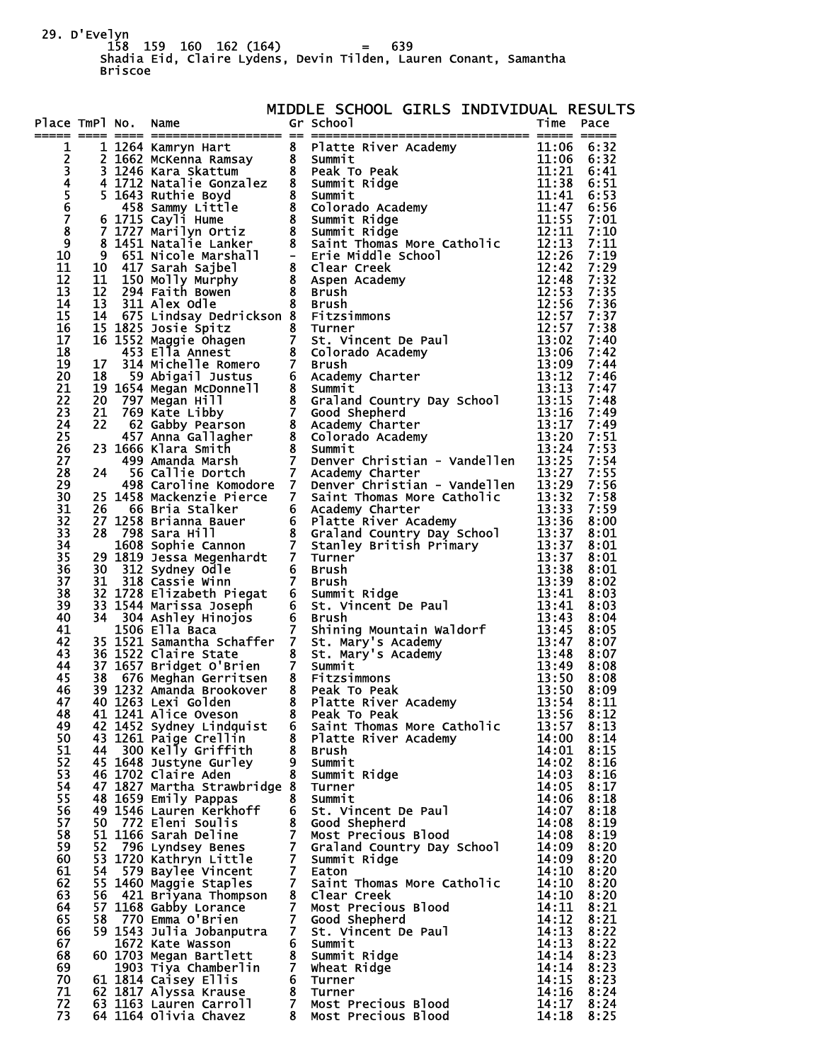29. D'Evelyn 158 159 160 162 (164) = 639 Shadia Eid, Claire Lydens, Devin Tilden, Lauren Conant, Samantha Briscoe

| Place TmPl No.        |  |                                                   |   | MIDDLE SCHOOL GIRLS INDIVIDUAL RESULTS<br>Gr School Girls Individual Time Pace<br>THE INCREDIT CONTROL SCHOOL CIRCLE INTERNATIONAL RESIDUAL ENGINEERING TRIP and the street are two street and internet in the street of the street and internet in the street of the street and internet in the street of the |                          |              |
|-----------------------|--|---------------------------------------------------|---|----------------------------------------------------------------------------------------------------------------------------------------------------------------------------------------------------------------------------------------------------------------------------------------------------------------|--------------------------|--------------|
|                       |  |                                                   |   |                                                                                                                                                                                                                                                                                                                |                          |              |
| $\mathbf{1}$          |  |                                                   |   |                                                                                                                                                                                                                                                                                                                |                          |              |
|                       |  |                                                   |   |                                                                                                                                                                                                                                                                                                                |                          |              |
|                       |  |                                                   |   |                                                                                                                                                                                                                                                                                                                |                          |              |
| 2345678               |  |                                                   |   |                                                                                                                                                                                                                                                                                                                |                          |              |
|                       |  |                                                   |   |                                                                                                                                                                                                                                                                                                                |                          |              |
|                       |  |                                                   |   |                                                                                                                                                                                                                                                                                                                |                          |              |
| $\overline{9}$        |  |                                                   |   |                                                                                                                                                                                                                                                                                                                |                          |              |
| 10                    |  |                                                   |   |                                                                                                                                                                                                                                                                                                                |                          |              |
| 11                    |  |                                                   |   |                                                                                                                                                                                                                                                                                                                |                          |              |
| 12                    |  |                                                   |   |                                                                                                                                                                                                                                                                                                                |                          |              |
| 13                    |  |                                                   |   |                                                                                                                                                                                                                                                                                                                |                          |              |
| 14<br>15              |  |                                                   |   |                                                                                                                                                                                                                                                                                                                |                          |              |
| 16                    |  |                                                   |   |                                                                                                                                                                                                                                                                                                                |                          |              |
| 17                    |  |                                                   |   |                                                                                                                                                                                                                                                                                                                |                          |              |
| 18                    |  |                                                   |   |                                                                                                                                                                                                                                                                                                                |                          |              |
| 19<br>20              |  |                                                   |   |                                                                                                                                                                                                                                                                                                                |                          |              |
| 21                    |  |                                                   |   |                                                                                                                                                                                                                                                                                                                |                          |              |
| 22                    |  |                                                   |   |                                                                                                                                                                                                                                                                                                                |                          |              |
| 23                    |  |                                                   |   |                                                                                                                                                                                                                                                                                                                |                          |              |
| 24                    |  |                                                   |   |                                                                                                                                                                                                                                                                                                                |                          |              |
| 25<br>26              |  |                                                   |   |                                                                                                                                                                                                                                                                                                                |                          |              |
| 27                    |  |                                                   |   |                                                                                                                                                                                                                                                                                                                |                          |              |
| 28                    |  |                                                   |   |                                                                                                                                                                                                                                                                                                                |                          |              |
| 29                    |  |                                                   |   |                                                                                                                                                                                                                                                                                                                |                          |              |
| 30<br>31              |  |                                                   |   |                                                                                                                                                                                                                                                                                                                |                          |              |
| $\overline{3}2$       |  |                                                   |   |                                                                                                                                                                                                                                                                                                                |                          |              |
| $\overline{3}3$       |  |                                                   |   |                                                                                                                                                                                                                                                                                                                |                          |              |
| 34                    |  |                                                   |   |                                                                                                                                                                                                                                                                                                                |                          |              |
| $\overline{3}5$<br>36 |  |                                                   |   |                                                                                                                                                                                                                                                                                                                |                          |              |
| 37                    |  |                                                   |   |                                                                                                                                                                                                                                                                                                                |                          |              |
| 38                    |  |                                                   |   |                                                                                                                                                                                                                                                                                                                |                          |              |
| 39                    |  |                                                   |   |                                                                                                                                                                                                                                                                                                                |                          |              |
| 40                    |  |                                                   |   |                                                                                                                                                                                                                                                                                                                |                          |              |
| 41<br>42              |  |                                                   |   |                                                                                                                                                                                                                                                                                                                |                          |              |
| 43                    |  |                                                   |   |                                                                                                                                                                                                                                                                                                                |                          |              |
| 44                    |  |                                                   |   |                                                                                                                                                                                                                                                                                                                |                          |              |
| 45                    |  |                                                   |   |                                                                                                                                                                                                                                                                                                                |                          |              |
| 46<br>47              |  | 40 1263 Lexi Golden                               |   | 8 Platte River Academy                                                                                                                                                                                                                                                                                         |                          | 8:11         |
| 48                    |  | 41 1241 Alice Oveson                              |   | 8 Peak To Peak                                                                                                                                                                                                                                                                                                 | 13:54<br>13:56           | 8:12         |
| 49                    |  | 41 1241 Alice Oveson<br>42 1452 Sydney Lindguist  |   | 6 Saint Thomas More Catholic 13:57                                                                                                                                                                                                                                                                             |                          | 8:13         |
| 50                    |  | 43 1261 Paige Crellin                             |   | 8 Platte River Academy                                                                                                                                                                                                                                                                                         | 14:00                    | 8:14         |
| 51<br>52              |  | 44 300 Kelly Griffith                             |   | 8 Brush<br>9 Summit                                                                                                                                                                                                                                                                                            | 14:01<br>14:02           | 8:15<br>8:16 |
| 53                    |  | 45 1648 Justyne Gurley<br>46 1702 Claire Aden     | 8 | Summit Ridge                                                                                                                                                                                                                                                                                                   | 14:03                    | 8:16         |
| 54                    |  | 47 1827 Martha Strawbridge 8 Turner               |   |                                                                                                                                                                                                                                                                                                                | 14:05 8:17               |              |
| 55                    |  | 48 1659 Emily Pappas                              | 8 | Summit                                                                                                                                                                                                                                                                                                         | 14:06                    | 8:18         |
| 56                    |  | 49 1546 Lauren Kerkhoff                           |   | 6 St. Vincent De Paul                                                                                                                                                                                                                                                                                          | 14:07 8:18               |              |
| 57<br>58              |  | 50 772 Eleni Soulis<br>51 1166 Sarah Deline       |   | 8 Good Shepherd<br>7 Most Precious Blood                                                                                                                                                                                                                                                                       | 14:08 8:19<br>14:08 8:19 |              |
| 59                    |  | 52 796 Lyndsey Benes                              |   | 7 Graland Country Day School                                                                                                                                                                                                                                                                                   | 14:09                    | 8:20         |
| 60                    |  | 53 1720 Kathryn Little                            |   | 7 Summit Ridge                                                                                                                                                                                                                                                                                                 | 14:09                    | 8:20         |
| 61                    |  | 54 579 Baylee Vincent                             |   | 7 Eaton                                                                                                                                                                                                                                                                                                        | 14:10 8:20               |              |
| 62<br>63              |  | 55 1460 Maggie Staples<br>56 421 Briyana Thompson |   | 7 Saint Thomas More Catholic<br>8 Clear Creek                                                                                                                                                                                                                                                                  | 14:10 8:20<br>14:10      | 8:20         |
| 64                    |  |                                                   |   |                                                                                                                                                                                                                                                                                                                | 14:11 8:21               |              |
| 65                    |  |                                                   |   |                                                                                                                                                                                                                                                                                                                |                          | 8:21         |
| 66                    |  |                                                   |   |                                                                                                                                                                                                                                                                                                                |                          | 8:22         |
| 67<br>68              |  |                                                   |   |                                                                                                                                                                                                                                                                                                                |                          | 8:22<br>8:23 |
| 69                    |  |                                                   |   |                                                                                                                                                                                                                                                                                                                | 14:14 8:23               |              |
| 70                    |  |                                                   |   |                                                                                                                                                                                                                                                                                                                |                          | 8:23         |
| 71                    |  |                                                   |   | 36 421 Briyana Thompson 8 Clear Creek<br>57 1168 Gabby Lorance 7 Most Precious Blood<br>58 770 Emma 0'Brien<br>59 1543 Julia Jobanputra 7 St. Vincent De Paul<br>14:12<br>59 1543 Julia Jobanputra 7 St. Vincent De Paul<br>14:13<br>1672 Ka                                                                   |                          | 8:24         |
| 72<br>73              |  | 64 1164 Olivia Chavez                             |   | 8 Most Precious Blood                                                                                                                                                                                                                                                                                          | 14:17 8:24<br>14:18      | 8:25         |
|                       |  |                                                   |   |                                                                                                                                                                                                                                                                                                                |                          |              |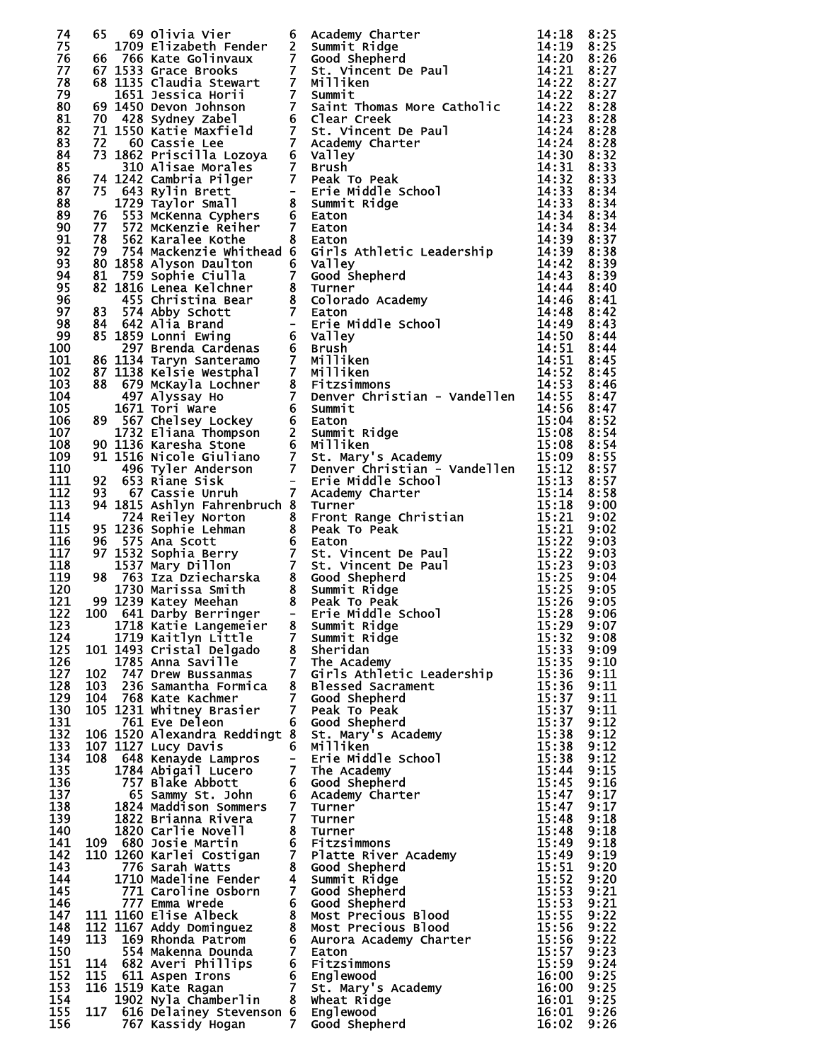| 74         | 65  | 69 Olivia Vier                                  |                | <b>6 Academy Charter<br/>2 Summit Ridge<br/>7 Good Shepherd<br/>7 St. Vincent De Paul<br/>7 Millien</b>                                                                                                                                       | 14:18          | 8:25         |
|------------|-----|-------------------------------------------------|----------------|-----------------------------------------------------------------------------------------------------------------------------------------------------------------------------------------------------------------------------------------------|----------------|--------------|
| 75         |     | 1709 Elizabeth Fender                           |                |                                                                                                                                                                                                                                               | 14:19          | 8:25         |
| 76         |     | 66 766 Kate Golinvaux                           |                |                                                                                                                                                                                                                                               | 14:20          | 8:26         |
| 77         |     |                                                 |                | 66 766 Kate Golinvaux 7 Good Shepherd<br>67 1533 Grace Brooks 7 st. Vincent De Paul<br>68 1135 Claudia Stewart 7 Milliken<br>1651 Jessica Horii 7 Summit<br>69 1450 Devon Johnson 7 Saint Thomas More Catholic<br>70 428 Sydney Zabel 6 Clear | 14:21          | 8:27         |
| 78         |     |                                                 |                |                                                                                                                                                                                                                                               | 14:22          | 8:27         |
| 79         |     |                                                 |                |                                                                                                                                                                                                                                               | 14:22 8:27     |              |
| 80         |     |                                                 |                |                                                                                                                                                                                                                                               | 14:22          | 8:28         |
| 81         |     |                                                 |                |                                                                                                                                                                                                                                               | 14:23          | 8:28         |
| 82         |     |                                                 |                |                                                                                                                                                                                                                                               | 14:24          | 8:28         |
| 83         |     |                                                 |                |                                                                                                                                                                                                                                               | 14:24          | 8:28         |
| 84         |     |                                                 |                |                                                                                                                                                                                                                                               | 14:30<br>14:31 | 8:32         |
| 85<br>86   |     |                                                 |                |                                                                                                                                                                                                                                               | 14:32          | 8:33<br>8:33 |
| 87         |     |                                                 |                |                                                                                                                                                                                                                                               | 14:33          | 8:34         |
| 88         |     |                                                 |                |                                                                                                                                                                                                                                               | 14:33          | 8:34         |
| 89         |     |                                                 |                |                                                                                                                                                                                                                                               | 14:34          | 8:34         |
| 90         |     |                                                 |                | 77 Sizz McKelling Pietra (1911)<br>78 Sizz McKelling Pietra Exceliber 7 Eaton<br>78 Sizz MacAlenzie Refiler 7 Eaton<br>78 162 MacAlenzie Refiler 7 Eaton<br>78 1638 Allyson baul ton 6 Valley Athletic Leadership<br>81 14:42 53 Sohrie       | 14:34          | 8:34         |
| 91         |     |                                                 |                |                                                                                                                                                                                                                                               | 14:39 8:37     |              |
| 92         |     |                                                 |                |                                                                                                                                                                                                                                               |                | 8:38         |
| 93         |     |                                                 |                |                                                                                                                                                                                                                                               |                | 8:39         |
| 94         |     |                                                 |                |                                                                                                                                                                                                                                               |                | 8:39         |
| 95         |     |                                                 |                |                                                                                                                                                                                                                                               |                | 8:40         |
| 96         |     |                                                 |                |                                                                                                                                                                                                                                               |                | 8:41         |
| 97         |     |                                                 |                |                                                                                                                                                                                                                                               |                | 8:42         |
| 98         |     |                                                 |                |                                                                                                                                                                                                                                               |                | 8:43         |
| 99         |     |                                                 |                |                                                                                                                                                                                                                                               |                | 8:44         |
| 100        |     |                                                 |                |                                                                                                                                                                                                                                               |                | 8:44         |
| 101        |     |                                                 |                |                                                                                                                                                                                                                                               |                | 8:45         |
| 102        |     |                                                 |                |                                                                                                                                                                                                                                               |                | 8:45         |
| 103        |     |                                                 |                |                                                                                                                                                                                                                                               | 14:53 8:46     |              |
| 104        |     |                                                 |                |                                                                                                                                                                                                                                               |                | 8:47         |
| 105        |     |                                                 |                |                                                                                                                                                                                                                                               |                | 8:47         |
| 106        |     |                                                 |                |                                                                                                                                                                                                                                               |                | 8:52         |
| 107        |     |                                                 |                |                                                                                                                                                                                                                                               |                | 8:54         |
| 108        |     |                                                 |                |                                                                                                                                                                                                                                               |                | 8:54         |
| 109        |     |                                                 |                |                                                                                                                                                                                                                                               | 15:09 8:55     |              |
| 110        |     |                                                 |                |                                                                                                                                                                                                                                               |                | 8:57         |
| 111        |     |                                                 |                |                                                                                                                                                                                                                                               |                | 8:57         |
| 112        |     |                                                 |                |                                                                                                                                                                                                                                               |                | 8:58         |
| 113        |     |                                                 |                |                                                                                                                                                                                                                                               |                | 9:00         |
| 114        |     |                                                 |                |                                                                                                                                                                                                                                               |                | 9:02         |
| 115        |     |                                                 |                |                                                                                                                                                                                                                                               |                | 9:02         |
| 116        |     |                                                 |                |                                                                                                                                                                                                                                               |                | 9:03         |
| 117        |     |                                                 |                |                                                                                                                                                                                                                                               |                | 9:03         |
| 118        |     |                                                 |                |                                                                                                                                                                                                                                               |                | 9:03         |
| 119        |     |                                                 |                |                                                                                                                                                                                                                                               |                | 9:04         |
| 120        |     |                                                 |                |                                                                                                                                                                                                                                               |                | 9:05         |
| 121        |     |                                                 |                |                                                                                                                                                                                                                                               |                | 9:05         |
| 122        |     |                                                 |                |                                                                                                                                                                                                                                               |                | 9:06         |
| 123        |     |                                                 |                |                                                                                                                                                                                                                                               | 15:29 9:07     |              |
| 124        |     | 1719 Kaitlyn Little                             | 7 <sup>7</sup> | Summit Ridge                                                                                                                                                                                                                                  | 15:32          | 9:08         |
| 125        |     | 101 1493 Cristal Delgado                        |                | 8 Sheridan                                                                                                                                                                                                                                    | 15:33          | 9:09         |
| 126        |     | 1785 Anna Saville                               | 7 <sup>7</sup> | The Academy                                                                                                                                                                                                                                   | 15:35          | 9:10         |
| 127        |     | 102 747 Drew Bussanmas                          |                | 7 Girls Athletic Leadership                                                                                                                                                                                                                   | 15:36          | 9:11         |
| 128        | 103 | 236 Samantha Formica                            | 7 <sup>7</sup> | 8 Blessed Sacrament                                                                                                                                                                                                                           | 15:36          | 9:11         |
| 129        | 104 | 768 Kate Kachmer                                |                | Good Shepherd                                                                                                                                                                                                                                 | 15:37          | 9:11         |
| 130        |     | 105 1231 Whitney Brasier                        | 7 <sup>7</sup> | Peak To Peak                                                                                                                                                                                                                                  | 15:37          | 9:11         |
| 131<br>132 |     | 761 Eve Deleon<br>106 1520 Alexandra Reddingt 8 | 6              | Good Shepherd<br>St. Mary's Academy                                                                                                                                                                                                           | 15:37<br>15:38 | 9:12<br>9:12 |
| 133        |     | 107 1127 Lucy Davis                             | 6              | Milliken                                                                                                                                                                                                                                      | 15:38          | 9:12         |
| 134        | 108 | 648 Kenayde Lampros                             | $-$            | Erie Middle School                                                                                                                                                                                                                            | 15:38          | 9:12         |
| 135        |     | 1784 Abigail Lucero                             | 7 <sup>7</sup> | The Academy                                                                                                                                                                                                                                   | 15:44          | 9:15         |
| 136        |     | 757 Blake Abbott                                |                | 6 Good Shepherd                                                                                                                                                                                                                               | 15:45          | 9:16         |
| 137        |     | 65 Sammy St. John                               |                | 6 Academy Charter                                                                                                                                                                                                                             | 15:47          | 9:17         |
| 138        |     | 1824 Maddison Sommers                           | 7              | Turner                                                                                                                                                                                                                                        | 15:47          | 9:17         |
| 139        |     | 1822 Brianna Rivera                             | $\mathbf{7}$   | Turner                                                                                                                                                                                                                                        | 15:48          | 9:18         |
| 140        |     | 1820 Carlie Novell                              | 8              | Turner                                                                                                                                                                                                                                        | 15:48          | 9:18         |
| 141        |     | 109 680 Josie Martin                            |                | 6 Fitzsimmons                                                                                                                                                                                                                                 | 15:49          | 9:18         |
| 142        |     | 110 1260 Karlei Costigan                        |                | 7 Platte River Academy                                                                                                                                                                                                                        | 15:49          | 9:19         |
| 143        |     | 776 Sarah Watts                                 |                | 8 Good Shepherd                                                                                                                                                                                                                               | 15:51          | 9:20         |
| 144        |     | 1710 Madeline Fender                            |                | 4 Summit Ridge                                                                                                                                                                                                                                | 15:52          | 9:20         |
| 145        |     | 771 Caroline Osborn                             |                | 7 Good Shepherd                                                                                                                                                                                                                               | 15:53          | 9:21         |
| 146        |     | 777 Emma Wrede                                  |                | 6 Good Shepherd                                                                                                                                                                                                                               | 15:53          | 9:21         |
| 147        |     | 111 1160 Elise Albeck                           |                | 8 Most Precious Blood                                                                                                                                                                                                                         | 15:55          | 9:22         |
| 148        |     | 112 1167 Addy Dominguez                         |                | 8 Most Precious Blood                                                                                                                                                                                                                         | 15:56          | 9:22         |
| 149        | 113 | 169 Rhonda Patrom                               |                | 6 Aurora Academy Charter                                                                                                                                                                                                                      | 15:56          | 9:22         |
| 150        |     | 554 Makenna Dounda                              | 7 <sup>7</sup> | Eaton                                                                                                                                                                                                                                         | 15:57          | 9:23         |
| 151        |     | 114 682 Averi Phillips                          |                | 6 Fitzsimmons                                                                                                                                                                                                                                 | 15:59          | 9:24         |
| 152        | 115 | 611 Aspen Irons                                 |                | 6 Englewood                                                                                                                                                                                                                                   | 16:00          | 9:25         |
| 153        |     | 116 1519 Kate Ragan                             |                | 7 St. Mary's Academy                                                                                                                                                                                                                          | 16:00          | 9:25         |
| 154        |     | 1902 Nyla Chamberlin                            |                | 8 Wheat Ridge                                                                                                                                                                                                                                 | 16:01          | 9:25         |
| 155        | 117 | 616 Delainey Stevenson 6 Englewood              |                |                                                                                                                                                                                                                                               | 16:01          | 9:26         |
| 156        |     | 767 Kassidy Hogan                               | 7              | Good Shepherd                                                                                                                                                                                                                                 | 16:02          | 9:26         |

| 999999999999999999999999999999999 |
|-----------------------------------|
|                                   |
|                                   |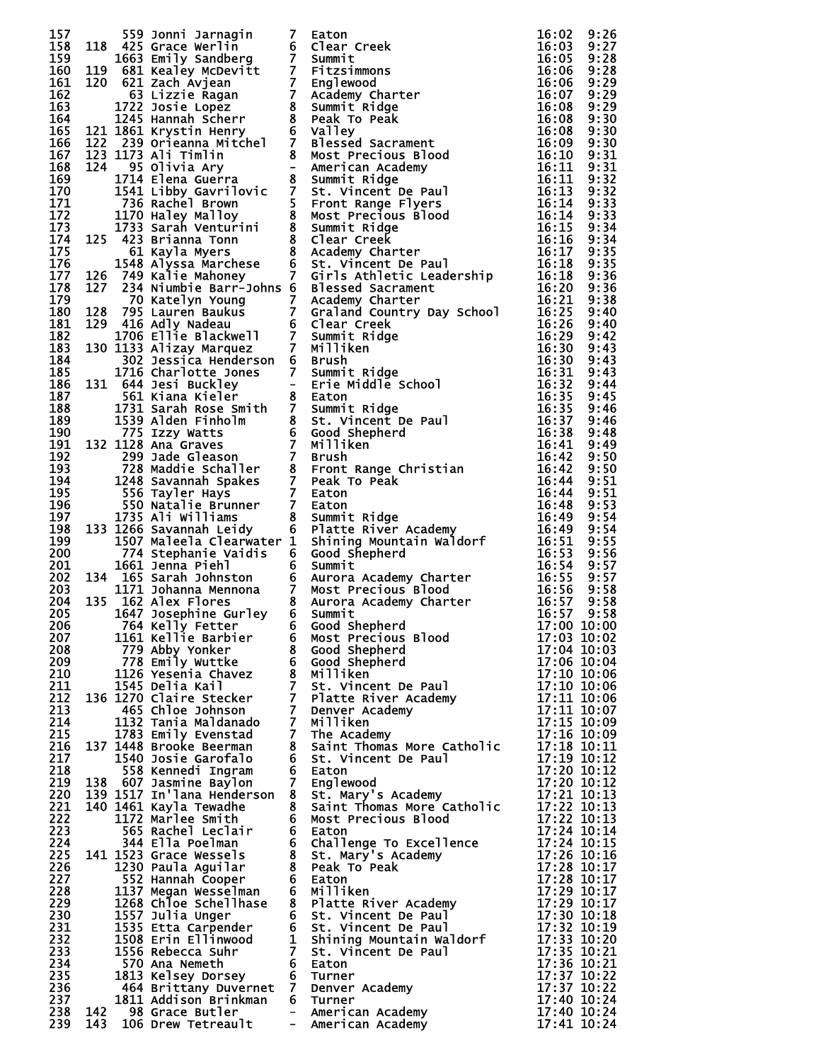|            |     |                                              |                | 135<br>135 135 10mm Jarmagin 7 Eaton Inc.<br>136 133 cree werlinn 7 Eaton Creek<br>14625 cree werlinn 6 Clear Creek<br>16631 1663 creek<br>1663 1663 1671 card of the state of the state of the state of the state of the state state i |                                |  |
|------------|-----|----------------------------------------------|----------------|-----------------------------------------------------------------------------------------------------------------------------------------------------------------------------------------------------------------------------------------|--------------------------------|--|
|            |     |                                              |                |                                                                                                                                                                                                                                         |                                |  |
|            |     |                                              |                |                                                                                                                                                                                                                                         |                                |  |
|            |     |                                              |                |                                                                                                                                                                                                                                         |                                |  |
|            |     |                                              |                |                                                                                                                                                                                                                                         |                                |  |
|            |     |                                              |                |                                                                                                                                                                                                                                         |                                |  |
|            |     |                                              |                |                                                                                                                                                                                                                                         |                                |  |
|            |     |                                              |                |                                                                                                                                                                                                                                         |                                |  |
|            |     |                                              |                |                                                                                                                                                                                                                                         |                                |  |
|            |     |                                              |                |                                                                                                                                                                                                                                         |                                |  |
|            |     |                                              |                |                                                                                                                                                                                                                                         |                                |  |
|            |     |                                              |                |                                                                                                                                                                                                                                         |                                |  |
|            |     |                                              |                |                                                                                                                                                                                                                                         |                                |  |
|            |     |                                              |                |                                                                                                                                                                                                                                         |                                |  |
|            |     |                                              |                |                                                                                                                                                                                                                                         |                                |  |
|            |     |                                              |                |                                                                                                                                                                                                                                         |                                |  |
|            |     |                                              |                |                                                                                                                                                                                                                                         |                                |  |
|            |     |                                              |                |                                                                                                                                                                                                                                         |                                |  |
|            |     |                                              |                |                                                                                                                                                                                                                                         |                                |  |
|            |     |                                              |                |                                                                                                                                                                                                                                         |                                |  |
|            |     |                                              |                |                                                                                                                                                                                                                                         |                                |  |
|            |     |                                              |                |                                                                                                                                                                                                                                         |                                |  |
|            |     |                                              |                |                                                                                                                                                                                                                                         |                                |  |
|            |     |                                              |                |                                                                                                                                                                                                                                         |                                |  |
|            |     |                                              |                |                                                                                                                                                                                                                                         |                                |  |
|            |     |                                              |                |                                                                                                                                                                                                                                         |                                |  |
|            |     |                                              |                |                                                                                                                                                                                                                                         |                                |  |
|            |     |                                              |                |                                                                                                                                                                                                                                         |                                |  |
|            |     |                                              |                |                                                                                                                                                                                                                                         |                                |  |
|            |     |                                              |                |                                                                                                                                                                                                                                         |                                |  |
|            |     |                                              |                |                                                                                                                                                                                                                                         |                                |  |
|            |     |                                              |                |                                                                                                                                                                                                                                         |                                |  |
|            |     |                                              |                |                                                                                                                                                                                                                                         |                                |  |
|            |     |                                              |                |                                                                                                                                                                                                                                         |                                |  |
|            |     |                                              |                |                                                                                                                                                                                                                                         |                                |  |
|            |     |                                              |                |                                                                                                                                                                                                                                         |                                |  |
|            |     |                                              |                |                                                                                                                                                                                                                                         |                                |  |
|            |     |                                              |                |                                                                                                                                                                                                                                         |                                |  |
|            |     |                                              |                |                                                                                                                                                                                                                                         |                                |  |
|            |     |                                              |                |                                                                                                                                                                                                                                         |                                |  |
|            |     |                                              |                |                                                                                                                                                                                                                                         |                                |  |
|            |     |                                              |                |                                                                                                                                                                                                                                         |                                |  |
|            |     |                                              |                |                                                                                                                                                                                                                                         |                                |  |
|            |     |                                              |                |                                                                                                                                                                                                                                         |                                |  |
|            |     |                                              |                |                                                                                                                                                                                                                                         |                                |  |
| 207        |     | 1161 Kellie Barbier                          |                | 6 Most Precious Blood                                                                                                                                                                                                                   | 17:03 10:02                    |  |
| 208        |     | 779 Abby Yonker                              |                | 8 Good Shepherd                                                                                                                                                                                                                         | 17:04 10:03                    |  |
| 209        |     | 778 Emily Wuttke                             |                | 6 Good Shepherd                                                                                                                                                                                                                         | 17:06 10:04                    |  |
| 210        |     | 1126 Yesenia Chavez                          |                | 8 Milliken                                                                                                                                                                                                                              | 17:10 10:06                    |  |
| 211<br>212 |     | 1545 Delia Kail                              |                | 7 St. Vincent De Paul<br>7 Platte River Academy                                                                                                                                                                                         | 17:10 10:06<br>$17:11$ $10:06$ |  |
| 213        |     | 136 1270 Claire Stecker<br>465 Chloe Johnson | 7 <sup>7</sup> | Denver Academy                                                                                                                                                                                                                          | 17:11 10:07                    |  |
| 214        |     | 1132 Tania Maldanado                         | 7 <sup>7</sup> | Milliken                                                                                                                                                                                                                                | 17:15 10:09                    |  |
| 215        |     | 1783 Emily Evenstad                          | 7 <sup>7</sup> | The Academy                                                                                                                                                                                                                             | 17:16 10:09                    |  |
| 216        |     | 137 1448 Brooke Beerman                      |                | 8 Saint Thomas More Catholic                                                                                                                                                                                                            | 17:18 10:11                    |  |
| 217        |     | 1540 Josie Garofalo                          |                | 6 St. Vincent De Paul                                                                                                                                                                                                                   | 17:19 10:12                    |  |
| 218        |     | 558 Kennedi Ingram                           |                | 6 Eaton                                                                                                                                                                                                                                 | 17:20 10:12                    |  |
| 219        |     | 138 607 Jasmine Baylon                       | 7 <sup>7</sup> | Englewood                                                                                                                                                                                                                               | 17:20 10:12<br>17:21 10:13     |  |
| 220        |     | 139 1517 In'lana Henderson                   |                | 8 St. Mary's Academy<br>8 Saint Thomas More Catholic                                                                                                                                                                                    |                                |  |
| 221<br>222 |     | 140 1461 Kayla Tewadhe<br>1172 Marlee Smith  |                | 6 Most Precious Blood                                                                                                                                                                                                                   | 17:22 10:13<br>17:22 10:13     |  |
| 223        |     | 565 Rachel Leclair                           |                | 6 Eaton                                                                                                                                                                                                                                 |                                |  |
| 224        |     | 344 Ella Poelman                             |                | 6 Challenge To Excellence                                                                                                                                                                                                               | 17:24 10:14<br>17:24 10:15     |  |
| 225        |     | 141 1523 Grace Wessels                       |                | 8 St. Mary's Academy                                                                                                                                                                                                                    | 17:26 10:16                    |  |
| 226        |     | 1230 Paula Aguilar                           |                | 8 Peak To Peak                                                                                                                                                                                                                          | 17:28 10:17                    |  |
| 227        |     | 552 Hannah Cooper                            |                | 6 Eaton                                                                                                                                                                                                                                 | 17:28 10:17                    |  |
| 228        |     | 1137 Megan Wesselman                         |                | 6 Milliken                                                                                                                                                                                                                              | 17:29 10:17                    |  |
| 229        |     | 1268 Chloe Schellhase                        |                | 8 Platte River Academy                                                                                                                                                                                                                  | 17:29 10:17                    |  |
| 230        |     | 1557 Julia Unger                             |                | 6 St. Vincent De Paul                                                                                                                                                                                                                   | 17:30 10:18                    |  |
| 231<br>232 |     | 1535 Etta Carpender<br>1508 Erin Ellinwood   |                | July Mcent De Paul<br>1 Shining Mountain Waldorf<br>7 St. Vincent De Paul<br>6 Eaton                                                                                                                                                    | 17:32 10:19<br>17:33 10:20     |  |
| 233        |     | 1556 Rebecca Suhr                            |                |                                                                                                                                                                                                                                         | 17:35 10:21                    |  |
| 234        |     | 570 Ana Nemeth                               |                | 6 Eaton                                                                                                                                                                                                                                 | 17:36 10:21                    |  |
| 235        |     | 1813 Kelsey Dorsey                           |                | 6 Turner                                                                                                                                                                                                                                | 17:37 10:22                    |  |
| 236        |     | 464 Brittany Duvernet 7 Denver Academy       |                |                                                                                                                                                                                                                                         | 17:37 10:22                    |  |
| 237        |     | 1811 Addison Brinkman                        |                | 6 Turner                                                                                                                                                                                                                                | 17:40 10:24                    |  |
| 238        |     | 142 98 Grace Butler                          |                | - American Academy                                                                                                                                                                                                                      | 17:40 10:24                    |  |
| 239        | 143 | 106 Drew Tetreault                           | $\frac{1}{2}$  | American Academy                                                                                                                                                                                                                        | 17:41 10:24                    |  |

| 00000000000111111111111122222333333334444444445555555502356667888901113445678880156690012557812244489913456770 |                                                         |
|----------------------------------------------------------------------------------------------------------------|---------------------------------------------------------|
|                                                                                                                |                                                         |
|                                                                                                                |                                                         |
|                                                                                                                |                                                         |
|                                                                                                                |                                                         |
|                                                                                                                |                                                         |
|                                                                                                                |                                                         |
|                                                                                                                |                                                         |
|                                                                                                                |                                                         |
|                                                                                                                |                                                         |
|                                                                                                                |                                                         |
|                                                                                                                |                                                         |
|                                                                                                                |                                                         |
|                                                                                                                |                                                         |
|                                                                                                                |                                                         |
|                                                                                                                |                                                         |
|                                                                                                                |                                                         |
|                                                                                                                |                                                         |
|                                                                                                                |                                                         |
|                                                                                                                |                                                         |
|                                                                                                                |                                                         |
|                                                                                                                |                                                         |
|                                                                                                                |                                                         |
|                                                                                                                |                                                         |
|                                                                                                                |                                                         |
|                                                                                                                |                                                         |
|                                                                                                                |                                                         |
|                                                                                                                |                                                         |
|                                                                                                                |                                                         |
|                                                                                                                |                                                         |
|                                                                                                                |                                                         |
|                                                                                                                |                                                         |
|                                                                                                                |                                                         |
|                                                                                                                |                                                         |
|                                                                                                                |                                                         |
|                                                                                                                |                                                         |
|                                                                                                                | 1ŏ                                                      |
|                                                                                                                | $\begin{matrix}0\\0\\0\end{matrix}$                     |
|                                                                                                                |                                                         |
|                                                                                                                |                                                         |
|                                                                                                                |                                                         |
|                                                                                                                |                                                         |
|                                                                                                                |                                                         |
|                                                                                                                |                                                         |
|                                                                                                                |                                                         |
|                                                                                                                |                                                         |
|                                                                                                                |                                                         |
|                                                                                                                |                                                         |
|                                                                                                                |                                                         |
|                                                                                                                |                                                         |
|                                                                                                                |                                                         |
|                                                                                                                |                                                         |
|                                                                                                                |                                                         |
|                                                                                                                |                                                         |
|                                                                                                                |                                                         |
|                                                                                                                |                                                         |
|                                                                                                                |                                                         |
|                                                                                                                |                                                         |
|                                                                                                                |                                                         |
|                                                                                                                |                                                         |
|                                                                                                                |                                                         |
| <b>000011111111000012222222222333333334441234450001011156890012224468899023356770001</b>                       | <b>00000000000112111111111111111222222441</b><br>Ó<br>O |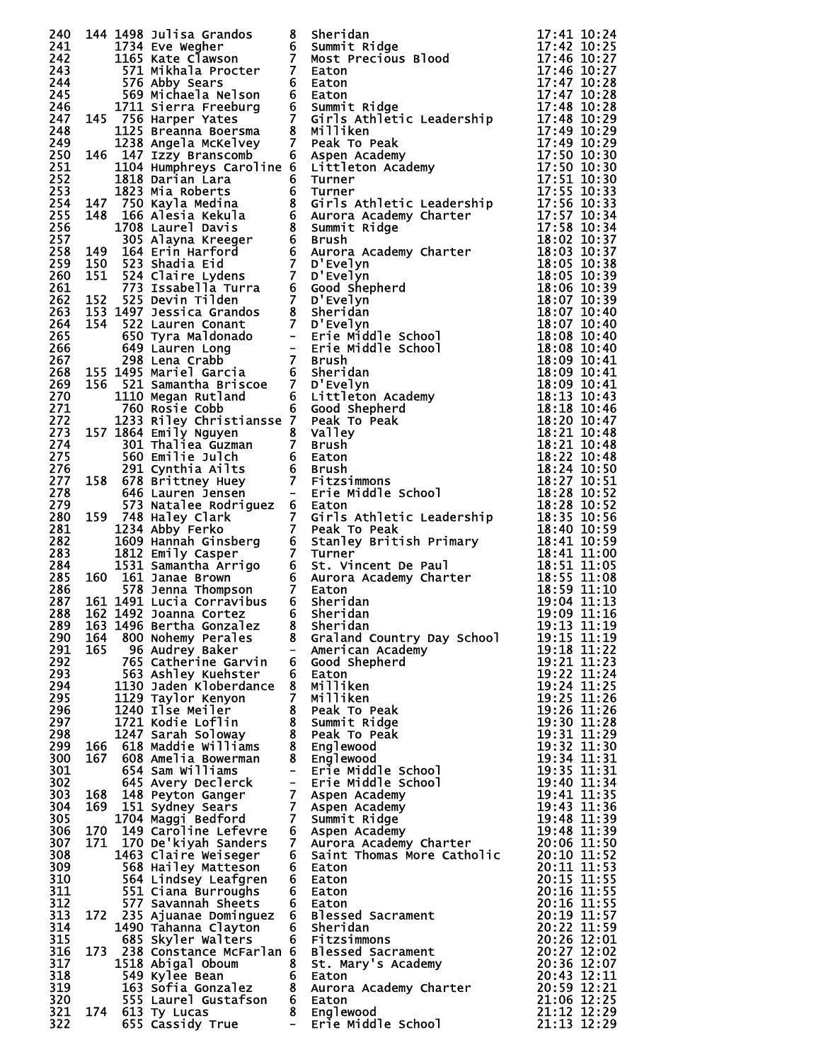| 240        |     | 144 1498 Julisa Grandos                                                                                        | 8              | Sheridan<br>144 1438 Substitute Granow Scheridae<br>11734 Eve Wegher<br>11734 Eve Wegher<br>11734 Eve Wegher<br>1274 Eve Wegher<br>1274 Eve Wegher<br>1274 Eve Wegher<br>1274 Eve Wegher<br>1274 Eve Wegher<br>1274 Eve Wegher<br>1274 Eve Wegher<br>1274 Eve W                                                                                                  | 17:41 10:24                                          |
|------------|-----|----------------------------------------------------------------------------------------------------------------|----------------|------------------------------------------------------------------------------------------------------------------------------------------------------------------------------------------------------------------------------------------------------------------------------------------------------------------------------------------------------------------|------------------------------------------------------|
| 241<br>242 |     |                                                                                                                |                |                                                                                                                                                                                                                                                                                                                                                                  |                                                      |
| 243        |     |                                                                                                                |                |                                                                                                                                                                                                                                                                                                                                                                  |                                                      |
| 244.       |     |                                                                                                                |                |                                                                                                                                                                                                                                                                                                                                                                  |                                                      |
| 245        |     |                                                                                                                |                |                                                                                                                                                                                                                                                                                                                                                                  |                                                      |
| 246<br>247 |     |                                                                                                                |                |                                                                                                                                                                                                                                                                                                                                                                  |                                                      |
| 248        |     |                                                                                                                |                |                                                                                                                                                                                                                                                                                                                                                                  |                                                      |
| 249        |     |                                                                                                                |                |                                                                                                                                                                                                                                                                                                                                                                  |                                                      |
| 250        |     |                                                                                                                |                |                                                                                                                                                                                                                                                                                                                                                                  |                                                      |
| 251<br>252 |     |                                                                                                                |                |                                                                                                                                                                                                                                                                                                                                                                  |                                                      |
| 253        |     |                                                                                                                |                |                                                                                                                                                                                                                                                                                                                                                                  |                                                      |
| 254        |     |                                                                                                                |                |                                                                                                                                                                                                                                                                                                                                                                  |                                                      |
| 255        |     |                                                                                                                |                |                                                                                                                                                                                                                                                                                                                                                                  |                                                      |
| 256<br>257 |     |                                                                                                                |                |                                                                                                                                                                                                                                                                                                                                                                  |                                                      |
| 258        |     |                                                                                                                |                |                                                                                                                                                                                                                                                                                                                                                                  |                                                      |
| 259        |     |                                                                                                                |                |                                                                                                                                                                                                                                                                                                                                                                  |                                                      |
| 260        |     |                                                                                                                |                |                                                                                                                                                                                                                                                                                                                                                                  |                                                      |
| 261<br>262 |     |                                                                                                                |                |                                                                                                                                                                                                                                                                                                                                                                  |                                                      |
| 263        |     |                                                                                                                |                |                                                                                                                                                                                                                                                                                                                                                                  |                                                      |
| 264        |     |                                                                                                                |                |                                                                                                                                                                                                                                                                                                                                                                  |                                                      |
| 265        |     |                                                                                                                |                |                                                                                                                                                                                                                                                                                                                                                                  |                                                      |
| 266<br>267 |     |                                                                                                                |                |                                                                                                                                                                                                                                                                                                                                                                  |                                                      |
| 268        |     |                                                                                                                |                |                                                                                                                                                                                                                                                                                                                                                                  |                                                      |
| 269        |     |                                                                                                                |                |                                                                                                                                                                                                                                                                                                                                                                  |                                                      |
| 270        |     |                                                                                                                |                |                                                                                                                                                                                                                                                                                                                                                                  |                                                      |
| 271<br>272 |     |                                                                                                                |                |                                                                                                                                                                                                                                                                                                                                                                  |                                                      |
| 273        |     |                                                                                                                |                |                                                                                                                                                                                                                                                                                                                                                                  |                                                      |
| 274        |     |                                                                                                                |                |                                                                                                                                                                                                                                                                                                                                                                  |                                                      |
| 275        |     |                                                                                                                |                |                                                                                                                                                                                                                                                                                                                                                                  |                                                      |
| 276<br>277 |     |                                                                                                                |                |                                                                                                                                                                                                                                                                                                                                                                  |                                                      |
| 278        |     |                                                                                                                |                |                                                                                                                                                                                                                                                                                                                                                                  |                                                      |
| 279        |     |                                                                                                                |                |                                                                                                                                                                                                                                                                                                                                                                  |                                                      |
| 280        |     |                                                                                                                |                |                                                                                                                                                                                                                                                                                                                                                                  |                                                      |
| 281<br>282 |     |                                                                                                                |                |                                                                                                                                                                                                                                                                                                                                                                  |                                                      |
| 283        |     |                                                                                                                |                |                                                                                                                                                                                                                                                                                                                                                                  |                                                      |
| 284        |     |                                                                                                                |                |                                                                                                                                                                                                                                                                                                                                                                  |                                                      |
| 285        |     |                                                                                                                |                |                                                                                                                                                                                                                                                                                                                                                                  |                                                      |
| 286<br>287 |     |                                                                                                                |                |                                                                                                                                                                                                                                                                                                                                                                  |                                                      |
| 288        |     |                                                                                                                |                |                                                                                                                                                                                                                                                                                                                                                                  |                                                      |
|            |     | 289 163 1496 Bertha Gonzalez 8 Sheridan                                                                        |                |                                                                                                                                                                                                                                                                                                                                                                  | $19:13$ $\overline{11}:19$                           |
| 290        |     | 164 800 Nohemy Perales                                                                                         |                | 8 Graland Country Day School                                                                                                                                                                                                                                                                                                                                     | 19:15 11:19                                          |
| 291<br>292 |     | 165 96 Audrey Baker<br>765 Catherine Garvin                                                                    |                | - American Academy<br>6 Good Shepherd                                                                                                                                                                                                                                                                                                                            | 19:18 11:22<br>19:21 11:23                           |
| 293        |     | os Cacherine Garvin<br>563 Ashley Kuehster                                                                     |                | 6 Eaton                                                                                                                                                                                                                                                                                                                                                          | 19:22 11:24                                          |
| 294        |     | 1130 Jaden Kloberdance                                                                                         |                | 8 Milliken                                                                                                                                                                                                                                                                                                                                                       | 19:24 11:25                                          |
| 295        |     | 1129 Taylor Kenyon                                                                                             | 7 <sup>7</sup> | Milliken                                                                                                                                                                                                                                                                                                                                                         | 19:25 11:26<br>$19:26$ $\overline{11:26}$            |
| 296<br>297 |     | 1240 Ilse Meiler<br>1721 Kodie Loflin                                                                          |                |                                                                                                                                                                                                                                                                                                                                                                  | 19:30 11:28                                          |
| 298        |     |                                                                                                                |                |                                                                                                                                                                                                                                                                                                                                                                  |                                                      |
| 299        |     | 1247 Sarah Soloway<br>166 618 Maddie Williams                                                                  |                | 8<br>Peak To Peak<br>8 Summit Ridge<br>8 Peak To Peak<br>8 Englewood<br><b>MITIIKen<br/> 8 Peak To Peak<br/> 8 Summit Ridge<br/> 8 Peak To Peak<br/> 8 Englewood<br/> 8 Englewood<br/> - Erie Middle School<br/> - Erie Middle School<br/> 7 Aspen Academy<br/> 7 Aspen Academy<br/> 7 Summit Ridge<br/> 6 Aspen Academy<br/> 7 Aurora Academy<br/> 7 Aurora</b> | $\overline{19:31}$ $\overline{11:29}$<br>19:32 11:30 |
| 300        | 167 | 608 Amelia Bowerman                                                                                            |                |                                                                                                                                                                                                                                                                                                                                                                  | 19:34 11:31<br>19:35 11:31                           |
| 301<br>302 |     | 654 Sam Williams<br>645 Avery Declerck<br>645 Avery Declerck<br>168 148 Peyton Ganger<br>169 151 Sydney Consul |                |                                                                                                                                                                                                                                                                                                                                                                  | $19:40$ $11:34$                                      |
| 303        |     |                                                                                                                |                |                                                                                                                                                                                                                                                                                                                                                                  | 19:41 11:35                                          |
| 304        |     | 169 151 Sydney Sears                                                                                           |                |                                                                                                                                                                                                                                                                                                                                                                  | 19:43 11:36                                          |
| 305        |     | 1704 Maggi Bedford<br>170 149 Caroline Lefevre                                                                 |                |                                                                                                                                                                                                                                                                                                                                                                  | 19:48 11:39<br>19:48 11:39                           |
| 306<br>307 |     | 171 170 De'kiyah Sanders                                                                                       |                |                                                                                                                                                                                                                                                                                                                                                                  | 20:06 11:50                                          |
| 308        |     | 1463 Claire Weiseger                                                                                           |                |                                                                                                                                                                                                                                                                                                                                                                  | 20:10 11:52                                          |
| 309        |     | 568 Hailey Matteson                                                                                            |                | 6 Eaton                                                                                                                                                                                                                                                                                                                                                          | 20:11 11:53                                          |
| 310        |     | 564 Lindsey Leafgren                                                                                           |                | 6 Eaton<br>6 Eaton                                                                                                                                                                                                                                                                                                                                               | 20:15 11:55<br>20:16 11:55                           |
| 311<br>312 |     | 551 Ciana Burroughs<br>577 Savannah Sheets                                                                     |                | 6 Eaton                                                                                                                                                                                                                                                                                                                                                          | 20:16 11:55                                          |
| 313        |     |                                                                                                                |                |                                                                                                                                                                                                                                                                                                                                                                  | 20:19 11:57                                          |
| 314        |     |                                                                                                                |                |                                                                                                                                                                                                                                                                                                                                                                  | 20:22 11:59                                          |
| 315<br>316 |     |                                                                                                                |                |                                                                                                                                                                                                                                                                                                                                                                  | 20:26 12:01<br>20:27 12:02                           |
| 317        |     |                                                                                                                |                |                                                                                                                                                                                                                                                                                                                                                                  | 20:36 12:07                                          |
| 318        |     |                                                                                                                |                |                                                                                                                                                                                                                                                                                                                                                                  | 20:43 12:11                                          |
| 319        |     |                                                                                                                |                |                                                                                                                                                                                                                                                                                                                                                                  | 20:59 12:21                                          |
| 320<br>321 |     | 174 613 Ty Lucas                                                                                               |                | 577 Savannah Sheets<br>172 235 Ajuanae Dominguez 6 Blessed Sacrament<br>1490 Tahanna Clayton 6 Sheridan<br>685 Skyler Walters 6 Fitzsimmons<br>173 238 Constance McFarlan 6 Blessed Sacrament<br>1518 Abigal Oboum 8 St. Mary's Academy<br>                                                                                                                      | 21:06 12:25<br>21:12 12:29                           |
| 322        |     | 655 Cassidy True                                                                                               | $\sim$ $-$     | Erie Middle School                                                                                                                                                                                                                                                                                                                                               | 21:13 12:29                                          |
|            |     |                                                                                                                |                |                                                                                                                                                                                                                                                                                                                                                                  |                                                      |

|                                                                                                                | 2<br>2                                                                                                                        |
|----------------------------------------------------------------------------------------------------------------|-------------------------------------------------------------------------------------------------------------------------------|
|                                                                                                                |                                                                                                                               |
| 44444444444555555560000000000000001122222222344455550011266778889900156782355667778889993801112478850111159493 |                                                                                                                               |
|                                                                                                                |                                                                                                                               |
|                                                                                                                |                                                                                                                               |
|                                                                                                                |                                                                                                                               |
|                                                                                                                |                                                                                                                               |
|                                                                                                                |                                                                                                                               |
|                                                                                                                |                                                                                                                               |
|                                                                                                                |                                                                                                                               |
|                                                                                                                |                                                                                                                               |
|                                                                                                                |                                                                                                                               |
|                                                                                                                |                                                                                                                               |
|                                                                                                                |                                                                                                                               |
|                                                                                                                |                                                                                                                               |
|                                                                                                                |                                                                                                                               |
|                                                                                                                |                                                                                                                               |
|                                                                                                                |                                                                                                                               |
|                                                                                                                |                                                                                                                               |
|                                                                                                                |                                                                                                                               |
|                                                                                                                |                                                                                                                               |
|                                                                                                                |                                                                                                                               |
|                                                                                                                |                                                                                                                               |
|                                                                                                                |                                                                                                                               |
|                                                                                                                |                                                                                                                               |
|                                                                                                                |                                                                                                                               |
|                                                                                                                |                                                                                                                               |
|                                                                                                                |                                                                                                                               |
|                                                                                                                |                                                                                                                               |
|                                                                                                                |                                                                                                                               |
|                                                                                                                |                                                                                                                               |
|                                                                                                                |                                                                                                                               |
|                                                                                                                |                                                                                                                               |
|                                                                                                                |                                                                                                                               |
|                                                                                                                |                                                                                                                               |
|                                                                                                                |                                                                                                                               |
|                                                                                                                |                                                                                                                               |
|                                                                                                                |                                                                                                                               |
|                                                                                                                |                                                                                                                               |
|                                                                                                                | Ē                                                                                                                             |
|                                                                                                                |                                                                                                                               |
|                                                                                                                |                                                                                                                               |
|                                                                                                                |                                                                                                                               |
|                                                                                                                |                                                                                                                               |
|                                                                                                                |                                                                                                                               |
|                                                                                                                |                                                                                                                               |
|                                                                                                                |                                                                                                                               |
|                                                                                                                |                                                                                                                               |
|                                                                                                                |                                                                                                                               |
|                                                                                                                |                                                                                                                               |
|                                                                                                                |                                                                                                                               |
|                                                                                                                |                                                                                                                               |
|                                                                                                                |                                                                                                                               |
|                                                                                                                |                                                                                                                               |
|                                                                                                                |                                                                                                                               |
|                                                                                                                |                                                                                                                               |
|                                                                                                                |                                                                                                                               |
|                                                                                                                |                                                                                                                               |
|                                                                                                                |                                                                                                                               |
|                                                                                                                |                                                                                                                               |
|                                                                                                                |                                                                                                                               |
|                                                                                                                |                                                                                                                               |
|                                                                                                                |                                                                                                                               |
| 11111111111111111112222222222222222111<br>11122222333334444440111111122233450111                               | 12222222223333333355555555000122222112399<br>,我们也不是有一个人的。我们也不是有一个人的。我们也不是有一个人的。我们也不是有一个人的。我们也不是有一个人的。我们也不是有一个人的。我们也不是有一个人的。我们 |
|                                                                                                                |                                                                                                                               |
|                                                                                                                |                                                                                                                               |